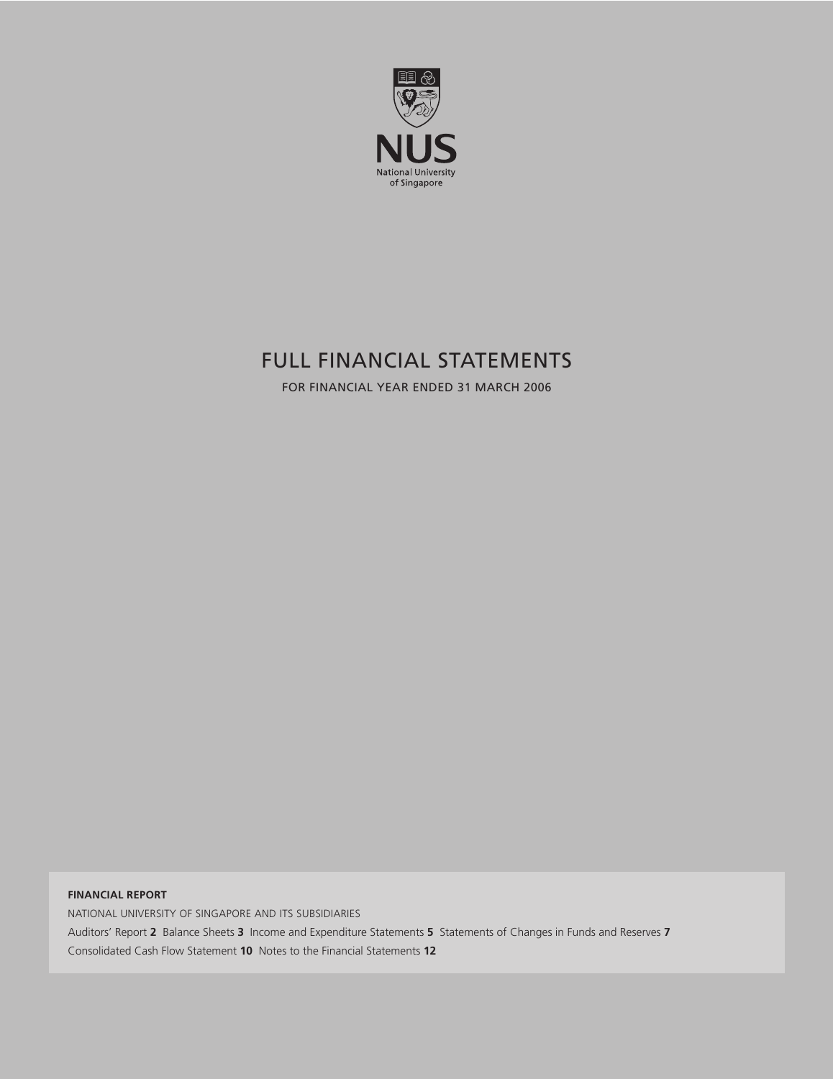

# FULL FINANCIAL STATEMENTS

FOR FINANCIAL YEAR ENDED 31 MARCH 2006

**FINANCIAL REPORT** 

NATIONAL UNIVERSITY OF SINGAPORE AND ITS SUBSIDIARIES [Auditors' Report](#page-1-0) **2** [Balance Sheets](#page-2-0) **3** [Income and Expenditure Statements](#page-4-0) **5** [Statements of Changes in Funds and Reserves](#page-6-0) **7** [Consolidated Cash Flow Statement](#page-9-0) **10** [Notes to the Financial Statements](#page-11-0) **12**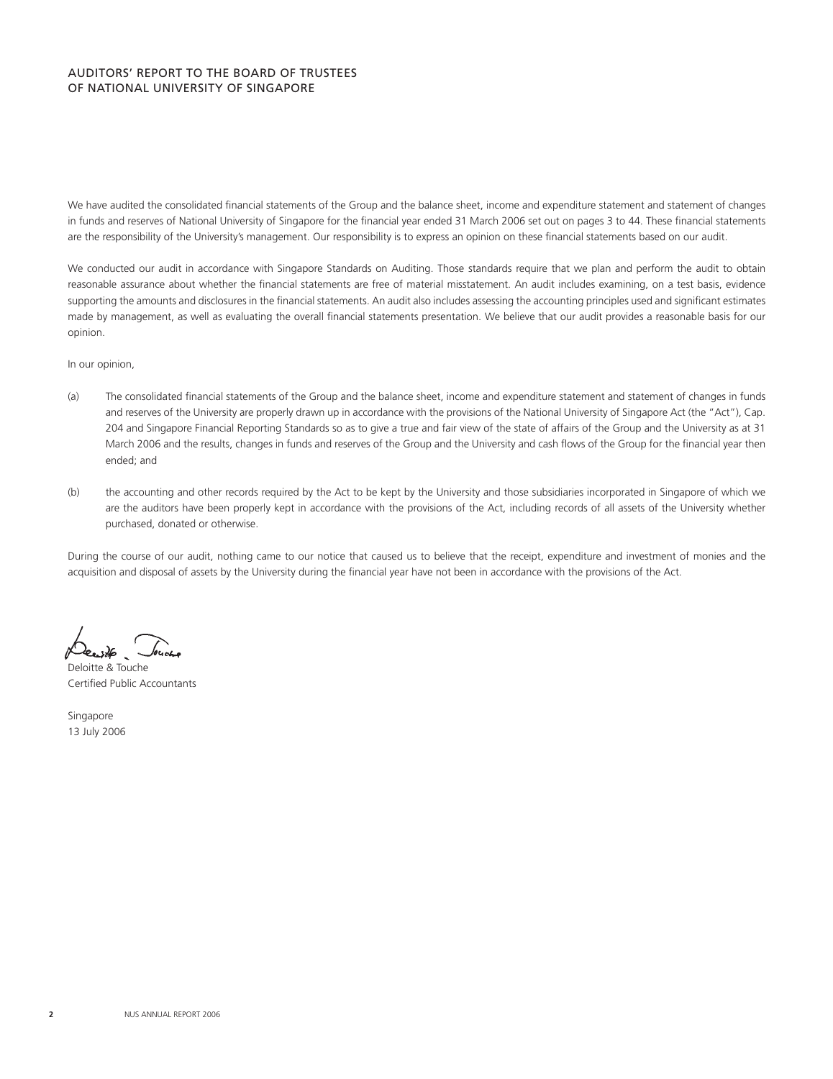# <span id="page-1-0"></span>AUDITORS' REPORT TO THE BOARD OF TRUSTEES OF NATIONAL UNIVERSITY OF SINGAPORE

We have audited the consolidated financial statements of the Group and the balance sheet, income and expenditure statement and statement of changes in funds and reserves of National University of Singapore for the financial year ended 31 March 2006 set out on pages 3 to 44. These financial statements are the responsibility of the University's management. Our responsibility is to express an opinion on these financial statements based on our audit.

We conducted our audit in accordance with Singapore Standards on Auditing. Those standards require that we plan and perform the audit to obtain reasonable assurance about whether the financial statements are free of material misstatement. An audit includes examining, on a test basis, evidence supporting the amounts and disclosures in the financial statements. An audit also includes assessing the accounting principles used and significant estimates made by management, as well as evaluating the overall financial statements presentation. We believe that our audit provides a reasonable basis for our opinion.

In our opinion,

- (a) The consolidated financial statements of the Group and the balance sheet, income and expenditure statement and statement of changes in funds and reserves of the University are properly drawn up in accordance with the provisions of the National University of Singapore Act (the "Act"), Cap. 204 and Singapore Financial Reporting Standards so as to give a true and fair view of the state of affairs of the Group and the University as at 31 March 2006 and the results, changes in funds and reserves of the Group and the University and cash flows of the Group for the financial year then ended; and
- (b) the accounting and other records required by the Act to be kept by the University and those subsidiaries incorporated in Singapore of which we are the auditors have been properly kept in accordance with the provisions of the Act, including records of all assets of the University whether purchased, donated or otherwise.

During the course of our audit, nothing came to our notice that caused us to believe that the receipt, expenditure and investment of monies and the acquisition and disposal of assets by the University during the financial year have not been in accordance with the provisions of the Act.

Deloitte & Touche Certified Public Accountants

Singapore 13 July 2006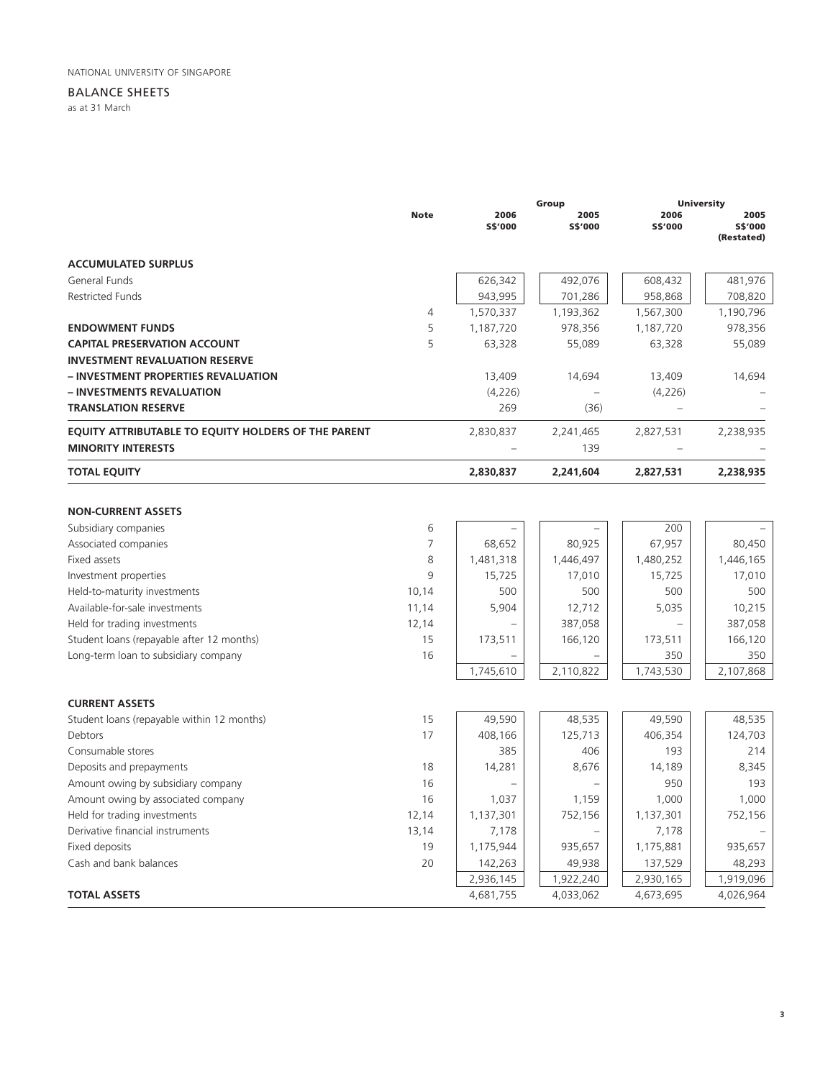# <span id="page-2-0"></span>BALANCE SHEETS

as at 31 March

|                                                                          |             |                                    | Group                    | <b>University</b>      |                               |  |
|--------------------------------------------------------------------------|-------------|------------------------------------|--------------------------|------------------------|-------------------------------|--|
|                                                                          | <b>Note</b> | 2006<br><b>S\$'000</b>             | 2005<br><b>S\$'000</b>   | 2006<br><b>S\$'000</b> | 2005<br>S\$'000<br>(Restated) |  |
| <b>ACCUMULATED SURPLUS</b>                                               |             |                                    |                          |                        |                               |  |
| General Funds                                                            |             | 626,342                            | 492,076                  | 608,432                | 481,976                       |  |
| <b>Restricted Funds</b>                                                  |             | 943,995                            | 701,286                  | 958,868                | 708,820                       |  |
|                                                                          | 4           | 1,570,337                          | 1,193,362                | 1,567,300              | 1,190,796                     |  |
| <b>ENDOWMENT FUNDS</b>                                                   | 5           | 1,187,720                          | 978,356                  | 1,187,720              | 978,356                       |  |
| <b>CAPITAL PRESERVATION ACCOUNT</b>                                      | 5           | 63,328                             | 55,089                   | 63,328                 | 55,089                        |  |
| <b>INVESTMENT REVALUATION RESERVE</b>                                    |             |                                    |                          |                        |                               |  |
| - INVESTMENT PROPERTIES REVALUATION                                      |             | 13,409                             | 14,694                   | 13,409                 | 14,694                        |  |
| – INVESTMENTS REVALUATION                                                |             | (4,226)                            |                          | (4,226)                |                               |  |
| <b>TRANSLATION RESERVE</b>                                               |             | 269                                | (36)                     | $\qquad \qquad -$      |                               |  |
| EQUITY ATTRIBUTABLE TO EQUITY HOLDERS OF THE PARENT                      |             | 2,830,837                          | 2,241,465                | 2,827,531              | 2,238,935                     |  |
| <b>MINORITY INTERESTS</b>                                                |             |                                    | 139                      |                        |                               |  |
| <b>TOTAL EQUITY</b>                                                      |             | 2,830,837                          | 2,241,604                | 2,827,531              | 2,238,935                     |  |
| <b>NON-CURRENT ASSETS</b>                                                |             |                                    |                          |                        |                               |  |
|                                                                          | 6           |                                    |                          | 200                    |                               |  |
| Subsidiary companies                                                     | 7           | 68,652                             | 80,925                   | 67,957                 | 80,450                        |  |
| Associated companies<br>Fixed assets                                     | 8           |                                    | 1,446,497                |                        | 1,446,165                     |  |
|                                                                          | 9           | 1,481,318<br>15,725                | 17,010                   | 1,480,252<br>15,725    |                               |  |
| Investment properties<br>Held-to-maturity investments                    | 10,14       | 500                                | 500                      | 500                    | 17,010<br>500                 |  |
| Available-for-sale investments                                           | 11,14       | 5,904                              | 12,712                   | 5,035                  | 10,215                        |  |
| Held for trading investments                                             | 12,14       |                                    | 387,058                  |                        | 387,058                       |  |
| Student loans (repayable after 12 months)                                | 15          | 173,511                            | 166,120                  | 173,511                | 166,120                       |  |
| Long-term loan to subsidiary company                                     | 16          |                                    | $\qquad \qquad -$        | 350                    | 350                           |  |
|                                                                          |             | 1,745,610                          | 2,110,822                | 1,743,530              | 2,107,868                     |  |
|                                                                          |             |                                    |                          |                        |                               |  |
| <b>CURRENT ASSETS</b>                                                    |             |                                    |                          |                        |                               |  |
| Student loans (repayable within 12 months)                               | 15<br>17    | 49,590                             | 48,535                   | 49,590                 | 48,535                        |  |
| Debtors<br>Consumable stores                                             |             | 408,166                            | 125,713                  | 406,354                | 124,703                       |  |
| Deposits and prepayments                                                 | 18          | 385                                | 406<br>8,676             | 193<br>14,189          | 214<br>8,345                  |  |
|                                                                          | 16          | 14,281<br>$\overline{\phantom{0}}$ | $\overline{\phantom{0}}$ | 950                    | 193                           |  |
| Amount owing by subsidiary company<br>Amount owing by associated company | 16          | 1,037                              | 1,159                    | 1,000                  | 1,000                         |  |
| Held for trading investments                                             | 12,14       | 1,137,301                          | 752,156                  | 1,137,301              | 752,156                       |  |
| Derivative financial instruments                                         |             |                                    |                          |                        |                               |  |
| Fixed deposits                                                           | 13,14<br>19 | 7,178<br>1,175,944                 | 935,657                  | 7,178<br>1,175,881     | 935,657                       |  |
| Cash and bank balances                                                   | 20          |                                    |                          |                        |                               |  |
|                                                                          |             | 142,263<br>2,936,145               | 49,938<br>1,922,240      | 137,529<br>2,930,165   | 48,293<br>1,919,096           |  |
| <b>TOTAL ASSETS</b>                                                      |             | 4,681,755                          | 4,033,062                | 4,673,695              | 4,026,964                     |  |
|                                                                          |             |                                    |                          |                        |                               |  |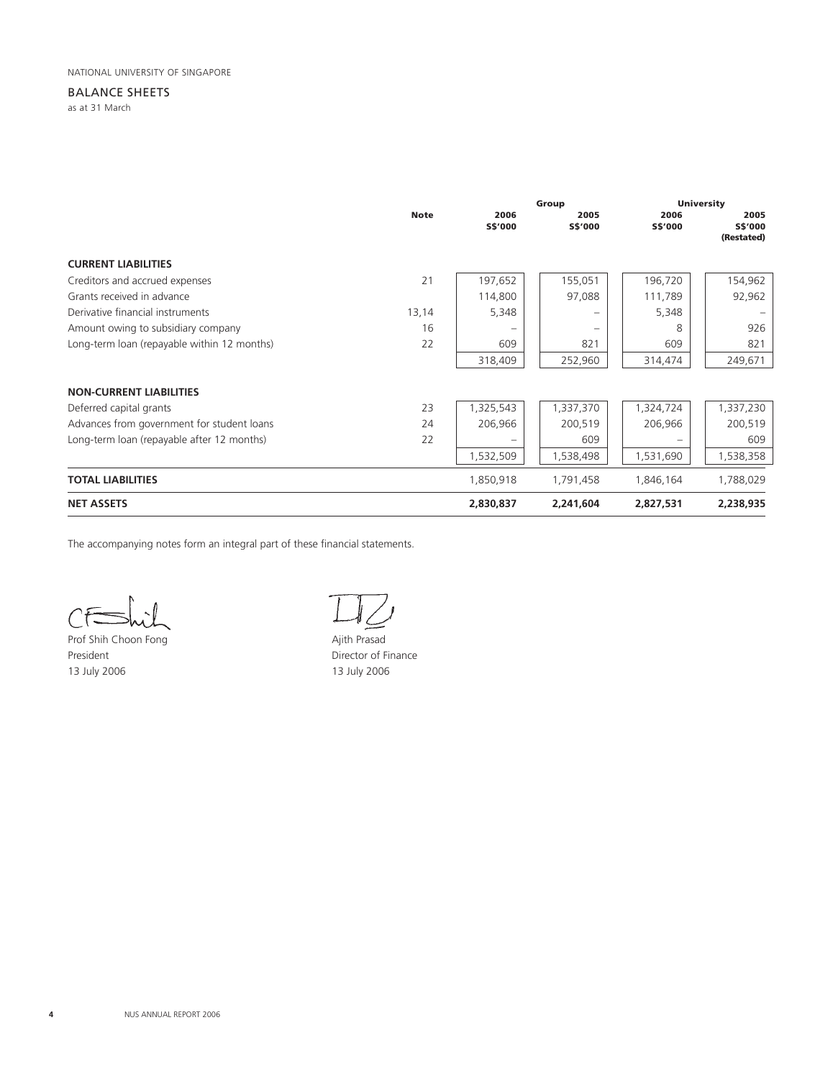### BALANCE SHEETS

as at 31 March

|                                             |             |                        | Group                  | University             |                                      |  |
|---------------------------------------------|-------------|------------------------|------------------------|------------------------|--------------------------------------|--|
|                                             | <b>Note</b> | 2006<br><b>S\$'000</b> | 2005<br><b>S\$'000</b> | 2006<br><b>S\$'000</b> | 2005<br><b>S\$'000</b><br>(Restated) |  |
| <b>CURRENT LIABILITIES</b>                  |             |                        |                        |                        |                                      |  |
| Creditors and accrued expenses              | 21          | 197,652                | 155,051                | 196,720                | 154,962                              |  |
| Grants received in advance                  |             | 114,800                | 97,088                 | 111,789                | 92,962                               |  |
| Derivative financial instruments            | 13,14       | 5,348                  |                        | 5,348                  |                                      |  |
| Amount owing to subsidiary company          | 16          |                        |                        | 8                      | 926                                  |  |
| Long-term loan (repayable within 12 months) | 22          | 609                    | 821                    | 609                    | 821                                  |  |
|                                             |             | 318,409                | 252,960                | 314,474                | 249,671                              |  |
| <b>NON-CURRENT LIABILITIES</b>              |             |                        |                        |                        |                                      |  |
| Deferred capital grants                     | 23          | 1,325,543              | 1,337,370              | 1,324,724              | 1,337,230                            |  |
| Advances from government for student loans  | 24          | 206,966                | 200,519                | 206,966                | 200,519                              |  |
| Long-term loan (repayable after 12 months)  | 22          |                        | 609                    |                        | 609                                  |  |
|                                             |             | 1,532,509              | 1,538,498              | 1,531,690              | 1,538,358                            |  |
| <b>TOTAL LIABILITIES</b>                    |             | 1,850,918              | 1,791,458              | 1,846,164              | 1,788,029                            |  |
| <b>NET ASSETS</b>                           |             | 2,830,837              | 2,241,604              | 2,827,531              | 2,238,935                            |  |

Prof Shih Choon Fong Ajith Prasad President **Director of Finance** 13 July 2006 13 July 2006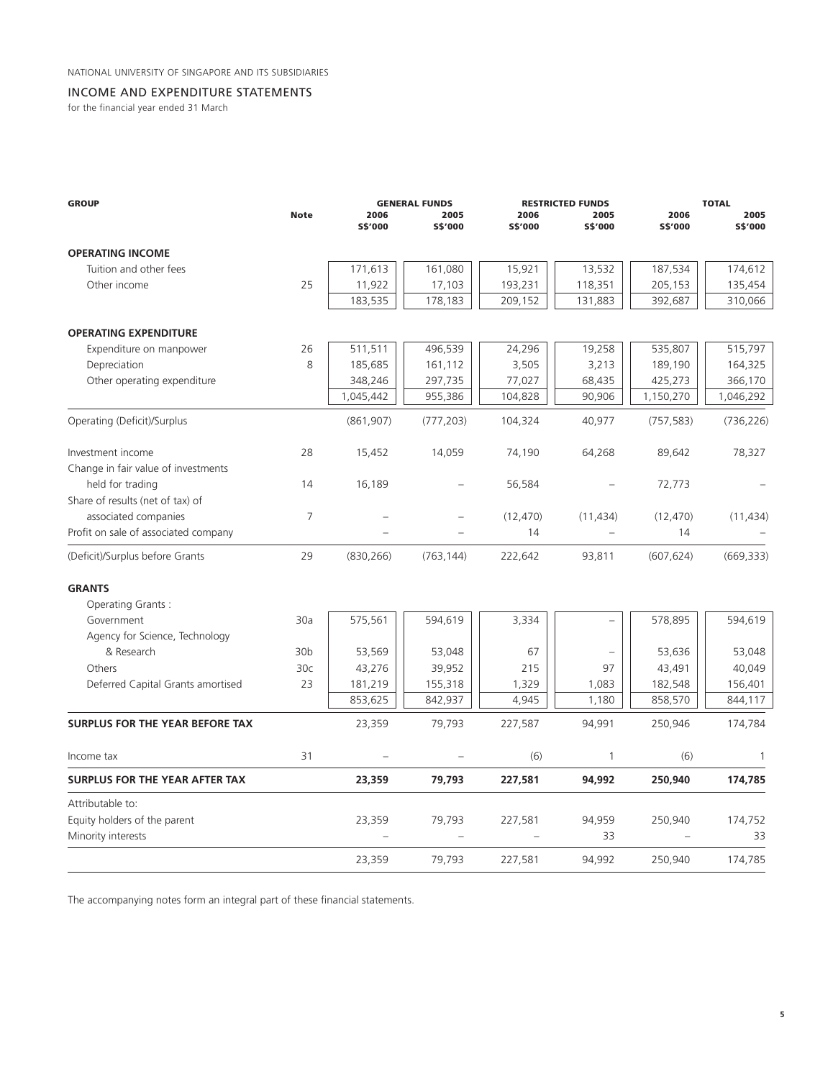# <span id="page-4-0"></span>INCOME AND EXPENDITURE STATEMENTS

for the financial year ended 31 March

| <b>GROUP</b>                           |                 |                        | <b>GENERAL FUNDS</b>   |                 | <b>RESTRICTED FUNDS</b>  |                        | <b>TOTAL</b>    |
|----------------------------------------|-----------------|------------------------|------------------------|-----------------|--------------------------|------------------------|-----------------|
|                                        | <b>Note</b>     | 2006<br><b>S\$'000</b> | 2005<br><b>S\$'000</b> | 2006<br>S\$'000 | 2005<br><b>S\$'000</b>   | 2006<br><b>S\$'000</b> | 2005<br>S\$'000 |
|                                        |                 |                        |                        |                 |                          |                        |                 |
| <b>OPERATING INCOME</b>                |                 |                        |                        |                 |                          |                        |                 |
| Tuition and other fees                 |                 | 171,613                | 161,080                | 15,921          | 13,532                   | 187,534                | 174,612         |
| Other income                           | 25              | 11,922                 | 17,103                 | 193,231         | 118,351                  | 205,153                | 135,454         |
|                                        |                 | 183,535                | 178,183                | 209,152         | 131,883                  | 392,687                | 310,066         |
| <b>OPERATING EXPENDITURE</b>           |                 |                        |                        |                 |                          |                        |                 |
| Expenditure on manpower                | 26              | 511,511                | 496,539                | 24,296          | 19,258                   | 535,807                | 515,797         |
| Depreciation                           | 8               | 185,685                | 161,112                | 3,505           | 3,213                    | 189,190                | 164,325         |
| Other operating expenditure            |                 | 348,246                | 297,735                | 77,027          | 68,435                   | 425,273                | 366,170         |
|                                        |                 | 1,045,442              | 955,386                | 104,828         | 90,906                   | 1,150,270              | 1,046,292       |
| Operating (Deficit)/Surplus            |                 | (861, 907)             | (777, 203)             | 104,324         | 40,977                   | (757, 583)             | (736, 226)      |
| Investment income                      | 28              | 15,452                 | 14,059                 | 74,190          | 64,268                   | 89,642                 | 78,327          |
| Change in fair value of investments    |                 |                        |                        |                 |                          |                        |                 |
| held for trading                       | 14              | 16,189                 |                        | 56,584          |                          | 72,773                 |                 |
| Share of results (net of tax) of       |                 |                        |                        |                 |                          |                        |                 |
| associated companies                   | $\overline{7}$  |                        |                        | (12, 470)       | (11, 434)                | (12, 470)              | (11, 434)       |
| Profit on sale of associated company   |                 |                        |                        | 14              | $\overline{\phantom{0}}$ | 14                     |                 |
| (Deficit)/Surplus before Grants        | 29              | (830, 266)             | (763, 144)             | 222,642         | 93,811                   | (607, 624)             | (669, 333)      |
| <b>GRANTS</b>                          |                 |                        |                        |                 |                          |                        |                 |
| Operating Grants:                      |                 |                        |                        |                 |                          |                        |                 |
| Government                             | 30a             | 575,561                | 594,619                | 3,334           |                          | 578,895                | 594,619         |
| Agency for Science, Technology         |                 |                        |                        |                 |                          |                        |                 |
| & Research                             | 30 <sub>b</sub> | 53,569                 | 53,048                 | 67              |                          | 53,636                 | 53,048          |
| Others                                 | 30c             | 43,276                 | 39,952                 | 215             | 97                       | 43,491                 | 40,049          |
| Deferred Capital Grants amortised      | 23              | 181,219                | 155,318                | 1,329           | 1,083                    | 182,548                | 156,401         |
|                                        |                 | 853,625                | 842,937                | 4,945           | 1,180                    | 858,570                | 844,117         |
| <b>SURPLUS FOR THE YEAR BEFORE TAX</b> |                 | 23,359                 | 79,793                 | 227,587         | 94,991                   | 250,946                | 174,784         |
| Income tax                             | 31              |                        |                        | (6)             | $\mathbf{1}$             | (6)                    | $\mathbf{1}$    |
| <b>SURPLUS FOR THE YEAR AFTER TAX</b>  |                 | 23,359                 | 79,793                 | 227,581         | 94,992                   | 250,940                | 174,785         |
| Attributable to:                       |                 |                        |                        |                 |                          |                        |                 |
| Equity holders of the parent           |                 | 23,359                 | 79,793                 | 227,581         | 94,959                   | 250,940                | 174,752         |
| Minority interests                     |                 |                        |                        |                 | 33                       |                        | 33              |
|                                        |                 |                        |                        |                 |                          |                        |                 |
|                                        |                 | 23,359                 | 79,793                 | 227,581         | 94,992                   | 250,940                | 174,785         |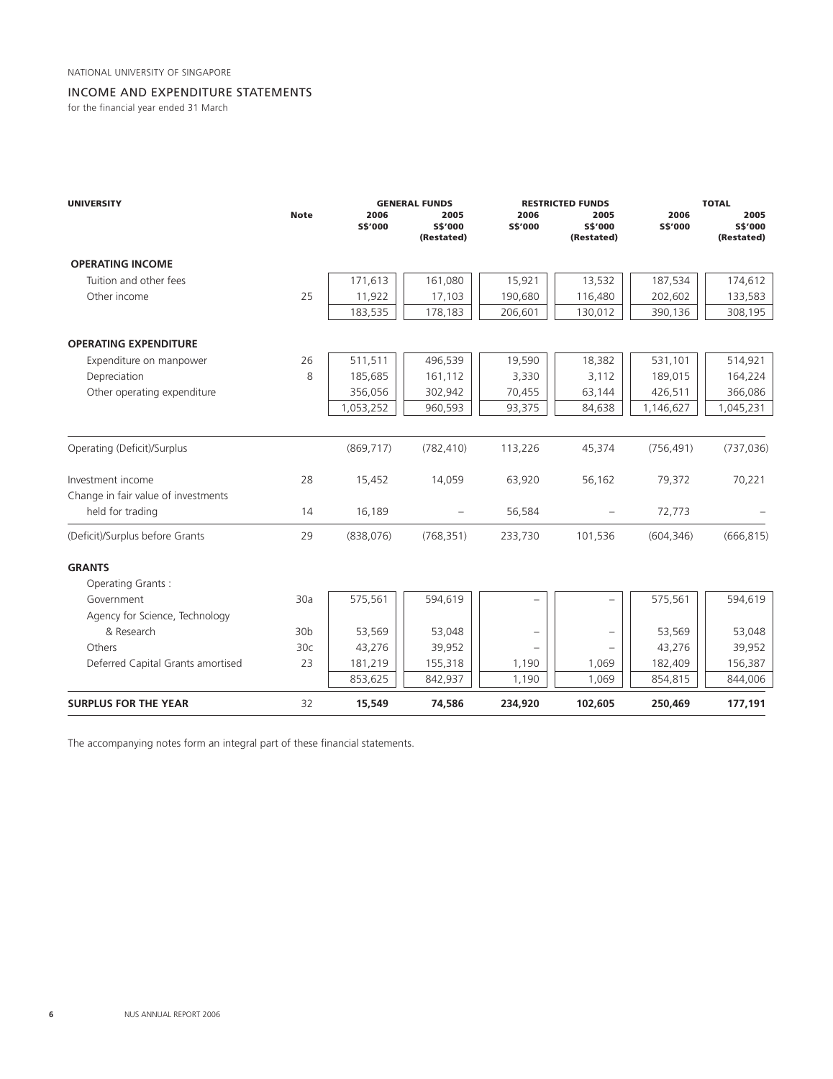# INCOME AND EXPENDITURE STATEMENTS

for the financial year ended 31 March

| <b>UNIVERSITY</b>                   | <b>Note</b>     | 2006<br>S\$'000 | <b>GENERAL FUNDS</b><br>2005<br><b>S\$'000</b><br>(Restated) | 2006<br><b>S\$'000</b> | <b>RESTRICTED FUNDS</b><br>2005<br><b>S\$'000</b><br>(Restated) | 2006<br><b>S\$'000</b> | <b>TOTAL</b><br>2005<br><b>S\$'000</b><br>(Restated) |
|-------------------------------------|-----------------|-----------------|--------------------------------------------------------------|------------------------|-----------------------------------------------------------------|------------------------|------------------------------------------------------|
| <b>OPERATING INCOME</b>             |                 |                 |                                                              |                        |                                                                 |                        |                                                      |
| Tuition and other fees              |                 | 171,613         | 161,080                                                      | 15,921                 | 13,532                                                          | 187,534                | 174,612                                              |
| Other income                        | 25              | 11,922          | 17,103                                                       | 190,680                | 116,480                                                         | 202,602                | 133,583                                              |
|                                     |                 | 183,535         | 178,183                                                      | 206,601                | 130,012                                                         | 390,136                | 308,195                                              |
| <b>OPERATING EXPENDITURE</b>        |                 |                 |                                                              |                        |                                                                 |                        |                                                      |
| Expenditure on manpower             | 26              | 511,511         | 496,539                                                      | 19,590                 | 18,382                                                          | 531,101                | 514,921                                              |
| Depreciation                        | 8               | 185,685         | 161,112                                                      | 3,330                  | 3,112                                                           | 189,015                | 164,224                                              |
| Other operating expenditure         |                 | 356,056         | 302,942                                                      | 70,455                 | 63,144                                                          | 426,511                | 366,086                                              |
|                                     |                 | 1,053,252       | 960,593                                                      | 93,375                 | 84,638                                                          | 1,146,627              | 1,045,231                                            |
| Operating (Deficit)/Surplus         |                 | (869, 717)      |                                                              |                        | 45,374                                                          |                        | (737, 036)                                           |
|                                     |                 |                 | (782, 410)                                                   | 113,226                |                                                                 | (756, 491)             |                                                      |
| Investment income                   | 28              | 15,452          | 14,059                                                       | 63,920                 | 56,162                                                          | 79,372                 | 70,221                                               |
| Change in fair value of investments |                 |                 |                                                              |                        |                                                                 |                        |                                                      |
| held for trading                    | 14              | 16,189          |                                                              | 56,584                 |                                                                 | 72,773                 |                                                      |
| (Deficit)/Surplus before Grants     | 29              | (838,076)       | (768, 351)                                                   | 233,730                | 101,536                                                         | (604, 346)             | (666, 815)                                           |
| <b>GRANTS</b>                       |                 |                 |                                                              |                        |                                                                 |                        |                                                      |
| Operating Grants:                   |                 |                 |                                                              |                        |                                                                 |                        |                                                      |
| Government                          | 30a             | 575,561         | 594,619                                                      |                        |                                                                 | 575,561                | 594,619                                              |
| Agency for Science, Technology      |                 |                 |                                                              |                        |                                                                 |                        |                                                      |
| & Research                          | 30 <sub>b</sub> | 53,569          | 53,048                                                       |                        |                                                                 | 53,569                 | 53,048                                               |
| Others                              | 30c             | 43,276          | 39,952                                                       |                        |                                                                 | 43,276                 | 39,952                                               |
| Deferred Capital Grants amortised   | 23              | 181,219         | 155,318                                                      | 1,190                  | 1,069                                                           | 182,409                | 156,387                                              |
|                                     |                 | 853,625         | 842,937                                                      | 1,190                  | 1,069                                                           | 854,815                | 844,006                                              |
| <b>SURPLUS FOR THE YEAR</b>         | 32              | 15,549          | 74,586                                                       | 234,920                | 102,605                                                         | 250,469                | 177,191                                              |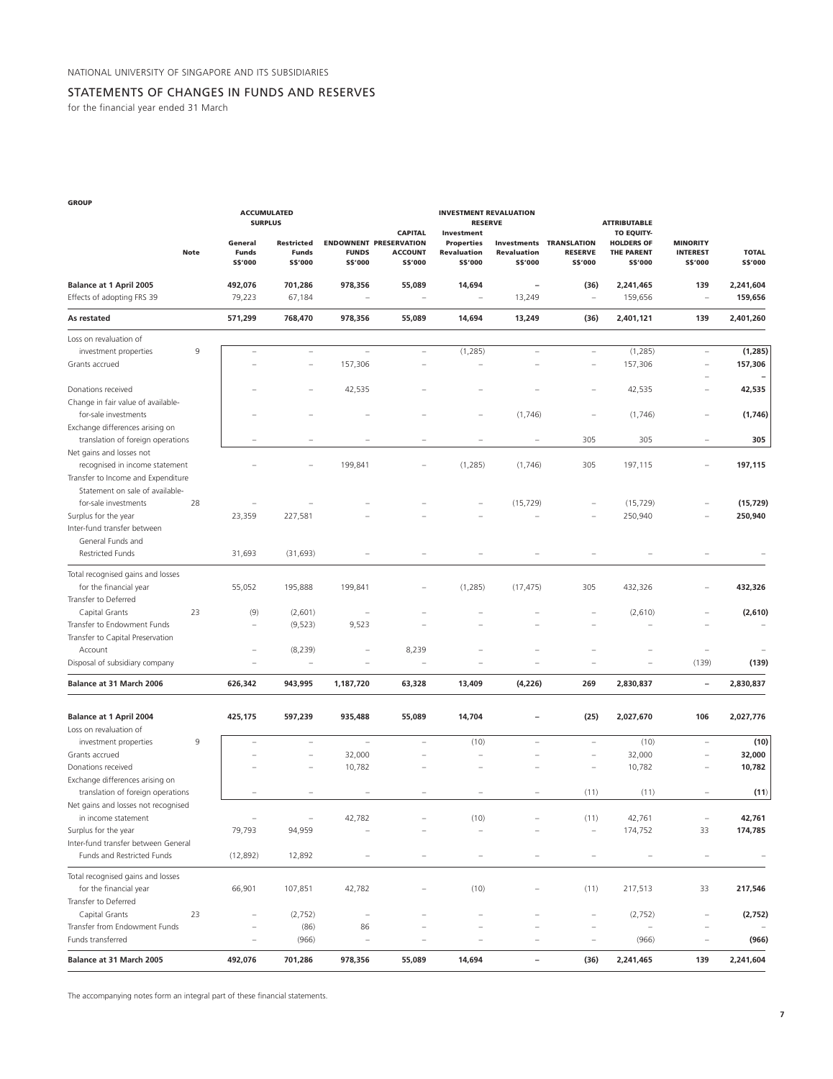### <span id="page-6-0"></span>STATEMENTS OF CHANGES IN FUNDS AND RESERVES

for the financial year ended 31 March

#### **GROUP**

|                                                                      |             |                                                                           | <b>ACCUMULATED</b><br><b>SURPLUS</b>                |                                |                                                                                     | <b>INVESTMENT REVALUATION</b><br><b>RESERVE</b>                         |                                      |                                                             | <b>ATTRIBUTABLE</b>                                                    |                                                      |                                |
|----------------------------------------------------------------------|-------------|---------------------------------------------------------------------------|-----------------------------------------------------|--------------------------------|-------------------------------------------------------------------------------------|-------------------------------------------------------------------------|--------------------------------------|-------------------------------------------------------------|------------------------------------------------------------------------|------------------------------------------------------|--------------------------------|
|                                                                      | <b>Note</b> | General<br><b>Funds</b><br><b>S\$'000</b>                                 | <b>Restricted</b><br><b>Funds</b><br><b>S\$'000</b> | <b>FUNDS</b><br><b>S\$'000</b> | <b>CAPITAL</b><br><b>ENDOWNENT PRESERVATION</b><br><b>ACCOUNT</b><br><b>S\$'000</b> | Investment<br><b>Properties</b><br><b>Revaluation</b><br><b>S\$'000</b> | <b>Revaluation</b><br><b>S\$'000</b> | <b>Investments TRANSLATION</b><br><b>RESERVE</b><br>S\$'000 | TO EQUITY-<br><b>HOLDERS OF</b><br><b>THE PARENT</b><br><b>S\$'000</b> | <b>MINORITY</b><br><b>INTEREST</b><br><b>S\$'000</b> | <b>TOTAL</b><br><b>S\$'000</b> |
| Balance at 1 April 2005<br>Effects of adopting FRS 39                |             | 492,076<br>79,223                                                         | 701,286<br>67,184                                   | 978,356                        | 55,089                                                                              | 14,694<br>$\overline{\phantom{0}}$                                      | $\overline{\phantom{0}}$<br>13,249   | (36)<br>L,                                                  | 2,241,465<br>159,656                                                   | 139<br>$\overline{\phantom{0}}$                      | 2,241,604<br>159,656           |
| As restated                                                          |             | 571,299                                                                   | 768,470                                             | 978,356                        | 55,089                                                                              | 14,694                                                                  | 13,249                               | (36)                                                        | 2,401,121                                                              | 139                                                  | 2,401,260                      |
| Loss on revaluation of                                               |             |                                                                           |                                                     |                                |                                                                                     |                                                                         |                                      |                                                             |                                                                        |                                                      |                                |
| investment properties                                                | 9           | $\overline{\phantom{0}}$                                                  | $\overline{\phantom{a}}$                            | $\overline{\phantom{a}}$       | $\equiv$                                                                            | (1, 285)                                                                | ÷                                    | $\overline{\phantom{0}}$                                    | (1, 285)                                                               | $\overline{\phantom{a}}$                             | (1, 285)                       |
| Grants accrued                                                       |             |                                                                           |                                                     | 157,306                        |                                                                                     |                                                                         |                                      | $\overline{\phantom{0}}$                                    | 157,306                                                                |                                                      | 157,306                        |
| Donations received                                                   |             |                                                                           |                                                     | 42,535                         |                                                                                     |                                                                         |                                      |                                                             | 42,535                                                                 |                                                      | 42,535                         |
| Change in fair value of available-                                   |             |                                                                           |                                                     |                                |                                                                                     |                                                                         |                                      |                                                             |                                                                        |                                                      |                                |
| for-sale investments                                                 |             |                                                                           |                                                     |                                |                                                                                     |                                                                         | (1,746)                              | ۳                                                           | (1,746)                                                                | $\overline{\phantom{0}}$                             | (1,746)                        |
| Exchange differences arising on                                      |             |                                                                           |                                                     |                                |                                                                                     |                                                                         |                                      |                                                             |                                                                        |                                                      |                                |
| translation of foreign operations                                    |             |                                                                           |                                                     |                                |                                                                                     |                                                                         |                                      | 305                                                         | 305                                                                    | $\qquad \qquad -$                                    | 305                            |
| Net gains and losses not                                             |             |                                                                           |                                                     |                                |                                                                                     |                                                                         |                                      |                                                             |                                                                        |                                                      | 197,115                        |
| recognised in income statement<br>Transfer to Income and Expenditure |             |                                                                           |                                                     | 199,841                        |                                                                                     | (1, 285)                                                                | (1,746)                              | 305                                                         | 197,115                                                                |                                                      |                                |
| Statement on sale of available-                                      |             |                                                                           |                                                     |                                |                                                                                     |                                                                         |                                      |                                                             |                                                                        |                                                      |                                |
| for-sale investments                                                 | 28          |                                                                           |                                                     |                                |                                                                                     |                                                                         | (15, 729)                            |                                                             | (15, 729)                                                              |                                                      | (15, 729)                      |
| Surplus for the year                                                 |             | 23,359                                                                    | 227,581                                             |                                |                                                                                     |                                                                         |                                      |                                                             | 250,940                                                                |                                                      | 250,940                        |
| Inter-fund transfer between                                          |             |                                                                           |                                                     |                                |                                                                                     |                                                                         |                                      |                                                             |                                                                        |                                                      |                                |
| General Funds and<br><b>Restricted Funds</b>                         |             |                                                                           |                                                     |                                |                                                                                     |                                                                         |                                      |                                                             |                                                                        |                                                      |                                |
|                                                                      |             | 31,693                                                                    | (31, 693)                                           |                                |                                                                                     |                                                                         |                                      |                                                             |                                                                        |                                                      |                                |
| Total recognised gains and losses                                    |             |                                                                           |                                                     |                                |                                                                                     |                                                                         |                                      |                                                             |                                                                        |                                                      |                                |
| for the financial year                                               |             | 55,052                                                                    | 195,888                                             | 199,841                        |                                                                                     | (1, 285)                                                                | (17, 475)                            | 305                                                         | 432,326                                                                |                                                      | 432,326                        |
| Transfer to Deferred                                                 |             |                                                                           |                                                     |                                |                                                                                     |                                                                         |                                      |                                                             |                                                                        |                                                      |                                |
| Capital Grants                                                       | 23          | (9)                                                                       | (2,601)                                             |                                |                                                                                     |                                                                         |                                      |                                                             | (2,610)                                                                |                                                      | (2,610)                        |
| Transfer to Endowment Funds                                          |             |                                                                           | (9,523)                                             | 9,523                          |                                                                                     |                                                                         |                                      |                                                             |                                                                        |                                                      |                                |
| Transfer to Capital Preservation                                     |             |                                                                           |                                                     |                                |                                                                                     |                                                                         |                                      |                                                             |                                                                        |                                                      |                                |
| Account<br>Disposal of subsidiary company                            |             | $\overline{\phantom{a}}$                                                  | (8, 239)<br>$\overline{\phantom{a}}$                | ÷,                             | 8,239<br>$\overline{\phantom{a}}$                                                   |                                                                         |                                      |                                                             |                                                                        | (139)                                                | (139)                          |
|                                                                      |             |                                                                           |                                                     |                                |                                                                                     |                                                                         |                                      |                                                             |                                                                        | $\qquad \qquad -$                                    | 2,830,837                      |
| Balance at 31 March 2006                                             |             | 626,342                                                                   | 943,995                                             | 1,187,720                      | 63,328                                                                              | 13,409                                                                  | (4,226)                              | 269                                                         | 2,830,837                                                              |                                                      |                                |
| Balance at 1 April 2004                                              |             | 425,175                                                                   | 597,239                                             | 935,488                        | 55,089                                                                              | 14,704                                                                  |                                      | (25)                                                        | 2,027,670                                                              | 106                                                  | 2,027,776                      |
| Loss on revaluation of                                               |             |                                                                           |                                                     |                                |                                                                                     |                                                                         |                                      |                                                             |                                                                        |                                                      |                                |
| investment properties                                                | 9           | $\equiv$                                                                  | $\overline{\phantom{a}}$                            | $\overline{\phantom{a}}$       | $\overline{\phantom{m}}$                                                            | (10)                                                                    | $\equiv$                             | $\overline{\phantom{0}}$                                    | (10)                                                                   | $\overline{\phantom{m}}$                             | (10)                           |
| Grants accrued                                                       |             |                                                                           | ÷,                                                  | 32,000                         |                                                                                     |                                                                         |                                      | L,                                                          | 32,000                                                                 |                                                      | 32,000                         |
| Donations received                                                   |             |                                                                           | $\overline{\phantom{0}}$                            | 10,782                         |                                                                                     |                                                                         |                                      | $\qquad \qquad -$                                           | 10,782                                                                 | $\qquad \qquad -$                                    | 10,782                         |
| Exchange differences arising on<br>translation of foreign operations |             |                                                                           |                                                     |                                |                                                                                     |                                                                         |                                      | (11)                                                        | (11)                                                                   |                                                      |                                |
| Net gains and losses not recognised                                  |             |                                                                           |                                                     |                                |                                                                                     |                                                                         |                                      |                                                             |                                                                        |                                                      | (11)                           |
| in income statement                                                  |             | $\hspace{1.0cm} \rule{1.5cm}{0.15cm} \hspace{1.0cm} \rule{1.5cm}{0.15cm}$ | $\overline{\phantom{m}}$                            | 42,782                         |                                                                                     | (10)                                                                    |                                      | (11)                                                        | 42,761                                                                 | $\overline{\phantom{a}}$                             | 42,761                         |
| Surplus for the year                                                 |             | 79,793                                                                    | 94,959                                              |                                |                                                                                     |                                                                         |                                      | $\qquad \qquad -$                                           | 174,752                                                                | 33                                                   | 174,785                        |
| Inter-fund transfer between General                                  |             |                                                                           |                                                     |                                |                                                                                     |                                                                         |                                      |                                                             |                                                                        |                                                      |                                |
| Funds and Restricted Funds                                           |             | (12,892)                                                                  | 12,892                                              | $\overline{\phantom{0}}$       |                                                                                     | $\qquad \qquad -$                                                       |                                      | $\qquad \qquad -$                                           | $\overline{\phantom{0}}$                                               | $\qquad \qquad -$                                    |                                |
| Total recognised gains and losses                                    |             |                                                                           |                                                     |                                |                                                                                     |                                                                         |                                      |                                                             |                                                                        |                                                      |                                |
| for the financial year                                               |             | 66,901                                                                    | 107,851                                             | 42,782                         |                                                                                     | (10)                                                                    |                                      | (11)                                                        | 217,513                                                                | 33                                                   | 217,546                        |
| Transfer to Deferred                                                 |             |                                                                           |                                                     |                                |                                                                                     |                                                                         |                                      |                                                             |                                                                        |                                                      |                                |
| Capital Grants                                                       | 23          |                                                                           | (2,752)                                             |                                |                                                                                     |                                                                         |                                      |                                                             | (2, 752)                                                               |                                                      | (2,752)                        |
| Transfer from Endowment Funds                                        |             |                                                                           | (86)                                                | 86                             |                                                                                     |                                                                         |                                      | $\qquad \qquad -$                                           |                                                                        | $\qquad \qquad -$                                    |                                |
| Funds transferred                                                    |             | $\equiv$                                                                  | (966)                                               | $\qquad \qquad -$              |                                                                                     |                                                                         |                                      | $\equiv$                                                    | (966)                                                                  | $\qquad \qquad -$                                    | (966)                          |
| Balance at 31 March 2005                                             |             | 492,076                                                                   | 701,286                                             | 978,356                        | 55,089                                                                              | 14,694                                                                  | $\overline{\phantom{0}}$             | (36)                                                        | 2,241,465                                                              | 139                                                  | 2,241,604                      |
|                                                                      |             |                                                                           |                                                     |                                |                                                                                     |                                                                         |                                      |                                                             |                                                                        |                                                      |                                |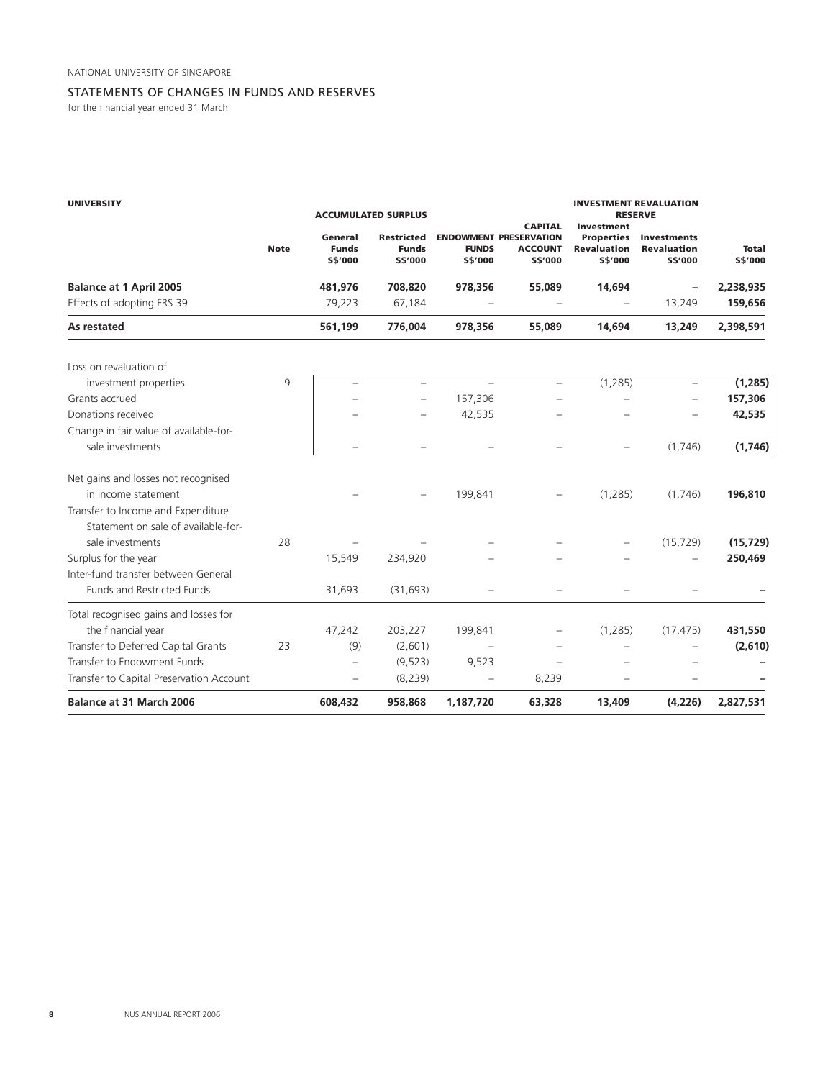# STATEMENTS OF CHANGES IN FUNDS AND RESERVES

for the financial year ended 31 March

| <b>UNIVERSITY</b>                        |             |                                           | <b>ACCUMULATED SURPLUS</b>                          |                                |                                                                                     | <b>INVESTMENT REVALUATION</b><br><b>RESERVE</b>                         |                                                            |                                |
|------------------------------------------|-------------|-------------------------------------------|-----------------------------------------------------|--------------------------------|-------------------------------------------------------------------------------------|-------------------------------------------------------------------------|------------------------------------------------------------|--------------------------------|
|                                          | <b>Note</b> | General<br><b>Funds</b><br><b>S\$'000</b> | <b>Restricted</b><br><b>Funds</b><br><b>S\$'000</b> | <b>FUNDS</b><br><b>S\$'000</b> | <b>CAPITAL</b><br><b>ENDOWMENT PRESERVATION</b><br><b>ACCOUNT</b><br><b>S\$'000</b> | Investment<br><b>Properties</b><br><b>Revaluation</b><br><b>S\$'000</b> | <b>Investments</b><br><b>Revaluation</b><br><b>S\$'000</b> | <b>Total</b><br><b>S\$'000</b> |
| <b>Balance at 1 April 2005</b>           |             | 481,976                                   | 708,820                                             | 978,356                        | 55,089                                                                              | 14,694                                                                  | $\overline{\phantom{m}}$                                   | 2,238,935                      |
| Effects of adopting FRS 39               |             | 79,223                                    | 67,184                                              |                                |                                                                                     | $\overline{\phantom{0}}$                                                | 13,249                                                     | 159,656                        |
| As restated                              |             | 561,199                                   | 776,004                                             | 978,356                        | 55,089                                                                              | 14,694                                                                  | 13,249                                                     | 2,398,591                      |
| Loss on revaluation of                   |             |                                           |                                                     |                                |                                                                                     |                                                                         |                                                            |                                |
| investment properties                    | 9           | $\overline{\phantom{0}}$                  | $\equiv$                                            | $\overline{\phantom{0}}$       |                                                                                     | (1, 285)                                                                | $\overline{\phantom{0}}$                                   | (1, 285)                       |
| Grants accrued                           |             |                                           |                                                     | 157,306                        |                                                                                     |                                                                         |                                                            | 157,306                        |
| Donations received                       |             |                                           |                                                     | 42,535                         |                                                                                     |                                                                         |                                                            | 42,535                         |
| Change in fair value of available-for-   |             |                                           |                                                     |                                |                                                                                     |                                                                         |                                                            |                                |
| sale investments                         |             |                                           |                                                     | $\overline{\phantom{0}}$       |                                                                                     | $\overline{\phantom{0}}$                                                | (1,746)                                                    | (1,746)                        |
| Net gains and losses not recognised      |             |                                           |                                                     |                                |                                                                                     |                                                                         |                                                            |                                |
| in income statement                      |             |                                           |                                                     | 199,841                        |                                                                                     | (1, 285)                                                                | (1,746)                                                    | 196,810                        |
| Transfer to Income and Expenditure       |             |                                           |                                                     |                                |                                                                                     |                                                                         |                                                            |                                |
| Statement on sale of available-for-      |             |                                           |                                                     |                                |                                                                                     |                                                                         |                                                            |                                |
| sale investments                         | 28          |                                           |                                                     |                                |                                                                                     |                                                                         | (15, 729)                                                  | (15, 729)                      |
| Surplus for the year                     |             | 15,549                                    | 234,920                                             |                                |                                                                                     |                                                                         |                                                            | 250,469                        |
| Inter-fund transfer between General      |             |                                           |                                                     |                                |                                                                                     |                                                                         |                                                            |                                |
| Funds and Restricted Funds               |             | 31,693                                    | (31, 693)                                           |                                |                                                                                     |                                                                         |                                                            |                                |
| Total recognised gains and losses for    |             |                                           |                                                     |                                |                                                                                     |                                                                         |                                                            |                                |
| the financial year                       |             | 47,242                                    | 203,227                                             | 199,841                        |                                                                                     | (1, 285)                                                                | (17, 475)                                                  | 431,550                        |
| Transfer to Deferred Capital Grants      | 23          | (9)                                       | (2,601)                                             |                                |                                                                                     |                                                                         |                                                            | (2,610)                        |
| Transfer to Endowment Funds              |             | $\overline{\phantom{0}}$                  | (9,523)                                             | 9,523                          |                                                                                     |                                                                         |                                                            |                                |
| Transfer to Capital Preservation Account |             | -                                         | (8, 239)                                            |                                | 8,239                                                                               |                                                                         |                                                            |                                |
| Balance at 31 March 2006                 |             | 608,432                                   | 958,868                                             | 1,187,720                      | 63,328                                                                              | 13,409                                                                  | (4,226)                                                    | 2,827,531                      |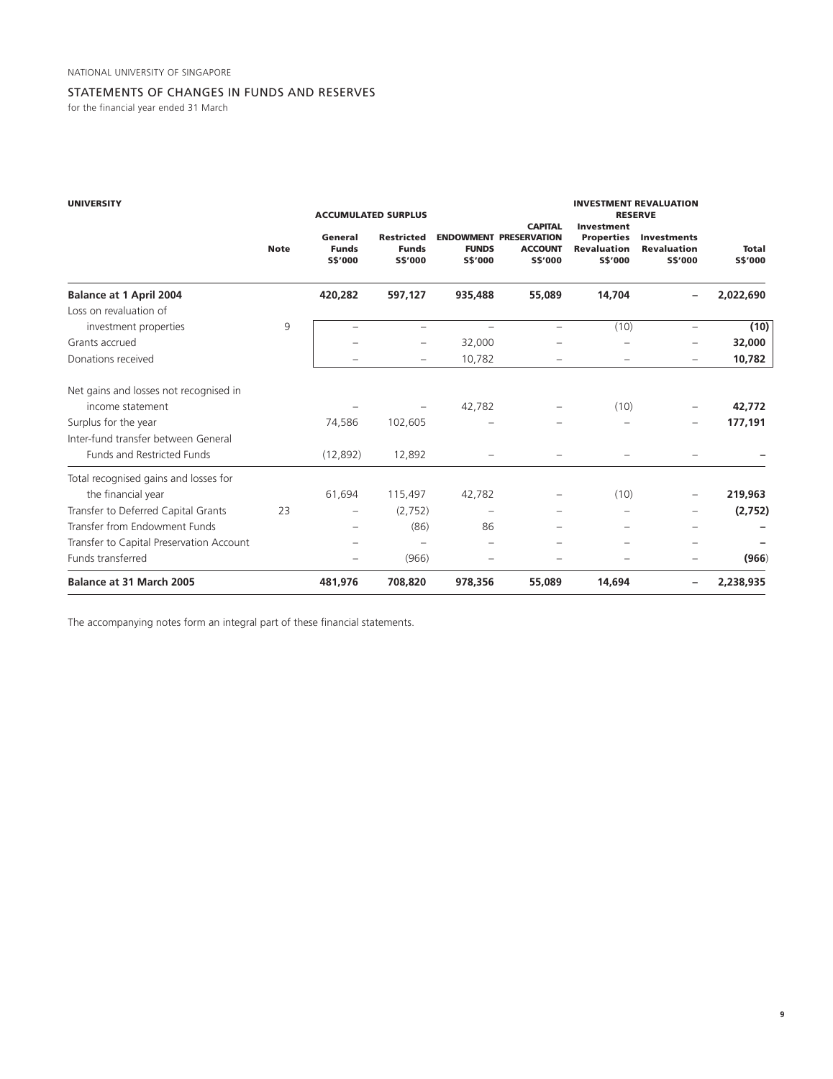# STATEMENTS OF CHANGES IN FUNDS AND RESERVES

for the financial year ended 31 March

| <b>UNIVERSITY</b>                        |             |                                           | <b>ACCUMULATED SURPLUS</b>                          |                                |                                                                              | <b>INVESTMENT REVALUATION</b><br><b>RESERVE</b>                                |                                                            |                                |  |
|------------------------------------------|-------------|-------------------------------------------|-----------------------------------------------------|--------------------------------|------------------------------------------------------------------------------|--------------------------------------------------------------------------------|------------------------------------------------------------|--------------------------------|--|
|                                          | <b>Note</b> | General<br><b>Funds</b><br><b>S\$'000</b> | <b>Restricted</b><br><b>Funds</b><br><b>S\$'000</b> | <b>FUNDS</b><br><b>S\$'000</b> | <b>CAPITAL</b><br><b>ENDOWMENT PRESERVATION</b><br><b>ACCOUNT</b><br>S\$'000 | <b>Investment</b><br><b>Properties</b><br><b>Revaluation</b><br><b>S\$'000</b> | <b>Investments</b><br><b>Revaluation</b><br><b>S\$'000</b> | <b>Total</b><br><b>S\$'000</b> |  |
| <b>Balance at 1 April 2004</b>           |             | 420.282                                   | 597,127                                             | 935,488                        | 55,089                                                                       | 14.704                                                                         | $\overline{\phantom{m}}$                                   | 2,022,690                      |  |
| Loss on revaluation of                   |             |                                           |                                                     |                                |                                                                              |                                                                                |                                                            |                                |  |
| investment properties                    | 9           | $\overline{\phantom{0}}$                  | Ξ.                                                  | $\overline{\phantom{0}}$       | $\overline{\phantom{0}}$                                                     | (10)                                                                           | $\overline{\phantom{0}}$                                   | (10)                           |  |
| Grants accrued                           |             |                                           |                                                     | 32,000                         |                                                                              |                                                                                |                                                            | 32,000                         |  |
| Donations received                       |             |                                           | Ξ.                                                  | 10,782                         | Ξ.                                                                           | $\overline{\phantom{0}}$                                                       | $\overline{\phantom{0}}$                                   | 10,782                         |  |
| Net gains and losses not recognised in   |             |                                           |                                                     |                                |                                                                              |                                                                                |                                                            |                                |  |
| income statement                         |             |                                           |                                                     | 42,782                         |                                                                              | (10)                                                                           |                                                            | 42,772                         |  |
| Surplus for the year                     |             | 74,586                                    | 102,605                                             |                                |                                                                              |                                                                                |                                                            | 177,191                        |  |
| Inter-fund transfer between General      |             |                                           |                                                     |                                |                                                                              |                                                                                |                                                            |                                |  |
| <b>Funds and Restricted Funds</b>        |             | (12, 892)                                 | 12,892                                              |                                |                                                                              |                                                                                |                                                            |                                |  |
| Total recognised gains and losses for    |             |                                           |                                                     |                                |                                                                              |                                                                                |                                                            |                                |  |
| the financial year                       |             | 61,694                                    | 115,497                                             | 42,782                         |                                                                              | (10)                                                                           |                                                            | 219,963                        |  |
| Transfer to Deferred Capital Grants      | 23          |                                           | (2,752)                                             |                                |                                                                              |                                                                                |                                                            | (2,752)                        |  |
| Transfer from Endowment Funds            |             |                                           | (86)                                                | 86                             |                                                                              |                                                                                |                                                            |                                |  |
| Transfer to Capital Preservation Account |             |                                           |                                                     | $\overline{\phantom{0}}$       |                                                                              |                                                                                |                                                            |                                |  |
| Funds transferred                        |             |                                           | (966)                                               |                                |                                                                              |                                                                                |                                                            | (966)                          |  |
| <b>Balance at 31 March 2005</b>          |             | 481,976                                   | 708,820                                             | 978,356                        | 55,089                                                                       | 14,694                                                                         |                                                            | 2,238,935                      |  |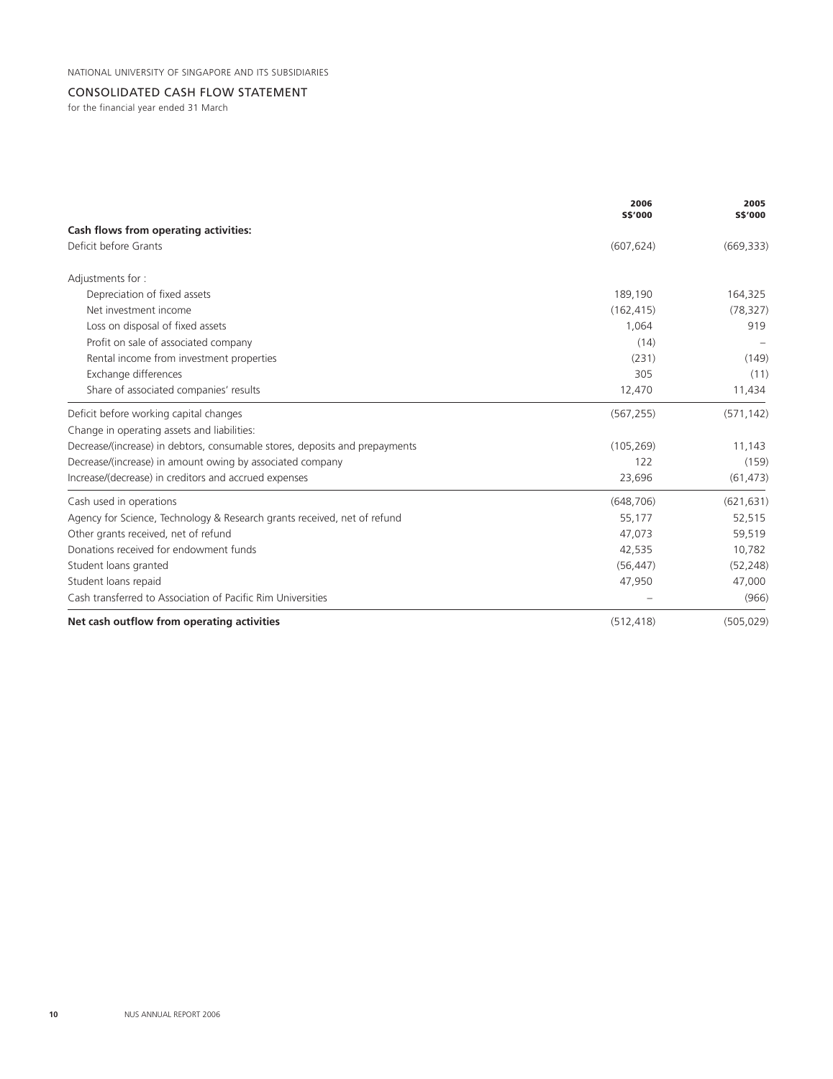# <span id="page-9-0"></span>CONSOLIDATED CASH FLOW STATEMENT

for the financial year ended 31 March

|                                                                             | 2006<br><b>S\$'000</b> | 2005<br><b>S\$'000</b> |
|-----------------------------------------------------------------------------|------------------------|------------------------|
| Cash flows from operating activities:                                       |                        |                        |
| Deficit before Grants                                                       | (607, 624)             | (669, 333)             |
| Adjustments for:                                                            |                        |                        |
| Depreciation of fixed assets                                                | 189,190                | 164,325                |
| Net investment income                                                       | (162, 415)             | (78, 327)              |
| Loss on disposal of fixed assets                                            | 1,064                  | 919                    |
| Profit on sale of associated company                                        | (14)                   |                        |
| Rental income from investment properties                                    | (231)                  | (149)                  |
| Exchange differences                                                        | 305                    | (11)                   |
| Share of associated companies' results                                      | 12,470                 | 11,434                 |
| Deficit before working capital changes                                      | (567, 255)             | (571, 142)             |
| Change in operating assets and liabilities:                                 |                        |                        |
| Decrease/(increase) in debtors, consumable stores, deposits and prepayments | (105, 269)             | 11,143                 |
| Decrease/(increase) in amount owing by associated company                   | 122                    | (159)                  |
| Increase/(decrease) in creditors and accrued expenses                       | 23,696                 | (61, 473)              |
| Cash used in operations                                                     | (648, 706)             | (621, 631)             |
| Agency for Science, Technology & Research grants received, net of refund    | 55,177                 | 52,515                 |
| Other grants received, net of refund                                        | 47,073                 | 59,519                 |
| Donations received for endowment funds                                      | 42,535                 | 10,782                 |
| Student loans granted                                                       | (56, 447)              | (52, 248)              |
| Student loans repaid                                                        | 47,950                 | 47,000                 |
| Cash transferred to Association of Pacific Rim Universities                 |                        | (966)                  |
| Net cash outflow from operating activities                                  | (512, 418)             | (505, 029)             |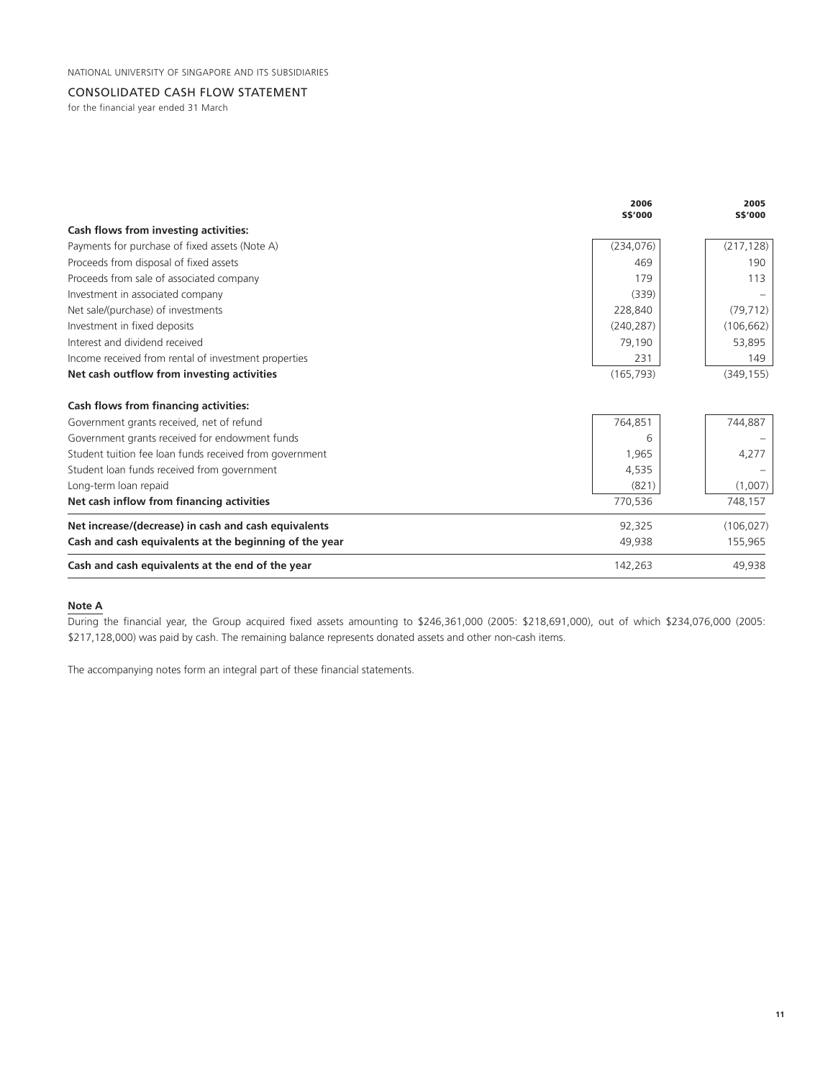# CONSOLIDATED CASH FLOW STATEMENT

for the financial year ended 31 March

|                                                         | 2006<br><b>S\$'000</b> | 2005<br><b>S\$'000</b> |
|---------------------------------------------------------|------------------------|------------------------|
| Cash flows from investing activities:                   |                        |                        |
| Payments for purchase of fixed assets (Note A)          | (234, 076)             | (217, 128)             |
| Proceeds from disposal of fixed assets                  | 469                    | 190                    |
| Proceeds from sale of associated company                | 179                    | 113                    |
| Investment in associated company                        | (339)                  |                        |
| Net sale/(purchase) of investments                      | 228,840                | (79, 712)              |
| Investment in fixed deposits                            | (240, 287)             | (106, 662)             |
| Interest and dividend received                          | 79,190                 | 53,895                 |
| Income received from rental of investment properties    | 231                    | 149                    |
| Net cash outflow from investing activities              | (165, 793)             | (349, 155)             |
| Cash flows from financing activities:                   |                        |                        |
| Government grants received, net of refund               | 764,851                | 744,887                |
| Government grants received for endowment funds          | 6                      |                        |
| Student tuition fee loan funds received from government | 1,965                  | 4,277                  |
| Student loan funds received from government             | 4,535                  |                        |
| Long-term loan repaid                                   | (821)                  | (1,007)                |
| Net cash inflow from financing activities               | 770,536                | 748,157                |
| Net increase/(decrease) in cash and cash equivalents    | 92,325                 | (106, 027)             |
| Cash and cash equivalents at the beginning of the year  | 49,938                 | 155,965                |
| Cash and cash equivalents at the end of the year        | 142,263                | 49,938                 |

# **Note A**

During the financial year, the Group acquired fixed assets amounting to \$246,361,000 (2005: \$218,691,000), out of which \$234,076,000 (2005: \$217,128,000) was paid by cash. The remaining balance represents donated assets and other non-cash items.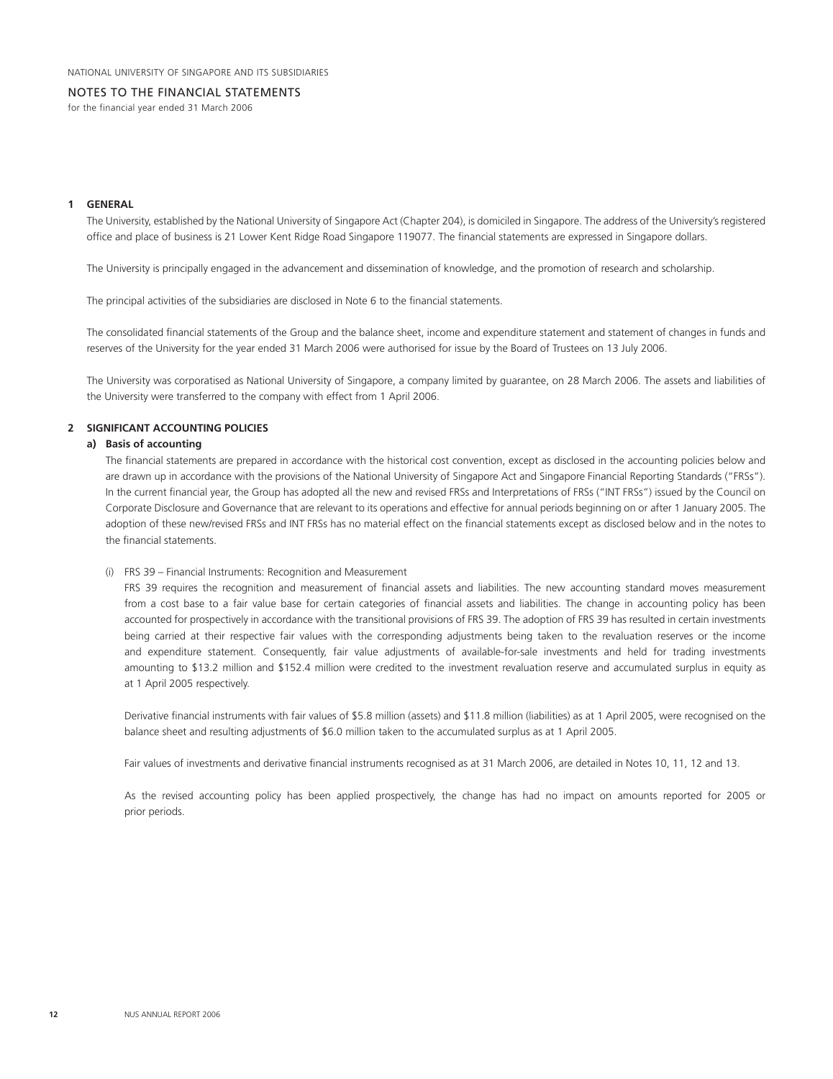<span id="page-11-0"></span>for the financial year ended 31 March 2006

### **1 GENERAL**

The University, established by the National University of Singapore Act (Chapter 204), is domiciled in Singapore. The address of the University's registered office and place of business is 21 Lower Kent Ridge Road Singapore 119077. The financial statements are expressed in Singapore dollars.

The University is principally engaged in the advancement and dissemination of knowledge, and the promotion of research and scholarship.

The principal activities of the subsidiaries are disclosed in Note 6 to the financial statements.

The consolidated financial statements of the Group and the balance sheet, income and expenditure statement and statement of changes in funds and reserves of the University for the year ended 31 March 2006 were authorised for issue by the Board of Trustees on 13 July 2006.

The University was corporatised as National University of Singapore, a company limited by guarantee, on 28 March 2006. The assets and liabilities of the University were transferred to the company with effect from 1 April 2006.

# **2 SIGNIFICANT ACCOUNTING POLICIES**

# **a) Basis of accounting**

The financial statements are prepared in accordance with the historical cost convention, except as disclosed in the accounting policies below and are drawn up in accordance with the provisions of the National University of Singapore Act and Singapore Financial Reporting Standards ("FRSs"). In the current financial year, the Group has adopted all the new and revised FRSs and Interpretations of FRSs ("INT FRSs") issued by the Council on Corporate Disclosure and Governance that are relevant to its operations and effective for annual periods beginning on or after 1 January 2005. The adoption of these new/revised FRSs and INT FRSs has no material effect on the financial statements except as disclosed below and in the notes to the financial statements.

### (i) FRS 39 – Financial Instruments: Recognition and Measurement

FRS 39 requires the recognition and measurement of financial assets and liabilities. The new accounting standard moves measurement from a cost base to a fair value base for certain categories of financial assets and liabilities. The change in accounting policy has been accounted for prospectively in accordance with the transitional provisions of FRS 39. The adoption of FRS 39 has resulted in certain investments being carried at their respective fair values with the corresponding adjustments being taken to the revaluation reserves or the income and expenditure statement. Consequently, fair value adjustments of available-for-sale investments and held for trading investments amounting to \$13.2 million and \$152.4 million were credited to the investment revaluation reserve and accumulated surplus in equity as at 1 April 2005 respectively.

Derivative financial instruments with fair values of \$5.8 million (assets) and \$11.8 million (liabilities) as at 1 April 2005, were recognised on the balance sheet and resulting adjustments of \$6.0 million taken to the accumulated surplus as at 1 April 2005.

Fair values of investments and derivative financial instruments recognised as at 31 March 2006, are detailed in Notes 10, 11, 12 and 13.

As the revised accounting policy has been applied prospectively, the change has had no impact on amounts reported for 2005 or prior periods.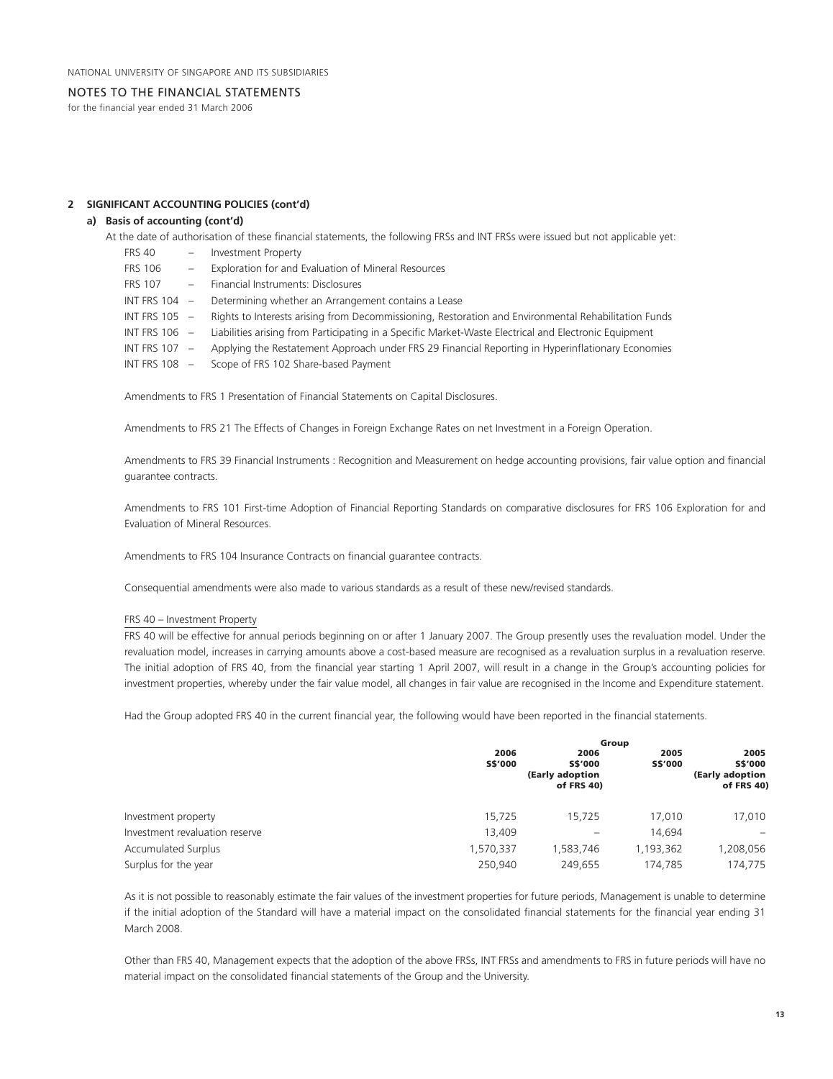for the financial year ended 31 March 2006

### **2 SIGNIFICANT ACCOUNTING POLICIES (cont'd)**

### **a) Basis of accounting (cont'd)**

At the date of authorisation of these financial statements, the following FRSs and INT FRSs were issued but not applicable yet:

- FRS 40 Investment Property
- FRS 106 Exploration for and Evaluation of Mineral Resources
- FRS 107 Financial Instruments: Disclosures
- INT FRS 104 Determining whether an Arrangement contains a Lease
- INT FRS 105 Rights to Interests arising from Decommissioning, Restoration and Environmental Rehabilitation Funds
- INT FRS 106 Liabilities arising from Participating in a Specific Market-Waste Electrical and Electronic Equipment
- INT FRS 107 Applying the Restatement Approach under FRS 29 Financial Reporting in Hyperinflationary Economies
- INT FRS 108 Scope of FRS 102 Share-based Payment

Amendments to FRS 1 Presentation of Financial Statements on Capital Disclosures.

Amendments to FRS 21 The Effects of Changes in Foreign Exchange Rates on net Investment in a Foreign Operation.

Amendments to FRS 39 Financial Instruments : Recognition and Measurement on hedge accounting provisions, fair value option and financial guarantee contracts.

Amendments to FRS 101 First-time Adoption of Financial Reporting Standards on comparative disclosures for FRS 106 Exploration for and Evaluation of Mineral Resources.

Amendments to FRS 104 Insurance Contracts on financial guarantee contracts.

Consequential amendments were also made to various standards as a result of these new/revised standards.

#### FRS 40 – Investment Property

FRS 40 will be effective for annual periods beginning on or after 1 January 2007. The Group presently uses the revaluation model. Under the revaluation model, increases in carrying amounts above a cost-based measure are recognised as a revaluation surplus in a revaluation reserve. The initial adoption of FRS 40, from the financial year starting 1 April 2007, will result in a change in the Group's accounting policies for investment properties, whereby under the fair value model, all changes in fair value are recognised in the Income and Expenditure statement.

Had the Group adopted FRS 40 in the current financial year, the following would have been reported in the financial statements.

|                                | Group                  |                                                         |                        |                                                         |  |  |
|--------------------------------|------------------------|---------------------------------------------------------|------------------------|---------------------------------------------------------|--|--|
|                                | 2006<br><b>S\$'000</b> | 2006<br><b>S\$'000</b><br>(Early adoption<br>of FRS 40) | 2005<br><b>S\$'000</b> | 2005<br><b>S\$'000</b><br>(Early adoption<br>of FRS 40) |  |  |
| Investment property            | 15.725                 | 15.725                                                  | 17,010                 | 17,010                                                  |  |  |
| Investment revaluation reserve | 13,409                 | —                                                       | 14.694                 | $\overline{\phantom{0}}$                                |  |  |
| <b>Accumulated Surplus</b>     | 1,570,337              | 1,583,746                                               | 1,193,362              | ,208,056                                                |  |  |
| Surplus for the year           | 250,940                | 249,655                                                 | 174,785                | 174,775                                                 |  |  |

As it is not possible to reasonably estimate the fair values of the investment properties for future periods, Management is unable to determine if the initial adoption of the Standard will have a material impact on the consolidated financial statements for the financial year ending 31 March 2008.

Other than FRS 40, Management expects that the adoption of the above FRSs, INT FRSs and amendments to FRS in future periods will have no material impact on the consolidated financial statements of the Group and the University.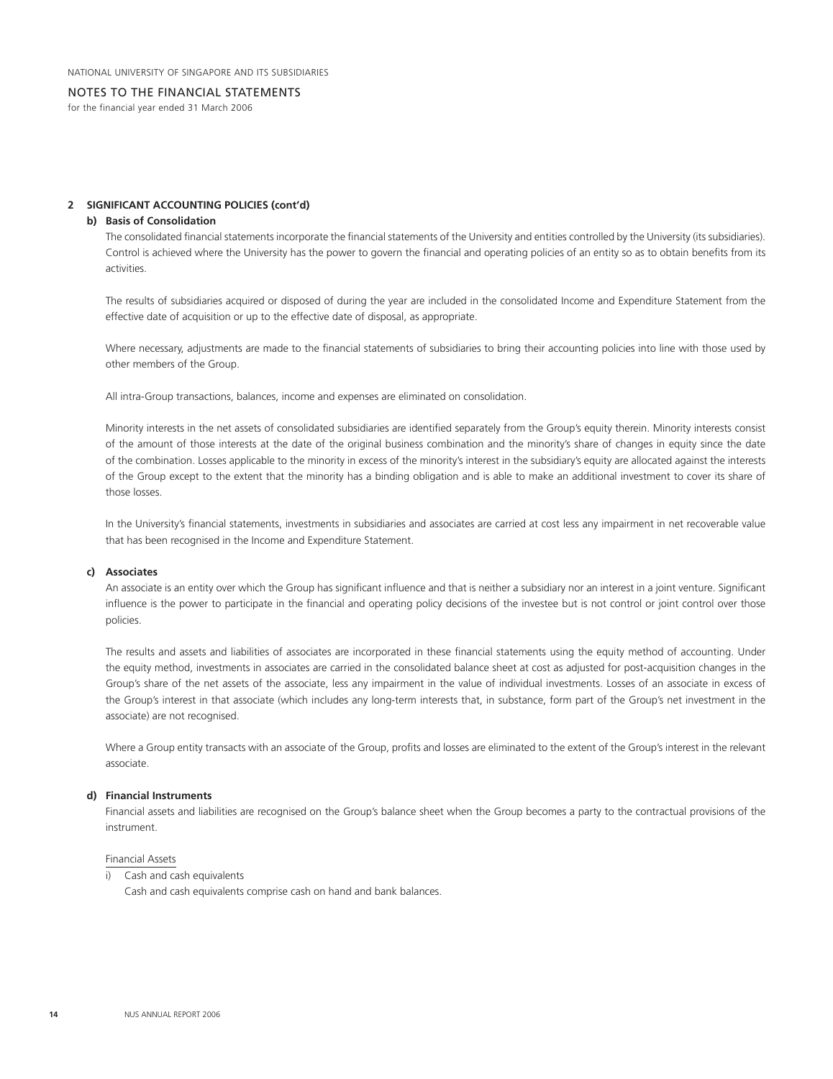for the financial year ended 31 March 2006

### **2 SIGNIFICANT ACCOUNTING POLICIES (cont'd)**

#### **b) Basis of Consolidation**

The consolidated financial statements incorporate the financial statements of the University and entities controlled by the University (its subsidiaries). Control is achieved where the University has the power to govern the financial and operating policies of an entity so as to obtain benefits from its activities.

The results of subsidiaries acquired or disposed of during the year are included in the consolidated Income and Expenditure Statement from the effective date of acquisition or up to the effective date of disposal, as appropriate.

Where necessary, adjustments are made to the financial statements of subsidiaries to bring their accounting policies into line with those used by other members of the Group.

All intra-Group transactions, balances, income and expenses are eliminated on consolidation.

Minority interests in the net assets of consolidated subsidiaries are identified separately from the Group's equity therein. Minority interests consist of the amount of those interests at the date of the original business combination and the minority's share of changes in equity since the date of the combination. Losses applicable to the minority in excess of the minority's interest in the subsidiary's equity are allocated against the interests of the Group except to the extent that the minority has a binding obligation and is able to make an additional investment to cover its share of those losses.

In the University's financial statements, investments in subsidiaries and associates are carried at cost less any impairment in net recoverable value that has been recognised in the Income and Expenditure Statement.

### **c) Associates**

An associate is an entity over which the Group has significant influence and that is neither a subsidiary nor an interest in a joint venture. Significant influence is the power to participate in the financial and operating policy decisions of the investee but is not control or joint control over those policies.

The results and assets and liabilities of associates are incorporated in these financial statements using the equity method of accounting. Under the equity method, investments in associates are carried in the consolidated balance sheet at cost as adjusted for post-acquisition changes in the Group's share of the net assets of the associate, less any impairment in the value of individual investments. Losses of an associate in excess of the Group's interest in that associate (which includes any long-term interests that, in substance, form part of the Group's net investment in the associate) are not recognised.

Where a Group entity transacts with an associate of the Group, profits and losses are eliminated to the extent of the Group's interest in the relevant associate.

#### **d) Financial Instruments**

 Financial assets and liabilities are recognised on the Group's balance sheet when the Group becomes a party to the contractual provisions of the instrument.

#### Financial Assets

i) Cash and cash equivalents

Cash and cash equivalents comprise cash on hand and bank balances.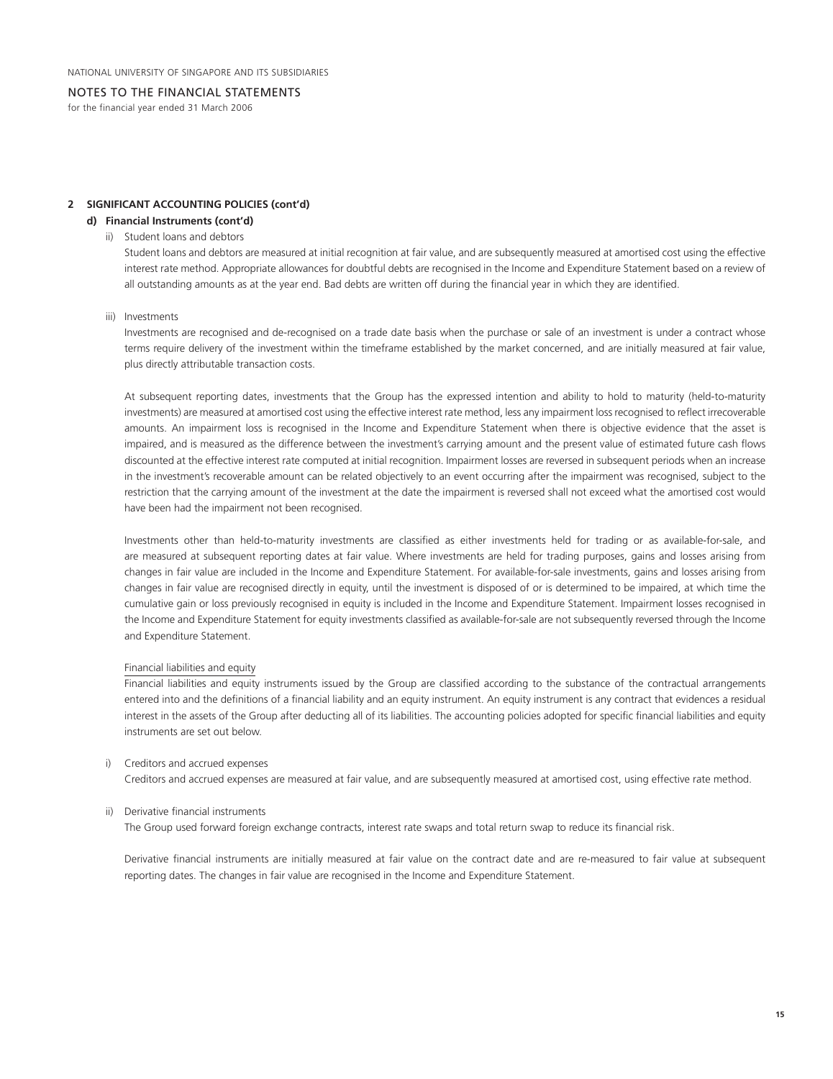for the financial year ended 31 March 2006

### **2 SIGNIFICANT ACCOUNTING POLICIES (cont'd)**

### **d) Financial Instruments (cont'd)**

### ii) Student loans and debtors

Student loans and debtors are measured at initial recognition at fair value, and are subsequently measured at amortised cost using the effective interest rate method. Appropriate allowances for doubtful debts are recognised in the Income and Expenditure Statement based on a review of all outstanding amounts as at the year end. Bad debts are written off during the financial year in which they are identified.

#### iii) Investments

Investments are recognised and de-recognised on a trade date basis when the purchase or sale of an investment is under a contract whose terms require delivery of the investment within the timeframe established by the market concerned, and are initially measured at fair value, plus directly attributable transaction costs.

At subsequent reporting dates, investments that the Group has the expressed intention and ability to hold to maturity (held-to-maturity investments) are measured at amortised cost using the effective interest rate method, less any impairment loss recognised to reflect irrecoverable amounts. An impairment loss is recognised in the Income and Expenditure Statement when there is objective evidence that the asset is impaired, and is measured as the difference between the investment's carrying amount and the present value of estimated future cash flows discounted at the effective interest rate computed at initial recognition. Impairment losses are reversed in subsequent periods when an increase in the investment's recoverable amount can be related objectively to an event occurring after the impairment was recognised, subject to the restriction that the carrying amount of the investment at the date the impairment is reversed shall not exceed what the amortised cost would have been had the impairment not been recognised.

Investments other than held-to-maturity investments are classified as either investments held for trading or as available-for-sale, and are measured at subsequent reporting dates at fair value. Where investments are held for trading purposes, gains and losses arising from changes in fair value are included in the Income and Expenditure Statement. For available-for-sale investments, gains and losses arising from changes in fair value are recognised directly in equity, until the investment is disposed of or is determined to be impaired, at which time the cumulative gain or loss previously recognised in equity is included in the Income and Expenditure Statement. Impairment losses recognised in the Income and Expenditure Statement for equity investments classified as available-for-sale are not subsequently reversed through the Income and Expenditure Statement.

#### Financial liabilities and equity

Financial liabilities and equity instruments issued by the Group are classified according to the substance of the contractual arrangements entered into and the definitions of a financial liability and an equity instrument. An equity instrument is any contract that evidences a residual interest in the assets of the Group after deducting all of its liabilities. The accounting policies adopted for specific financial liabilities and equity instruments are set out below.

### i) Creditors and accrued expenses

Creditors and accrued expenses are measured at fair value, and are subsequently measured at amortised cost, using effective rate method.

## ii) Derivative financial instruments

The Group used forward foreign exchange contracts, interest rate swaps and total return swap to reduce its financial risk.

Derivative financial instruments are initially measured at fair value on the contract date and are re-measured to fair value at subsequent reporting dates. The changes in fair value are recognised in the Income and Expenditure Statement.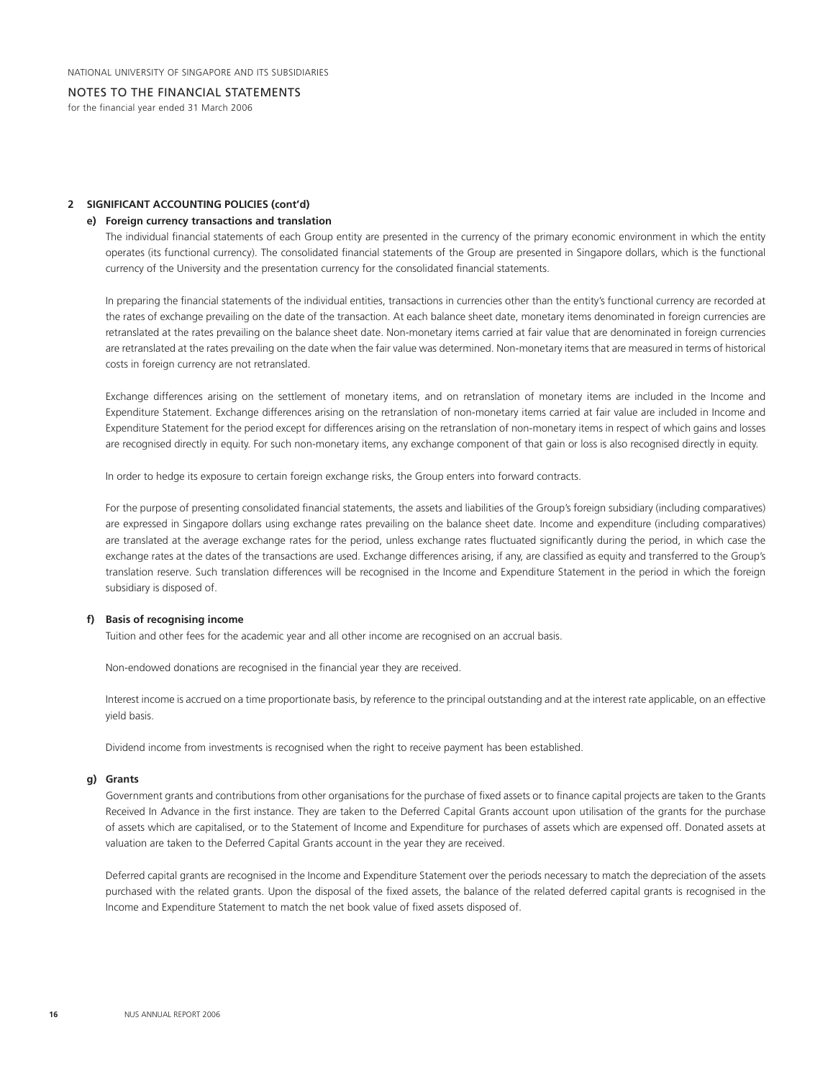NOTES TO THE FINANCIAL STATEMENTS for the financial year ended 31 March 2006

### **2 SIGNIFICANT ACCOUNTING POLICIES (cont'd)**

#### **e) Foreign currency transactions and translation**

The individual financial statements of each Group entity are presented in the currency of the primary economic environment in which the entity operates (its functional currency). The consolidated financial statements of the Group are presented in Singapore dollars, which is the functional currency of the University and the presentation currency for the consolidated financial statements.

In preparing the financial statements of the individual entities, transactions in currencies other than the entity's functional currency are recorded at the rates of exchange prevailing on the date of the transaction. At each balance sheet date, monetary items denominated in foreign currencies are retranslated at the rates prevailing on the balance sheet date. Non-monetary items carried at fair value that are denominated in foreign currencies are retranslated at the rates prevailing on the date when the fair value was determined. Non-monetary items that are measured in terms of historical costs in foreign currency are not retranslated.

Exchange differences arising on the settlement of monetary items, and on retranslation of monetary items are included in the Income and Expenditure Statement. Exchange differences arising on the retranslation of non-monetary items carried at fair value are included in Income and Expenditure Statement for the period except for differences arising on the retranslation of non-monetary items in respect of which gains and losses are recognised directly in equity. For such non-monetary items, any exchange component of that gain or loss is also recognised directly in equity.

In order to hedge its exposure to certain foreign exchange risks, the Group enters into forward contracts.

For the purpose of presenting consolidated financial statements, the assets and liabilities of the Group's foreign subsidiary (including comparatives) are expressed in Singapore dollars using exchange rates prevailing on the balance sheet date. Income and expenditure (including comparatives) are translated at the average exchange rates for the period, unless exchange rates fluctuated significantly during the period, in which case the exchange rates at the dates of the transactions are used. Exchange differences arising, if any, are classified as equity and transferred to the Group's translation reserve. Such translation differences will be recognised in the Income and Expenditure Statement in the period in which the foreign subsidiary is disposed of.

#### **f) Basis of recognising income**

Tuition and other fees for the academic year and all other income are recognised on an accrual basis.

Non-endowed donations are recognised in the financial year they are received.

Interest income is accrued on a time proportionate basis, by reference to the principal outstanding and at the interest rate applicable, on an effective yield basis.

Dividend income from investments is recognised when the right to receive payment has been established.

### **g) Grants**

Government grants and contributions from other organisations for the purchase of fixed assets or to finance capital projects are taken to the Grants Received In Advance in the first instance. They are taken to the Deferred Capital Grants account upon utilisation of the grants for the purchase of assets which are capitalised, or to the Statement of Income and Expenditure for purchases of assets which are expensed off. Donated assets at valuation are taken to the Deferred Capital Grants account in the year they are received.

Deferred capital grants are recognised in the Income and Expenditure Statement over the periods necessary to match the depreciation of the assets purchased with the related grants. Upon the disposal of the fixed assets, the balance of the related deferred capital grants is recognised in the Income and Expenditure Statement to match the net book value of fixed assets disposed of.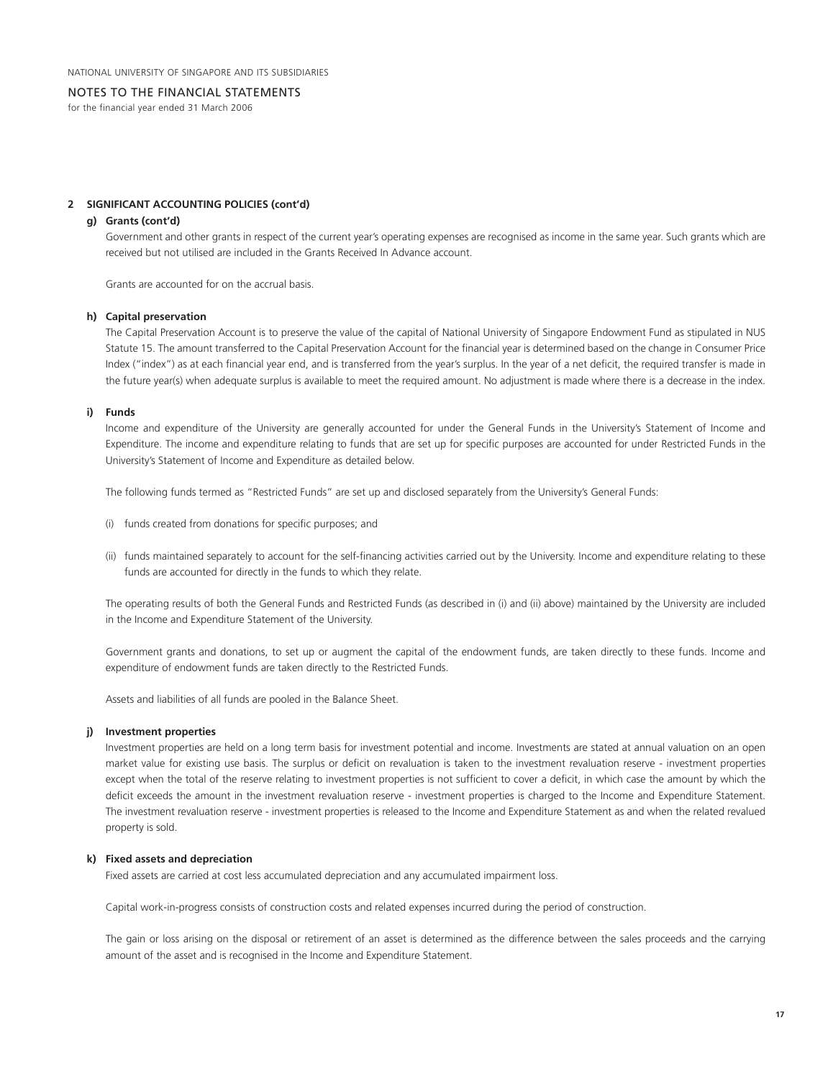for the financial year ended 31 March 2006

### **2 SIGNIFICANT ACCOUNTING POLICIES (cont'd)**

#### **g) Grants (cont'd)**

Government and other grants in respect of the current year's operating expenses are recognised as income in the same year. Such grants which are received but not utilised are included in the Grants Received In Advance account.

Grants are accounted for on the accrual basis.

### **h) Capital preservation**

The Capital Preservation Account is to preserve the value of the capital of National University of Singapore Endowment Fund as stipulated in NUS Statute 15. The amount transferred to the Capital Preservation Account for the financial year is determined based on the change in Consumer Price Index ("index") as at each financial year end, and is transferred from the year's surplus. In the year of a net deficit, the required transfer is made in the future year(s) when adequate surplus is available to meet the required amount. No adjustment is made where there is a decrease in the index.

#### **i) Funds**

Income and expenditure of the University are generally accounted for under the General Funds in the University's Statement of Income and Expenditure. The income and expenditure relating to funds that are set up for specific purposes are accounted for under Restricted Funds in the University's Statement of Income and Expenditure as detailed below.

The following funds termed as "Restricted Funds" are set up and disclosed separately from the University's General Funds:

- (i) funds created from donations for specific purposes; and
- (ii) funds maintained separately to account for the self-financing activities carried out by the University. Income and expenditure relating to these funds are accounted for directly in the funds to which they relate.

The operating results of both the General Funds and Restricted Funds (as described in (i) and (ii) above) maintained by the University are included in the Income and Expenditure Statement of the University.

Government grants and donations, to set up or augment the capital of the endowment funds, are taken directly to these funds. Income and expenditure of endowment funds are taken directly to the Restricted Funds.

Assets and liabilities of all funds are pooled in the Balance Sheet.

#### **j) Investment properties**

 Investment properties are held on a long term basis for investment potential and income. Investments are stated at annual valuation on an open market value for existing use basis. The surplus or deficit on revaluation is taken to the investment revaluation reserve - investment properties except when the total of the reserve relating to investment properties is not sufficient to cover a deficit, in which case the amount by which the deficit exceeds the amount in the investment revaluation reserve - investment properties is charged to the Income and Expenditure Statement. The investment revaluation reserve - investment properties is released to the Income and Expenditure Statement as and when the related revalued property is sold.

#### **k) Fixed assets and depreciation**

Fixed assets are carried at cost less accumulated depreciation and any accumulated impairment loss.

Capital work-in-progress consists of construction costs and related expenses incurred during the period of construction.

The gain or loss arising on the disposal or retirement of an asset is determined as the difference between the sales proceeds and the carrying amount of the asset and is recognised in the Income and Expenditure Statement.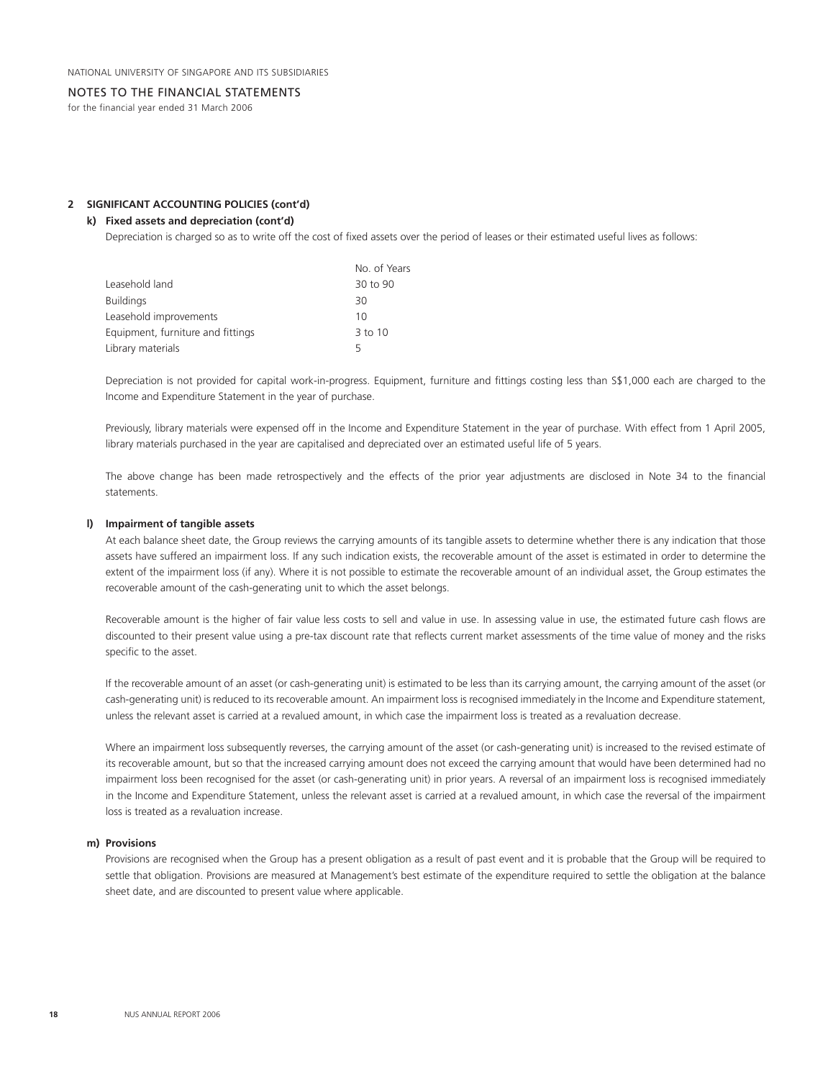for the financial year ended 31 March 2006

### **2 SIGNIFICANT ACCOUNTING POLICIES (cont'd)**

# **k) Fixed assets and depreciation (cont'd)**

Depreciation is charged so as to write off the cost of fixed assets over the period of leases or their estimated useful lives as follows:

|                                   | No. of Years |
|-----------------------------------|--------------|
| Leasehold land                    | 30 to 90     |
| <b>Buildings</b>                  | 30           |
| Leasehold improvements            | 10           |
| Equipment, furniture and fittings | 3 to 10      |
| Library materials                 | 5            |

Depreciation is not provided for capital work-in-progress. Equipment, furniture and fittings costing less than S\$1,000 each are charged to the Income and Expenditure Statement in the year of purchase.

Previously, library materials were expensed off in the Income and Expenditure Statement in the year of purchase. With effect from 1 April 2005, library materials purchased in the year are capitalised and depreciated over an estimated useful life of 5 years.

The above change has been made retrospectively and the effects of the prior year adjustments are disclosed in Note 34 to the financial statements.

#### **l) Impairment of tangible assets**

At each balance sheet date, the Group reviews the carrying amounts of its tangible assets to determine whether there is any indication that those assets have suffered an impairment loss. If any such indication exists, the recoverable amount of the asset is estimated in order to determine the extent of the impairment loss (if any). Where it is not possible to estimate the recoverable amount of an individual asset, the Group estimates the recoverable amount of the cash-generating unit to which the asset belongs.

Recoverable amount is the higher of fair value less costs to sell and value in use. In assessing value in use, the estimated future cash flows are discounted to their present value using a pre-tax discount rate that reflects current market assessments of the time value of money and the risks specific to the asset.

If the recoverable amount of an asset (or cash-generating unit) is estimated to be less than its carrying amount, the carrying amount of the asset (or cash-generating unit) is reduced to its recoverable amount. An impairment loss is recognised immediately in the Income and Expenditure statement, unless the relevant asset is carried at a revalued amount, in which case the impairment loss is treated as a revaluation decrease.

Where an impairment loss subsequently reverses, the carrying amount of the asset (or cash-generating unit) is increased to the revised estimate of its recoverable amount, but so that the increased carrying amount does not exceed the carrying amount that would have been determined had no impairment loss been recognised for the asset (or cash-generating unit) in prior years. A reversal of an impairment loss is recognised immediately in the Income and Expenditure Statement, unless the relevant asset is carried at a revalued amount, in which case the reversal of the impairment loss is treated as a revaluation increase.

### **m) Provisions**

Provisions are recognised when the Group has a present obligation as a result of past event and it is probable that the Group will be required to settle that obligation. Provisions are measured at Management's best estimate of the expenditure required to settle the obligation at the balance sheet date, and are discounted to present value where applicable.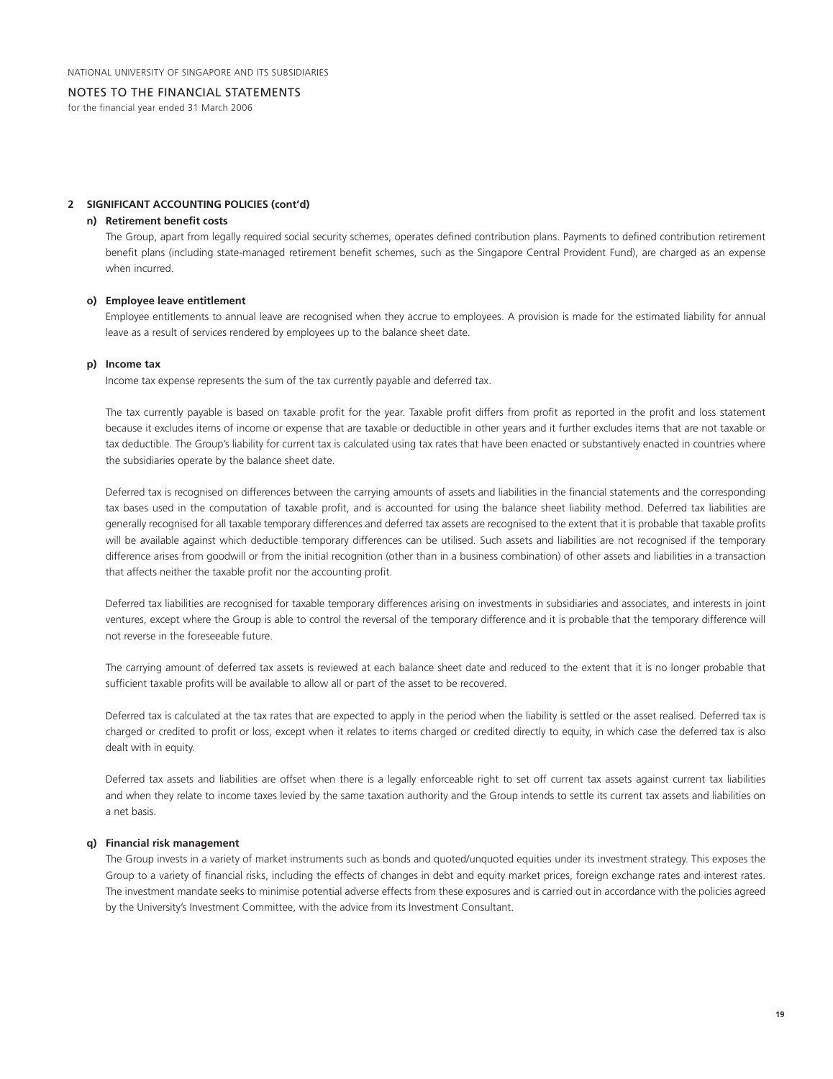for the financial year ended 31 March 2006

### **2 SIGNIFICANT ACCOUNTING POLICIES (cont'd)**

### **n) Retirement benefit costs**

The Group, apart from legally required social security schemes, operates defined contribution plans. Payments to defined contribution retirement benefit plans (including state-managed retirement benefit schemes, such as the Singapore Central Provident Fund), are charged as an expense when incurred.

#### **o) Employee leave entitlement**

Employee entitlements to annual leave are recognised when they accrue to employees. A provision is made for the estimated liability for annual leave as a result of services rendered by employees up to the balance sheet date.

#### **p) Income tax**

Income tax expense represents the sum of the tax currently payable and deferred tax.

The tax currently payable is based on taxable profit for the year. Taxable profit differs from profit as reported in the profit and loss statement because it excludes items of income or expense that are taxable or deductible in other years and it further excludes items that are not taxable or tax deductible. The Group's liability for current tax is calculated using tax rates that have been enacted or substantively enacted in countries where the subsidiaries operate by the balance sheet date.

Deferred tax is recognised on differences between the carrying amounts of assets and liabilities in the financial statements and the corresponding tax bases used in the computation of taxable profit, and is accounted for using the balance sheet liability method. Deferred tax liabilities are generally recognised for all taxable temporary differences and deferred tax assets are recognised to the extent that it is probable that taxable profits will be available against which deductible temporary differences can be utilised. Such assets and liabilities are not recognised if the temporary difference arises from goodwill or from the initial recognition (other than in a business combination) of other assets and liabilities in a transaction that affects neither the taxable profit nor the accounting profit.

Deferred tax liabilities are recognised for taxable temporary differences arising on investments in subsidiaries and associates, and interests in joint ventures, except where the Group is able to control the reversal of the temporary difference and it is probable that the temporary difference will not reverse in the foreseeable future.

The carrying amount of deferred tax assets is reviewed at each balance sheet date and reduced to the extent that it is no longer probable that sufficient taxable profits will be available to allow all or part of the asset to be recovered.

Deferred tax is calculated at the tax rates that are expected to apply in the period when the liability is settled or the asset realised. Deferred tax is charged or credited to profit or loss, except when it relates to items charged or credited directly to equity, in which case the deferred tax is also dealt with in equity.

Deferred tax assets and liabilities are offset when there is a legally enforceable right to set off current tax assets against current tax liabilities and when they relate to income taxes levied by the same taxation authority and the Group intends to settle its current tax assets and liabilities on a net basis.

### **q) Financial risk management**

The Group invests in a variety of market instruments such as bonds and quoted/unquoted equities under its investment strategy. This exposes the Group to a variety of financial risks, including the effects of changes in debt and equity market prices, foreign exchange rates and interest rates. The investment mandate seeks to minimise potential adverse effects from these exposures and is carried out in accordance with the policies agreed by the University's Investment Committee, with the advice from its Investment Consultant.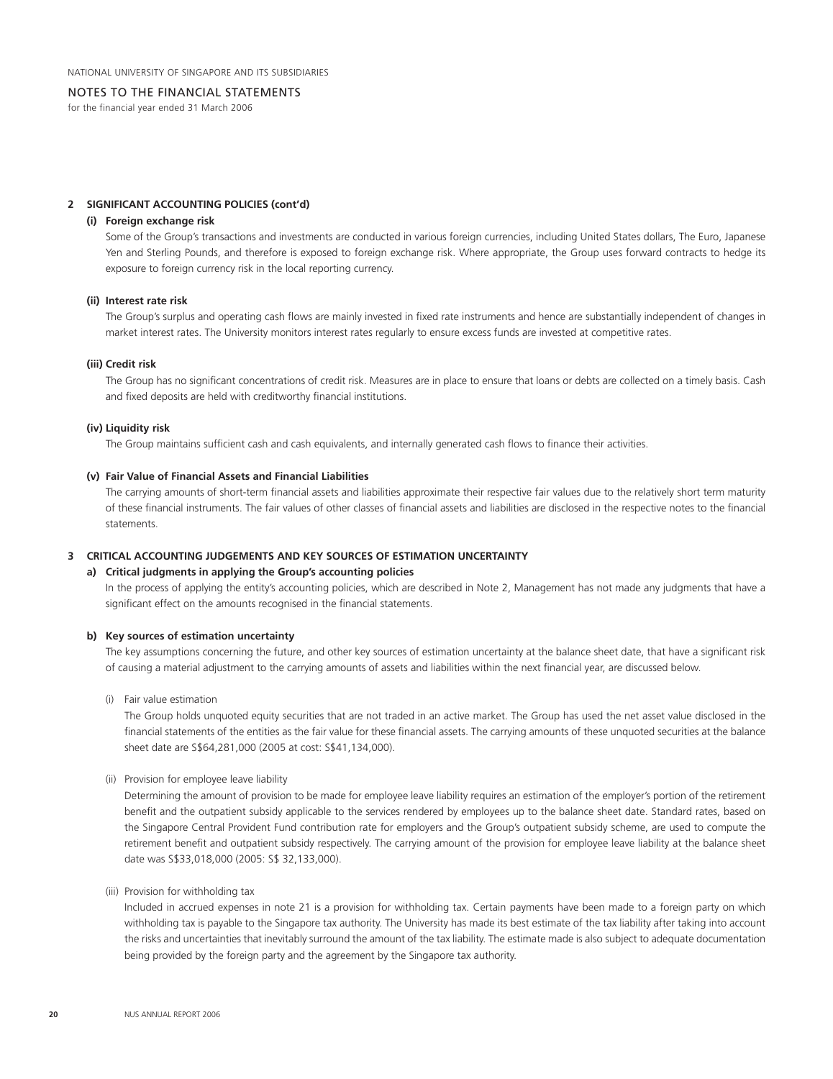for the financial year ended 31 March 2006

### **2 SIGNIFICANT ACCOUNTING POLICIES (cont'd)**

#### **(i) Foreign exchange risk**

Some of the Group's transactions and investments are conducted in various foreign currencies, including United States dollars, The Euro, Japanese Yen and Sterling Pounds, and therefore is exposed to foreign exchange risk. Where appropriate, the Group uses forward contracts to hedge its exposure to foreign currency risk in the local reporting currency.

#### **(ii) Interest rate risk**

The Group's surplus and operating cash flows are mainly invested in fixed rate instruments and hence are substantially independent of changes in market interest rates. The University monitors interest rates regularly to ensure excess funds are invested at competitive rates.

### **(iii) Credit risk**

The Group has no significant concentrations of credit risk. Measures are in place to ensure that loans or debts are collected on a timely basis. Cash and fixed deposits are held with creditworthy financial institutions.

#### **(iv) Liquidity risk**

The Group maintains sufficient cash and cash equivalents, and internally generated cash flows to finance their activities.

### **(v) Fair Value of Financial Assets and Financial Liabilities**

The carrying amounts of short-term financial assets and liabilities approximate their respective fair values due to the relatively short term maturity of these financial instruments. The fair values of other classes of financial assets and liabilities are disclosed in the respective notes to the financial statements.

### **3 CRITICAL ACCOUNTING JUDGEMENTS AND KEY SOURCES OF ESTIMATION UNCERTAINTY**

### **a) Critical judgments in applying the Group's accounting policies**

In the process of applying the entity's accounting policies, which are described in Note 2, Management has not made any judgments that have a significant effect on the amounts recognised in the financial statements.

#### **b) Key sources of estimation uncertainty**

The key assumptions concerning the future, and other key sources of estimation uncertainty at the balance sheet date, that have a significant risk of causing a material adjustment to the carrying amounts of assets and liabilities within the next financial year, are discussed below.

### (i) Fair value estimation

 The Group holds unquoted equity securities that are not traded in an active market. The Group has used the net asset value disclosed in the financial statements of the entities as the fair value for these financial assets. The carrying amounts of these unquoted securities at the balance sheet date are S\$64,281,000 (2005 at cost: S\$41,134,000).

#### (ii) Provision for employee leave liability

 Determining the amount of provision to be made for employee leave liability requires an estimation of the employer's portion of the retirement benefit and the outpatient subsidy applicable to the services rendered by employees up to the balance sheet date. Standard rates, based on the Singapore Central Provident Fund contribution rate for employers and the Group's outpatient subsidy scheme, are used to compute the retirement benefit and outpatient subsidy respectively. The carrying amount of the provision for employee leave liability at the balance sheet date was S\$33,018,000 (2005: S\$ 32,133,000).

#### (iii) Provision for withholding tax

 Included in accrued expenses in note 21 is a provision for withholding tax. Certain payments have been made to a foreign party on which withholding tax is payable to the Singapore tax authority. The University has made its best estimate of the tax liability after taking into account the risks and uncertainties that inevitably surround the amount of the tax liability. The estimate made is also subject to adequate documentation being provided by the foreign party and the agreement by the Singapore tax authority.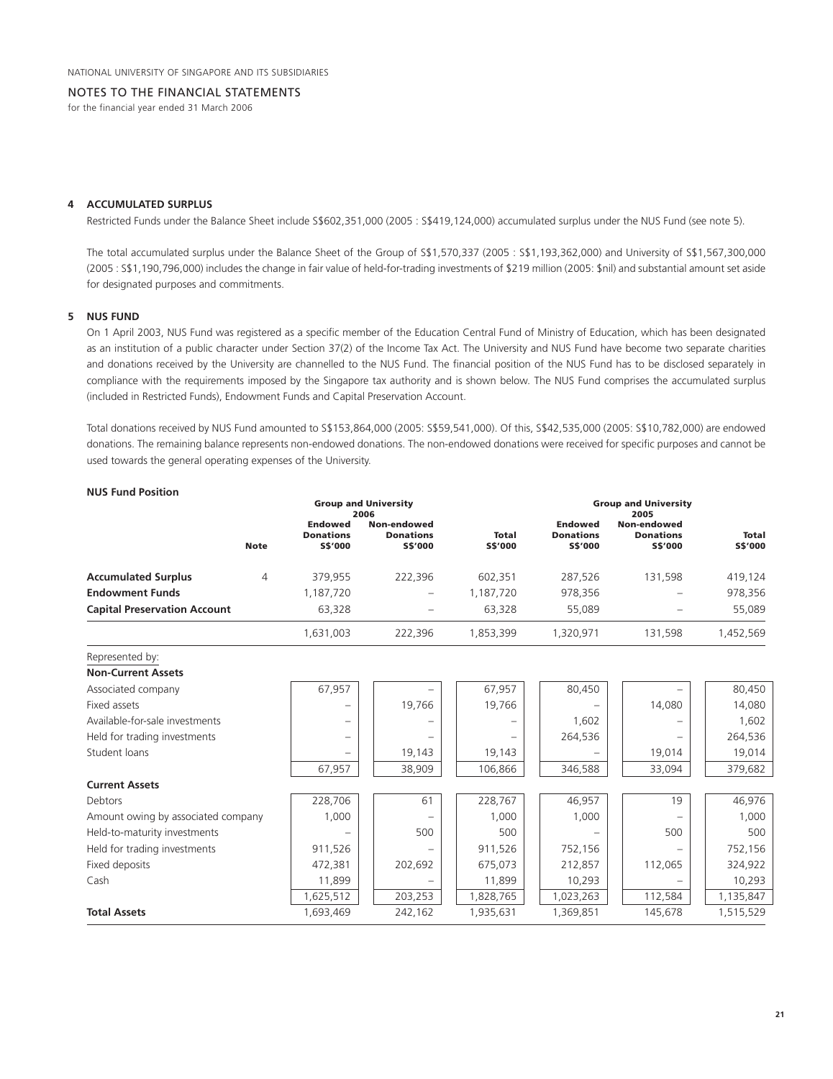for the financial year ended 31 March 2006

#### **4 ACCUMULATED SURPLUS**

Restricted Funds under the Balance Sheet include S\$602,351,000 (2005 : S\$419,124,000) accumulated surplus under the NUS Fund (see note 5).

The total accumulated surplus under the Balance Sheet of the Group of S\$1,570,337 (2005 : S\$1,193,362,000) and University of S\$1,567,300,000 (2005 : S\$1,190,796,000) includes the change in fair value of held-for-trading investments of \$219 million (2005: \$nil) and substantial amount set aside for designated purposes and commitments.

### **5 NUS FUND**

On 1 April 2003, NUS Fund was registered as a specific member of the Education Central Fund of Ministry of Education, which has been designated as an institution of a public character under Section 37(2) of the Income Tax Act. The University and NUS Fund have become two separate charities and donations received by the University are channelled to the NUS Fund. The financial position of the NUS Fund has to be disclosed separately in compliance with the requirements imposed by the Singapore tax authority and is shown below. The NUS Fund comprises the accumulated surplus (included in Restricted Funds), Endowment Funds and Capital Preservation Account.

Total donations received by NUS Fund amounted to S\$153,864,000 (2005: S\$59,541,000). Of this, S\$42,535,000 (2005: S\$10,782,000) are endowed donations. The remaining balance represents non-endowed donations. The non-endowed donations were received for specific purposes and cannot be used towards the general operating expenses of the University.

| <b>NUS Fund Position</b>            |             |                                    | <b>Group and University</b>             |                |                                    | <b>Group and University</b>             |                |
|-------------------------------------|-------------|------------------------------------|-----------------------------------------|----------------|------------------------------------|-----------------------------------------|----------------|
|                                     |             | <b>Endowed</b><br><b>Donations</b> | 2006<br>Non-endowed<br><b>Donations</b> | <b>Total</b>   | <b>Endowed</b><br><b>Donations</b> | 2005<br>Non-endowed<br><b>Donations</b> | <b>Total</b>   |
|                                     | <b>Note</b> | <b>S\$'000</b>                     | <b>S\$'000</b>                          | <b>S\$'000</b> | <b>S\$'000</b>                     | <b>S\$'000</b>                          | <b>S\$'000</b> |
| <b>Accumulated Surplus</b>          | 4           | 379,955                            | 222,396                                 | 602,351        | 287,526                            | 131,598                                 | 419,124        |
| <b>Endowment Funds</b>              |             | 1,187,720                          |                                         | 1,187,720      | 978,356                            |                                         | 978,356        |
| <b>Capital Preservation Account</b> |             | 63,328                             |                                         | 63,328         | 55,089                             |                                         | 55,089         |
|                                     |             | 1,631,003                          | 222,396                                 | 1,853,399      | 1,320,971                          | 131,598                                 | 1,452,569      |
| Represented by:                     |             |                                    |                                         |                |                                    |                                         |                |
| <b>Non-Current Assets</b>           |             |                                    |                                         |                |                                    |                                         |                |
| Associated company                  |             | 67,957                             |                                         | 67,957         | 80,450                             |                                         | 80,450         |
| Fixed assets                        |             |                                    | 19,766                                  | 19,766         |                                    | 14,080                                  | 14,080         |
| Available-for-sale investments      |             |                                    |                                         |                | 1,602                              |                                         | 1,602          |
| Held for trading investments        |             |                                    |                                         |                | 264,536                            |                                         | 264,536        |
| Student loans                       |             |                                    | 19,143                                  | 19,143         |                                    | 19,014                                  | 19,014         |
|                                     |             | 67,957                             | 38,909                                  | 106,866        | 346,588                            | 33,094                                  | 379,682        |
| <b>Current Assets</b>               |             |                                    |                                         |                |                                    |                                         |                |
| Debtors                             |             | 228,706                            | 61                                      | 228,767        | 46,957                             | 19                                      | 46,976         |
| Amount owing by associated company  |             | 1,000                              |                                         | 1.000          | 1,000                              |                                         | 1,000          |
| Held-to-maturity investments        |             |                                    | 500                                     | 500            |                                    | 500                                     | 500            |
| Held for trading investments        |             | 911,526                            |                                         | 911,526        | 752,156                            |                                         | 752,156        |
| Fixed deposits                      |             | 472,381                            | 202,692                                 | 675,073        | 212,857                            | 112,065                                 | 324,922        |
| Cash                                |             | 11,899                             |                                         | 11,899         | 10,293                             |                                         | 10,293         |
|                                     |             | 1,625,512                          | 203,253                                 | 1,828,765      | 1,023,263                          | 112,584                                 | 1,135,847      |
| <b>Total Assets</b>                 |             | 1,693,469                          | 242,162                                 | 1,935,631      | 1,369,851                          | 145,678                                 | 1,515,529      |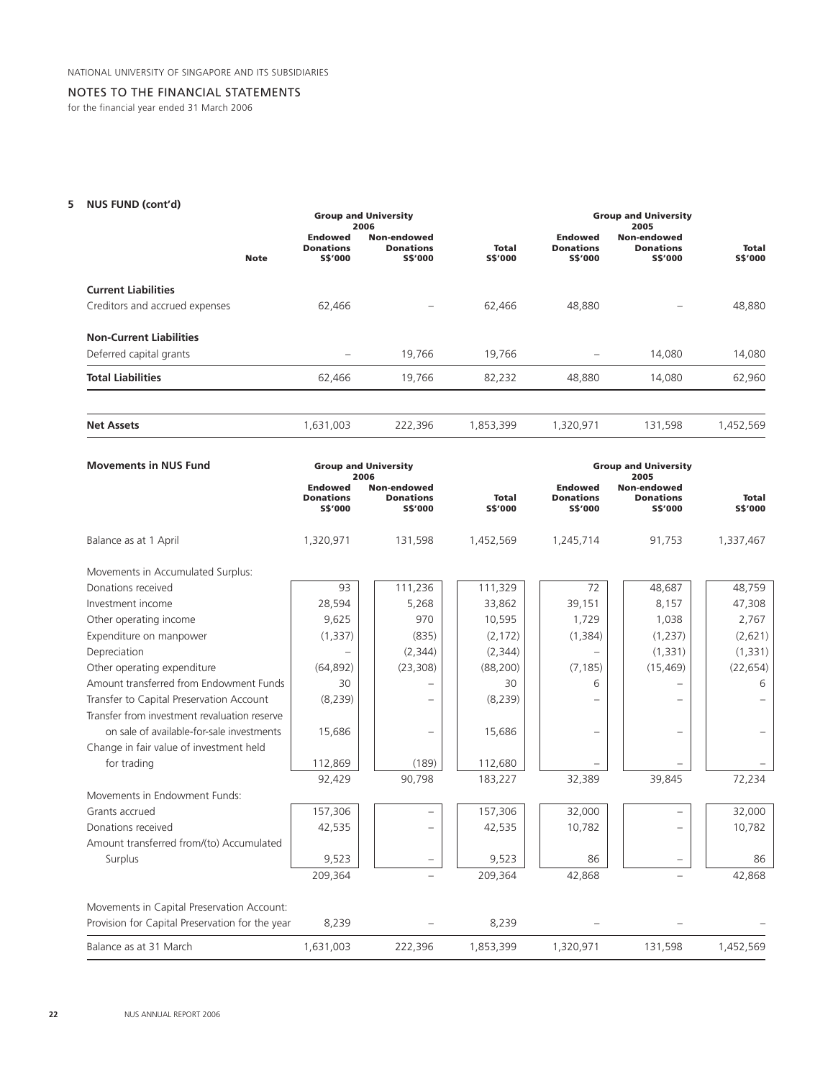for the financial year ended 31 March 2006

# **5 NUS FUND (cont'd)**

|                                |             | <b>Group and University</b><br>2006                  |                                                   |                         |                                                      | <b>Group and University</b><br>2005               |                         |
|--------------------------------|-------------|------------------------------------------------------|---------------------------------------------------|-------------------------|------------------------------------------------------|---------------------------------------------------|-------------------------|
|                                | <b>Note</b> | <b>Endowed</b><br><b>Donations</b><br><b>S\$'000</b> | Non-endowed<br><b>Donations</b><br><b>S\$'000</b> | Total<br><b>S\$'000</b> | <b>Endowed</b><br><b>Donations</b><br><b>S\$'000</b> | Non-endowed<br><b>Donations</b><br><b>S\$'000</b> | Total<br><b>S\$'000</b> |
| <b>Current Liabilities</b>     |             |                                                      |                                                   |                         |                                                      |                                                   |                         |
| Creditors and accrued expenses |             | 62,466                                               |                                                   | 62,466                  | 48,880                                               |                                                   | 48,880                  |
| <b>Non-Current Liabilities</b> |             |                                                      |                                                   |                         |                                                      |                                                   |                         |
| Deferred capital grants        |             |                                                      | 19,766                                            | 19,766                  |                                                      | 14,080                                            | 14,080                  |
| <b>Total Liabilities</b>       |             | 62,466                                               | 19,766                                            | 82,232                  | 48,880                                               | 14,080                                            | 62,960                  |
|                                |             |                                                      |                                                   |                         |                                                      |                                                   |                         |
| <b>Net Assets</b>              |             | 1,631,003                                            | 222,396                                           | 1,853,399               | 1,320,971                                            | 131,598                                           | 1,452,569               |

| <b>Movements in NUS Fund</b>                    | <b>Group and University</b><br>2006                  |                                                   |                                | <b>Group and University</b><br>2005                  |                                                   |                                |  |
|-------------------------------------------------|------------------------------------------------------|---------------------------------------------------|--------------------------------|------------------------------------------------------|---------------------------------------------------|--------------------------------|--|
|                                                 | <b>Endowed</b><br><b>Donations</b><br><b>S\$'000</b> | Non-endowed<br><b>Donations</b><br><b>S\$'000</b> | <b>Total</b><br><b>S\$'000</b> | <b>Endowed</b><br><b>Donations</b><br><b>S\$'000</b> | Non-endowed<br><b>Donations</b><br><b>S\$'000</b> | <b>Total</b><br><b>S\$'000</b> |  |
| Balance as at 1 April                           | 1,320,971                                            | 131,598                                           | 1,452,569                      | 1,245,714                                            | 91,753                                            | 1,337,467                      |  |
| Movements in Accumulated Surplus:               |                                                      |                                                   |                                |                                                      |                                                   |                                |  |
| Donations received                              | 93                                                   | 111,236                                           | 111,329                        | 72                                                   | 48,687                                            | 48,759                         |  |
| Investment income                               | 28,594                                               | 5,268                                             | 33,862                         | 39,151                                               | 8,157                                             | 47,308                         |  |
| Other operating income                          | 9,625                                                | 970                                               | 10,595                         | 1,729                                                | 1,038                                             | 2,767                          |  |
| Expenditure on manpower                         | (1, 337)                                             | (835)                                             | (2, 172)                       | (1, 384)                                             | (1, 237)                                          | (2,621)                        |  |
| Depreciation                                    |                                                      | (2,344)                                           | (2,344)                        |                                                      | (1, 331)                                          | (1, 331)                       |  |
| Other operating expenditure                     | (64, 892)                                            | (23, 308)                                         | (88, 200)                      | (7, 185)                                             | (15, 469)                                         | (22, 654)                      |  |
| Amount transferred from Endowment Funds         | 30                                                   |                                                   | 30                             | 6                                                    |                                                   | 6                              |  |
| Transfer to Capital Preservation Account        | (8,239)                                              |                                                   | (8,239)                        |                                                      |                                                   |                                |  |
| Transfer from investment revaluation reserve    |                                                      |                                                   |                                |                                                      |                                                   |                                |  |
| on sale of available-for-sale investments       | 15,686                                               |                                                   | 15,686                         |                                                      |                                                   |                                |  |
| Change in fair value of investment held         |                                                      |                                                   |                                |                                                      |                                                   |                                |  |
| for trading                                     | 112,869                                              | (189)                                             | 112,680                        |                                                      |                                                   |                                |  |
|                                                 | 92,429                                               | 90,798                                            | 183,227                        | 32,389                                               | 39,845                                            | 72,234                         |  |
| Movements in Endowment Funds:                   |                                                      |                                                   |                                |                                                      |                                                   |                                |  |
| Grants accrued                                  | 157,306                                              |                                                   | 157,306                        | 32,000                                               |                                                   | 32,000                         |  |
| Donations received                              | 42,535                                               |                                                   | 42,535                         | 10,782                                               |                                                   | 10,782                         |  |
| Amount transferred from/(to) Accumulated        |                                                      |                                                   |                                |                                                      |                                                   |                                |  |
| Surplus                                         | 9,523                                                | -                                                 | 9,523                          | 86                                                   | -                                                 | 86                             |  |
|                                                 | 209,364                                              |                                                   | 209,364                        | 42,868                                               |                                                   | 42,868                         |  |
| Movements in Capital Preservation Account:      |                                                      |                                                   |                                |                                                      |                                                   |                                |  |
| Provision for Capital Preservation for the year | 8,239                                                |                                                   | 8,239                          |                                                      |                                                   |                                |  |
| Balance as at 31 March                          | 1,631,003                                            | 222,396                                           | 1,853,399                      | 1,320,971                                            | 131,598                                           | 1,452,569                      |  |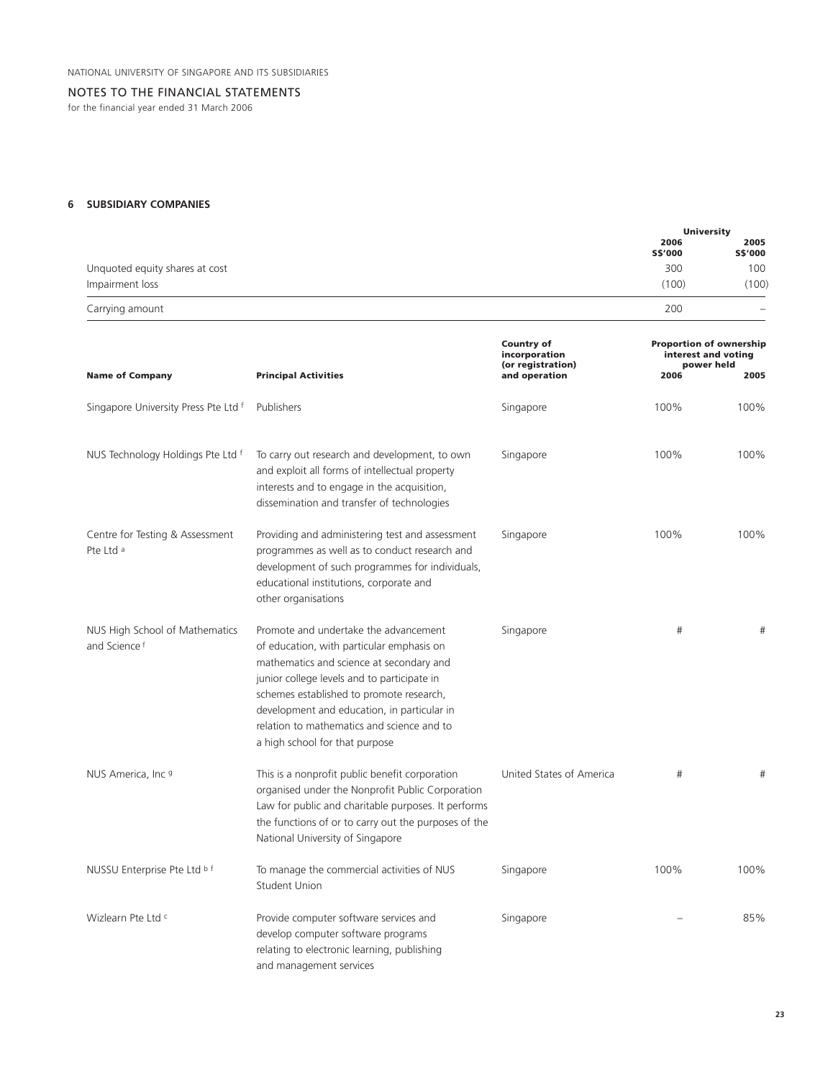for the financial year ended 31 March 2006

### **6 SUBSIDIARY COMPANIES**

|                                                 |                                                                                                                                                                                                                                                                                                                                                          |                                                         | <b>University</b>      |                                                                     |  |
|-------------------------------------------------|----------------------------------------------------------------------------------------------------------------------------------------------------------------------------------------------------------------------------------------------------------------------------------------------------------------------------------------------------------|---------------------------------------------------------|------------------------|---------------------------------------------------------------------|--|
|                                                 |                                                                                                                                                                                                                                                                                                                                                          |                                                         | 2006<br><b>S\$'000</b> | 2005<br><b>S\$'000</b>                                              |  |
| Unquoted equity shares at cost                  |                                                                                                                                                                                                                                                                                                                                                          |                                                         | 300                    | 100                                                                 |  |
| Impairment loss                                 |                                                                                                                                                                                                                                                                                                                                                          |                                                         | (100)                  | (100)                                                               |  |
| Carrying amount                                 |                                                                                                                                                                                                                                                                                                                                                          |                                                         | 200                    |                                                                     |  |
|                                                 |                                                                                                                                                                                                                                                                                                                                                          | <b>Country of</b><br>incorporation<br>(or registration) |                        | <b>Proportion of ownership</b><br>interest and voting<br>power held |  |
| <b>Name of Company</b>                          | <b>Principal Activities</b>                                                                                                                                                                                                                                                                                                                              | and operation                                           | 2006                   | 2005                                                                |  |
| Singapore University Press Pte Ltd f            | Publishers                                                                                                                                                                                                                                                                                                                                               | Singapore                                               | 100%                   | 100%                                                                |  |
| NUS Technology Holdings Pte Ltd f               | To carry out research and development, to own<br>and exploit all forms of intellectual property<br>interests and to engage in the acquisition,<br>dissemination and transfer of technologies                                                                                                                                                             | Singapore                                               | 100%                   | 100%                                                                |  |
| Centre for Testing & Assessment<br>Pte Ltd a    | Providing and administering test and assessment<br>programmes as well as to conduct research and<br>development of such programmes for individuals,<br>educational institutions, corporate and<br>other organisations                                                                                                                                    | Singapore                                               | 100%                   | 100%                                                                |  |
| NUS High School of Mathematics<br>and Science f | Promote and undertake the advancement<br>of education, with particular emphasis on<br>mathematics and science at secondary and<br>junior college levels and to participate in<br>schemes established to promote research,<br>development and education, in particular in<br>relation to mathematics and science and to<br>a high school for that purpose | Singapore                                               | #                      | #                                                                   |  |
| NUS America, Inc 9                              | This is a nonprofit public benefit corporation<br>organised under the Nonprofit Public Corporation<br>Law for public and charitable purposes. It performs<br>the functions of or to carry out the purposes of the<br>National University of Singapore                                                                                                    | United States of America                                | #                      | #                                                                   |  |
| NUSSU Enterprise Pte Ltd b f                    | To manage the commercial activities of NUS<br><b>Student Union</b>                                                                                                                                                                                                                                                                                       | Singapore                                               | 100%                   | 100%                                                                |  |
| Wizlearn Pte Ltd c                              | Provide computer software services and<br>develop computer software programs<br>relating to electronic learning, publishing<br>and management services                                                                                                                                                                                                   | Singapore                                               |                        | 85%                                                                 |  |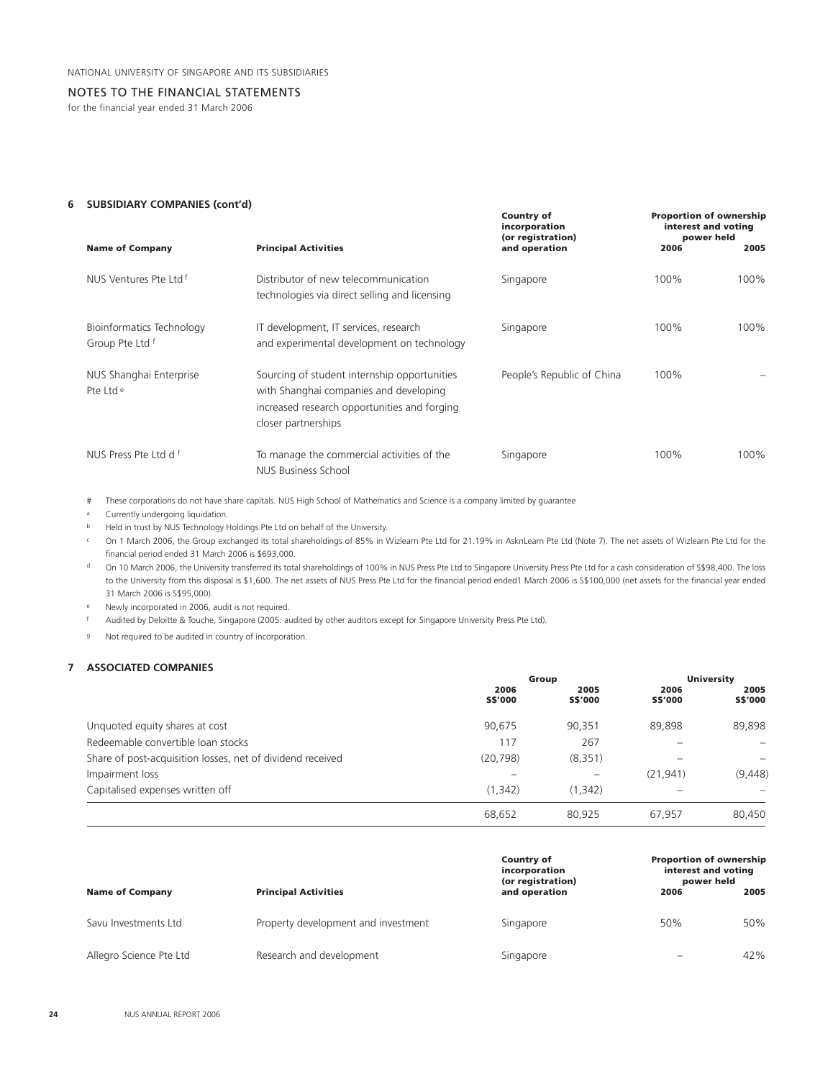for the financial year ended 31 March 2006

#### **6 SUBSIDIARY COMPANIES (cont'd)**

|                                                 |                                                                                                                                                               | Country of<br>incorporation<br>(or registration) | <b>Proportion of ownership</b><br>interest and voting<br>power held |      |
|-------------------------------------------------|---------------------------------------------------------------------------------------------------------------------------------------------------------------|--------------------------------------------------|---------------------------------------------------------------------|------|
| <b>Name of Company</b>                          | <b>Principal Activities</b>                                                                                                                                   | and operation                                    | 2006                                                                | 2005 |
| NUS Ventures Pte Ltd f                          | Distributor of new telecommunication<br>technologies via direct selling and licensing                                                                         | Singapore                                        | 100%                                                                | 100% |
| Bioinformatics Technology<br>Group Pte Ltd f    | IT development, IT services, research<br>and experimental development on technology                                                                           | Singapore                                        | 100%                                                                | 100% |
| NUS Shanghai Enterprise<br>Pte Ltd <sup>e</sup> | Sourcing of student internship opportunities<br>with Shanghai companies and developing<br>increased research opportunities and forging<br>closer partnerships | People's Republic of China                       | 100%                                                                |      |
| NUS Press Pte Ltd d f                           | To manage the commercial activities of the<br>NUS Business School                                                                                             | Singapore                                        | 100%                                                                | 100% |

# These corporations do not have share capitals. NUS High School of Mathematics and Science is a company limited by guarantee

- a Currently undergoing liquidation.
- b Held in trust by NUS Technology Holdings Pte Ltd on behalf of the University.

c On 1 March 2006, the Group exchanged its total shareholdings of 85% in Wizlearn Pte Ltd for 21.19% in AsknLearn Pte Ltd (Note 7). The net assets of Wizlearn Pte Ltd for the financial period ended 31 March 2006 is \$693,000.

d On 10 March 2006, the University transferred its total shareholdings of 100% in NUS Press Pte Ltd to Singapore University Press Pte Ltd for a cash consideration of S\$98,400. The loss to the University from this disposal is \$1,600. The net assets of NUS Press Pte Ltd for the financial period ended1 March 2006 is S\$100,000 (net assets for the financial year ended 31 March 2006 is S\$95,000).

<sup>e</sup> Newly incorporated in 2006, audit is not required.

<sup>f</sup> Audited by Deloitte & Touche, Singapore (2005: audited by other auditors except for Singapore University Press Pte Ltd).

<sup>g</sup> Not required to be audited in country of incorporation.

# **7 ASSOCIATED COMPANIES**

|                                                            |                        | Group                  |                        | <b>University</b>      |
|------------------------------------------------------------|------------------------|------------------------|------------------------|------------------------|
|                                                            | 2006<br><b>S\$'000</b> | 2005<br><b>S\$'000</b> | 2006<br><b>S\$'000</b> | 2005<br><b>S\$'000</b> |
| Unquoted equity shares at cost                             | 90,675                 | 90,351                 | 89,898                 | 89,898                 |
| Redeemable convertible loan stocks                         | 117                    | 267                    |                        |                        |
| Share of post-acquisition losses, net of dividend received | (20, 798)              | (8,351)                |                        |                        |
| Impairment loss                                            |                        |                        | (21, 941)              | (9,448)                |
| Capitalised expenses written off                           | (1,342)                | (1,342)                |                        |                        |
|                                                            | 68,652                 | 80,925                 | 67,957                 | 80,450                 |

| <b>Name of Company</b>  | <b>Principal Activities</b>         | Country of<br>incorporation<br>(or registration)<br>and operation | <b>Proportion of ownership</b><br>interest and voting<br>power held<br>2006 | 2005 |
|-------------------------|-------------------------------------|-------------------------------------------------------------------|-----------------------------------------------------------------------------|------|
| Savu Investments Ltd    | Property development and investment | Singapore                                                         | 50%                                                                         | 50%  |
| Allegro Science Pte Ltd | Research and development            | Singapore                                                         |                                                                             | 42%  |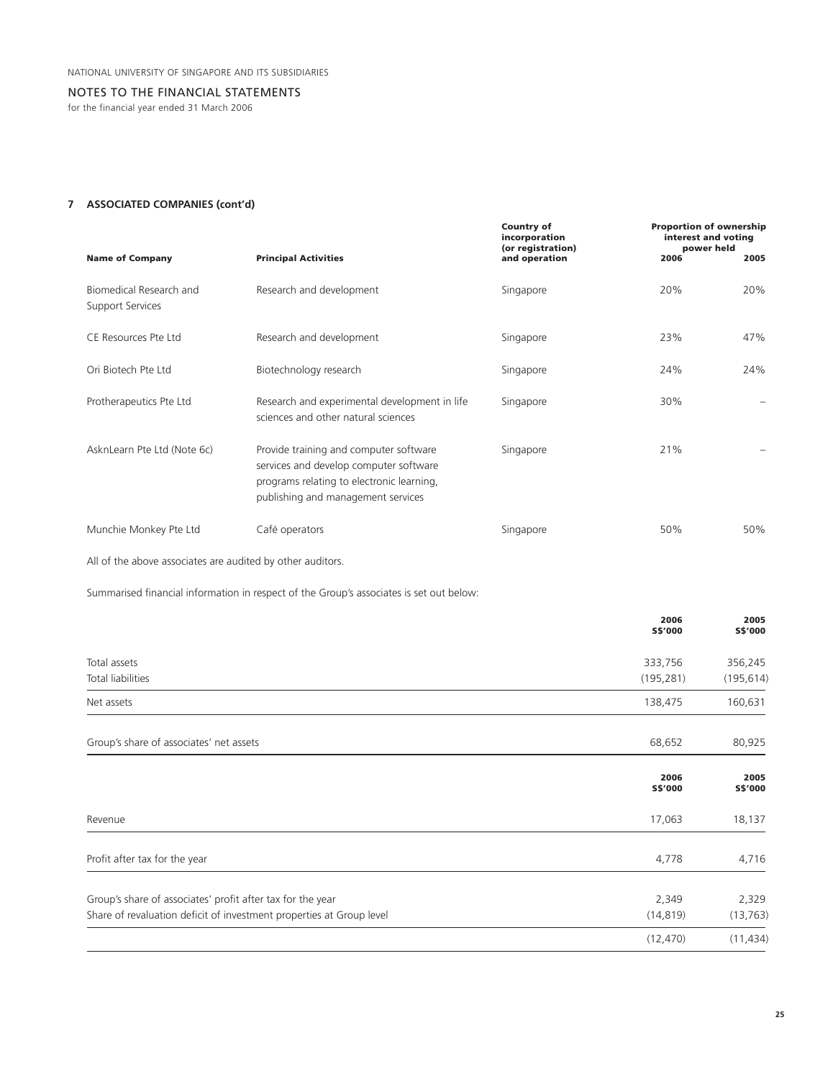for the financial year ended 31 March 2006

# **7 ASSOCIATED COMPANIES (cont'd)**

|                                             |                                                                                                                                                                     | <b>Country of</b><br>incorporation<br>(or registration) | <b>Proportion of ownership</b><br>interest and voting<br>power held |      |  |
|---------------------------------------------|---------------------------------------------------------------------------------------------------------------------------------------------------------------------|---------------------------------------------------------|---------------------------------------------------------------------|------|--|
| <b>Name of Company</b>                      | <b>Principal Activities</b>                                                                                                                                         | and operation                                           | 2006                                                                | 2005 |  |
| Biomedical Research and<br>Support Services | Research and development                                                                                                                                            | Singapore                                               | 20%                                                                 | 20%  |  |
| CE Resources Pte Ltd                        | Research and development                                                                                                                                            | Singapore                                               | 23%                                                                 | 47%  |  |
| Ori Biotech Pte Ltd                         | Biotechnology research                                                                                                                                              | Singapore                                               | 24%                                                                 | 24%  |  |
| Protherapeutics Pte Ltd                     | Research and experimental development in life<br>sciences and other natural sciences                                                                                | Singapore                                               | 30%                                                                 |      |  |
| AsknLearn Pte Ltd (Note 6c)                 | Provide training and computer software<br>services and develop computer software<br>programs relating to electronic learning,<br>publishing and management services | Singapore                                               | 21%                                                                 |      |  |
| Munchie Monkey Pte Ltd                      | Café operators                                                                                                                                                      | Singapore                                               | 50%                                                                 | 50%  |  |

All of the above associates are audited by other auditors.

Summarised financial information in respect of the Group's associates is set out below:

|                                                                                                                                            | 2006<br><b>S\$'000</b> | 2005<br>S\$'000        |
|--------------------------------------------------------------------------------------------------------------------------------------------|------------------------|------------------------|
| Total assets<br>333,756<br>(195, 281)<br>138,475<br>68,652<br>2006<br><b>S\$'000</b><br>17,063<br>4,778<br>2,349<br>(14, 819)<br>(12, 470) | 356,245                |                        |
| Total liabilities                                                                                                                          |                        | (195, 614)             |
| Net assets                                                                                                                                 |                        | 160,631                |
| Group's share of associates' net assets                                                                                                    |                        | 80,925                 |
|                                                                                                                                            |                        | 2005<br><b>S\$'000</b> |
| Revenue                                                                                                                                    |                        | 18,137                 |
| Profit after tax for the year                                                                                                              |                        | 4,716                  |
| Group's share of associates' profit after tax for the year                                                                                 |                        | 2,329                  |
| Share of revaluation deficit of investment properties at Group level                                                                       |                        | (13, 763)              |
|                                                                                                                                            |                        | (11, 434)              |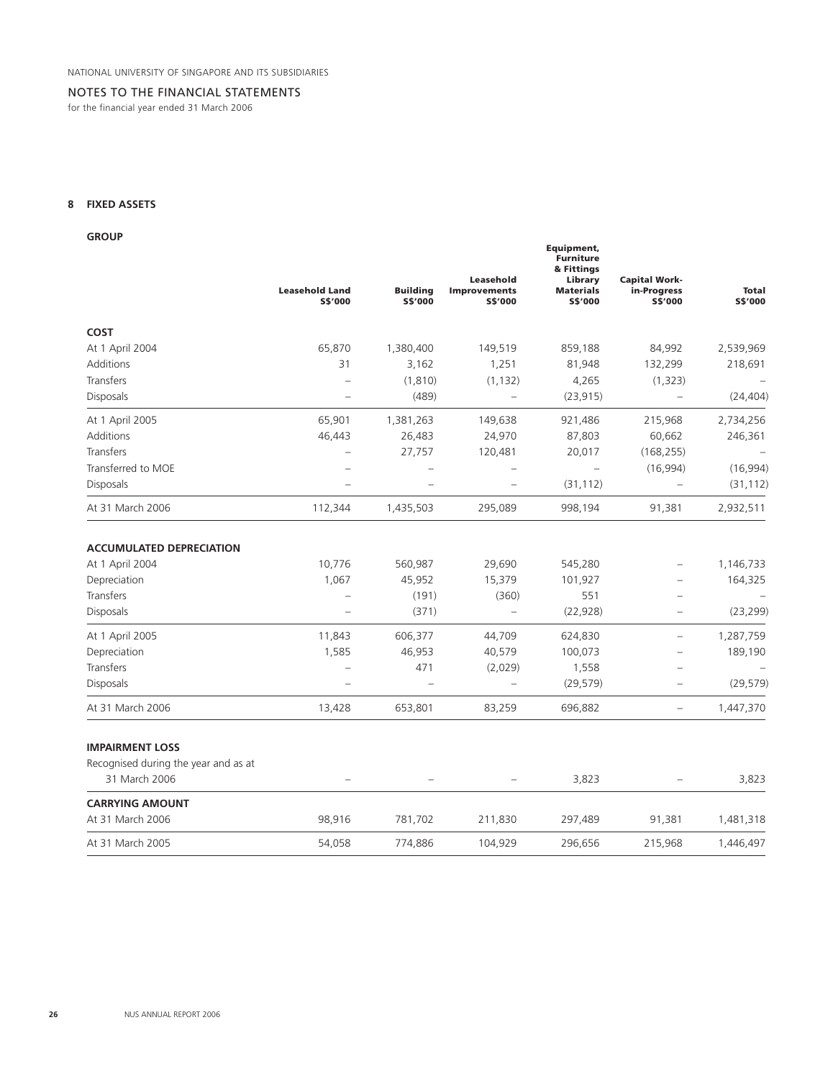for the financial year ended 31 March 2006

### **8 FIXED ASSETS**

### **GROUP**

|                                      | <b>Leasehold Land</b><br><b>S\$'000</b> | <b>Building</b><br><b>S\$'000</b> | Leasehold<br><b>Improvements</b><br>S\$'000 | Equipment,<br><b>Furniture</b><br>& Fittings<br>Library<br><b>Materials</b><br><b>S\$'000</b> | Capital Work-<br>in-Progress<br><b>S\$'000</b> | <b>Total</b><br><b>S\$'000</b> |
|--------------------------------------|-----------------------------------------|-----------------------------------|---------------------------------------------|-----------------------------------------------------------------------------------------------|------------------------------------------------|--------------------------------|
| <b>COST</b>                          |                                         |                                   |                                             |                                                                                               |                                                |                                |
| At 1 April 2004                      | 65,870                                  | 1,380,400                         | 149,519                                     | 859,188                                                                                       | 84,992                                         | 2,539,969                      |
| Additions                            | 31                                      | 3,162                             | 1,251                                       | 81,948                                                                                        | 132,299                                        | 218,691                        |
| Transfers                            | $\overline{\phantom{0}}$                | (1, 810)                          | (1, 132)                                    | 4,265                                                                                         | (1, 323)                                       |                                |
| <b>Disposals</b>                     |                                         | (489)                             |                                             | (23, 915)                                                                                     | $\overline{\phantom{m}}$                       | (24, 404)                      |
| At 1 April 2005                      | 65,901                                  | 1,381,263                         | 149,638                                     | 921,486                                                                                       | 215,968                                        | 2,734,256                      |
| Additions                            | 46,443                                  | 26,483                            | 24,970                                      | 87,803                                                                                        | 60,662                                         | 246,361                        |
| Transfers                            |                                         | 27,757                            | 120,481                                     | 20,017                                                                                        | (168, 255)                                     |                                |
| Transferred to MOE                   |                                         |                                   |                                             |                                                                                               | (16,994)                                       | (16, 994)                      |
| Disposals                            |                                         |                                   |                                             | (31, 112)                                                                                     |                                                | (31, 112)                      |
| At 31 March 2006                     | 112,344                                 | 1,435,503                         | 295,089                                     | 998,194                                                                                       | 91,381                                         | 2,932,511                      |
| <b>ACCUMULATED DEPRECIATION</b>      |                                         |                                   |                                             |                                                                                               |                                                |                                |
| At 1 April 2004                      | 10,776                                  | 560,987                           | 29,690                                      | 545,280                                                                                       |                                                | 1,146,733                      |
| Depreciation                         | 1,067                                   | 45,952                            | 15,379                                      | 101,927                                                                                       |                                                | 164,325                        |
| Transfers                            |                                         | (191)                             | (360)                                       | 551                                                                                           |                                                |                                |
| Disposals                            |                                         | (371)                             | $\overline{\phantom{0}}$                    | (22, 928)                                                                                     |                                                | (23, 299)                      |
| At 1 April 2005                      | 11,843                                  | 606,377                           | 44,709                                      | 624,830                                                                                       | $\overline{\phantom{0}}$                       | 1,287,759                      |
| Depreciation                         | 1,585                                   | 46,953                            | 40,579                                      | 100,073                                                                                       |                                                | 189,190                        |
| Transfers                            |                                         | 471                               | (2,029)                                     | 1,558                                                                                         |                                                |                                |
| <b>Disposals</b>                     |                                         |                                   |                                             | (29, 579)                                                                                     |                                                | (29, 579)                      |
| At 31 March 2006                     | 13,428                                  | 653,801                           | 83,259                                      | 696,882                                                                                       | $\overline{\phantom{0}}$                       | 1,447,370                      |
| <b>IMPAIRMENT LOSS</b>               |                                         |                                   |                                             |                                                                                               |                                                |                                |
| Recognised during the year and as at |                                         |                                   |                                             |                                                                                               |                                                |                                |
| 31 March 2006                        |                                         |                                   |                                             | 3,823                                                                                         |                                                | 3,823                          |
| <b>CARRYING AMOUNT</b>               |                                         |                                   |                                             |                                                                                               |                                                |                                |
| At 31 March 2006                     | 98,916                                  | 781,702                           | 211,830                                     | 297,489                                                                                       | 91,381                                         | 1,481,318                      |
| At 31 March 2005                     | 54,058                                  | 774,886                           | 104,929                                     | 296,656                                                                                       | 215,968                                        | 1,446,497                      |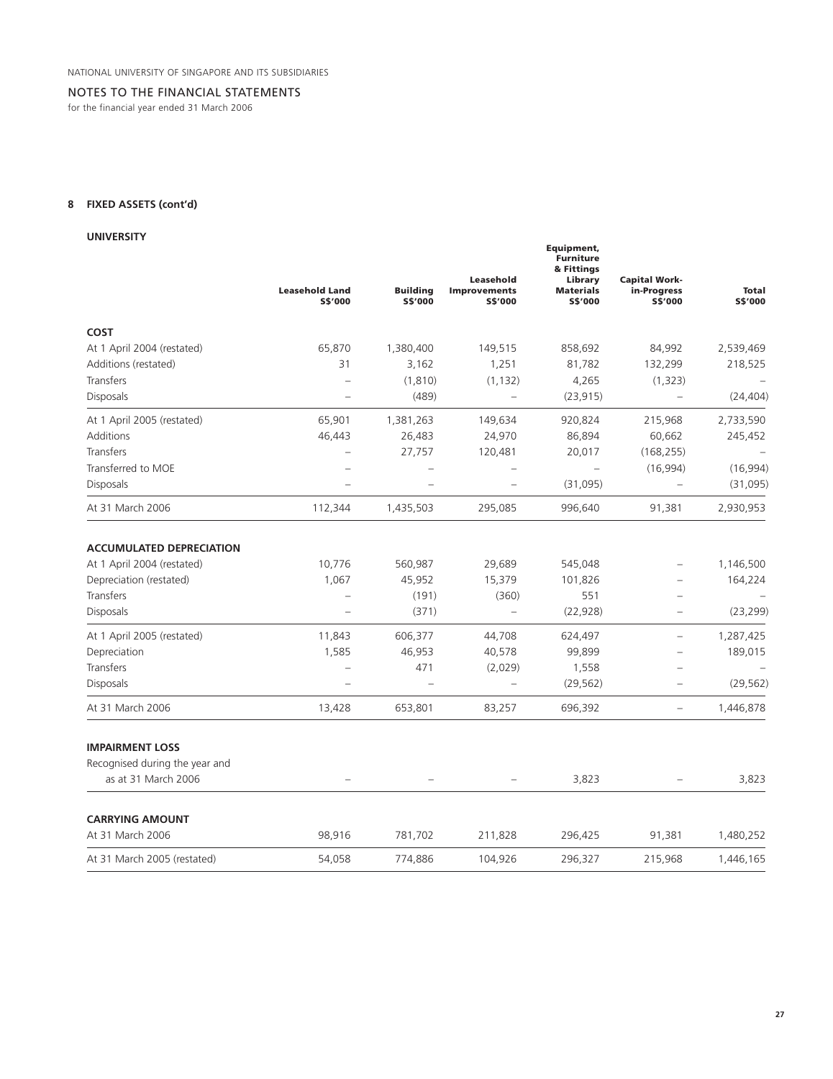for the financial year ended 31 March 2006

# **8 FIXED ASSETS (cont'd)**

### **UNIVERSITY**

|                                 | <b>Leasehold Land</b><br><b>S\$'000</b> | <b>Building</b><br><b>S\$'000</b> | Leasehold<br><b>Improvements</b><br>S\$'000 | Equipment,<br><b>Furniture</b><br>& Fittings<br>Library<br><b>Materials</b><br><b>S\$'000</b> | <b>Capital Work-</b><br>in-Progress<br><b>S\$'000</b> | <b>Total</b><br><b>S\$'000</b> |
|---------------------------------|-----------------------------------------|-----------------------------------|---------------------------------------------|-----------------------------------------------------------------------------------------------|-------------------------------------------------------|--------------------------------|
| <b>COST</b>                     |                                         |                                   |                                             |                                                                                               |                                                       |                                |
| At 1 April 2004 (restated)      | 65,870                                  | 1,380,400                         | 149,515                                     | 858,692                                                                                       | 84,992                                                | 2,539,469                      |
| Additions (restated)            | 31                                      | 3,162                             | 1,251                                       | 81,782                                                                                        | 132,299                                               | 218,525                        |
| Transfers                       |                                         | (1, 810)                          | (1, 132)                                    | 4,265                                                                                         | (1, 323)                                              |                                |
| Disposals                       |                                         | (489)                             | -                                           | (23, 915)                                                                                     | $\overline{\phantom{0}}$                              | (24, 404)                      |
| At 1 April 2005 (restated)      | 65,901                                  | 1,381,263                         | 149,634                                     | 920,824                                                                                       | 215,968                                               | 2,733,590                      |
| Additions                       | 46,443                                  | 26,483                            | 24,970                                      | 86,894                                                                                        | 60,662                                                | 245,452                        |
| Transfers                       |                                         | 27,757                            | 120,481                                     | 20,017                                                                                        | (168, 255)                                            |                                |
| Transferred to MOE              |                                         |                                   |                                             |                                                                                               | (16, 994)                                             | (16,994)                       |
| Disposals                       |                                         |                                   |                                             | (31,095)                                                                                      | $\overline{\phantom{0}}$                              | (31,095)                       |
| At 31 March 2006                | 112,344                                 | 1,435,503                         | 295,085                                     | 996,640                                                                                       | 91,381                                                | 2,930,953                      |
| <b>ACCUMULATED DEPRECIATION</b> |                                         |                                   |                                             |                                                                                               |                                                       |                                |
| At 1 April 2004 (restated)      | 10,776                                  | 560,987                           | 29,689                                      | 545,048                                                                                       |                                                       | 1,146,500                      |
| Depreciation (restated)         | 1,067                                   | 45,952                            | 15,379                                      | 101,826                                                                                       |                                                       | 164,224                        |
| Transfers                       |                                         | (191)                             | (360)                                       | 551                                                                                           | $\overline{a}$                                        |                                |
| Disposals                       |                                         | (371)                             | $\overline{\phantom{0}}$                    | (22, 928)                                                                                     | $\overline{\phantom{0}}$                              | (23, 299)                      |
| At 1 April 2005 (restated)      | 11,843                                  | 606,377                           | 44,708                                      | 624,497                                                                                       | $\overline{\phantom{0}}$                              | 1,287,425                      |
| Depreciation                    | 1,585                                   | 46,953                            | 40,578                                      | 99,899                                                                                        |                                                       | 189,015                        |
| Transfers                       |                                         | 471                               | (2,029)                                     | 1,558                                                                                         |                                                       |                                |
| <b>Disposals</b>                |                                         |                                   | $\overline{\phantom{0}}$                    | (29, 562)                                                                                     |                                                       | (29, 562)                      |
| At 31 March 2006                | 13,428                                  | 653,801                           | 83,257                                      | 696,392                                                                                       | $\overline{\phantom{0}}$                              | 1,446,878                      |
| <b>IMPAIRMENT LOSS</b>          |                                         |                                   |                                             |                                                                                               |                                                       |                                |
| Recognised during the year and  |                                         |                                   |                                             |                                                                                               |                                                       |                                |
| as at 31 March 2006             |                                         |                                   |                                             | 3,823                                                                                         |                                                       | 3,823                          |
| <b>CARRYING AMOUNT</b>          |                                         |                                   |                                             |                                                                                               |                                                       |                                |
| At 31 March 2006                | 98,916                                  | 781,702                           | 211,828                                     | 296,425                                                                                       | 91,381                                                | 1,480,252                      |
| At 31 March 2005 (restated)     | 54,058                                  | 774,886                           | 104,926                                     | 296,327                                                                                       | 215,968                                               | 1,446,165                      |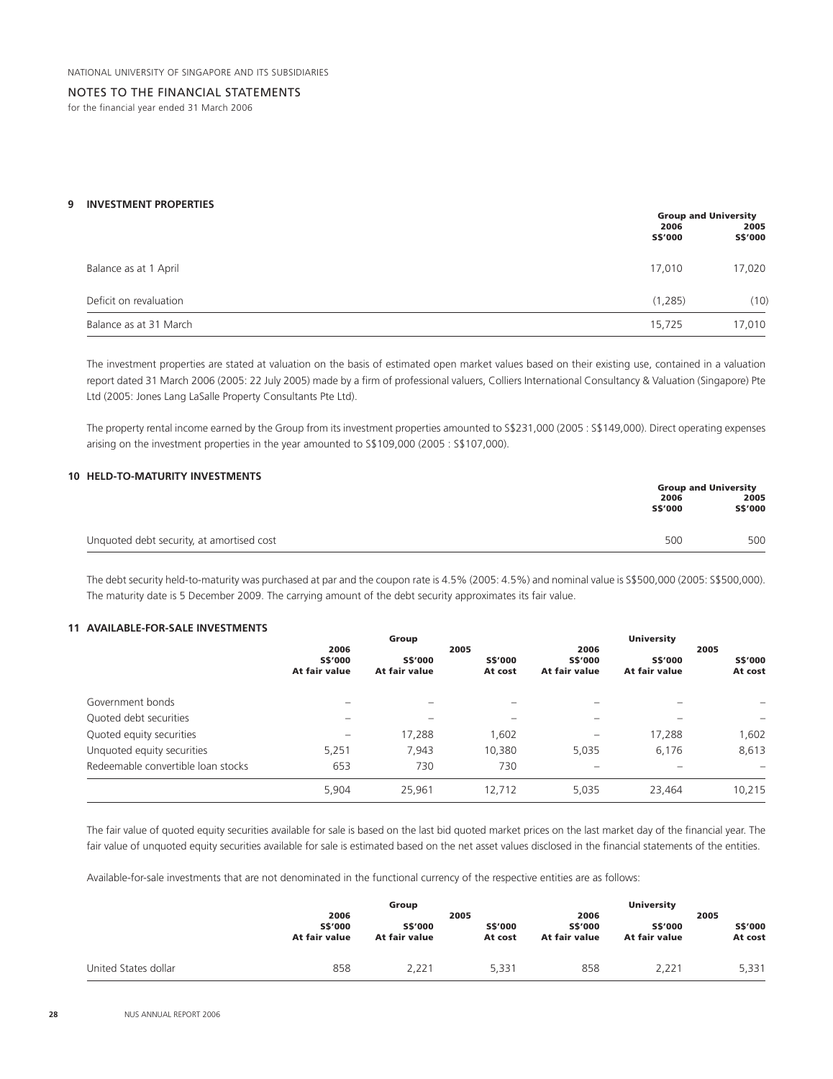for the financial year ended 31 March 2006

#### **9 INVESTMENT PROPERTIES**

|                        | <b>Group and University</b><br>2006<br><b>S\$'000</b> | 2005<br><b>S\$'000</b> |
|------------------------|-------------------------------------------------------|------------------------|
| Balance as at 1 April  | 17,010                                                | 17,020                 |
| Deficit on revaluation | (1, 285)                                              | (10)                   |
| Balance as at 31 March | 15,725                                                | 17,010                 |

The investment properties are stated at valuation on the basis of estimated open market values based on their existing use, contained in a valuation report dated 31 March 2006 (2005: 22 July 2005) made by a firm of professional valuers, Colliers International Consultancy & Valuation (Singapore) Pte Ltd (2005: Jones Lang LaSalle Property Consultants Pte Ltd).

The property rental income earned by the Group from its investment properties amounted to S\$231,000 (2005 : S\$149,000). Direct operating expenses arising on the investment properties in the year amounted to S\$109,000 (2005 : S\$107,000).

### **10 HELD-TO-MATURITY INVESTMENTS**

|                                           |                        | <b>Group and University</b> |
|-------------------------------------------|------------------------|-----------------------------|
|                                           | 2006<br><b>S\$'000</b> | 2005<br><b>S\$'000</b>      |
| Unquoted debt security, at amortised cost | 500                    | 500                         |

The debt security held-to-maturity was purchased at par and the coupon rate is 4.5% (2005: 4.5%) and nominal value is S\$500,000 (2005: S\$500,000). The maturity date is 5 December 2009. The carrying amount of the debt security approximates its fair value.

### **11 AVAILABLE-FOR-SALE INVESTMENTS**

|                                    |                                 | Group                           |                    |                                 | University               |                           |
|------------------------------------|---------------------------------|---------------------------------|--------------------|---------------------------------|--------------------------|---------------------------|
|                                    | 2006                            |                                 | 2005               | 2006                            |                          | 2005                      |
|                                    | <b>S\$'000</b><br>At fair value | <b>S\$'000</b><br>At fair value | S\$'000<br>At cost | <b>S\$'000</b><br>At fair value | S\$'000<br>At fair value | <b>S\$'000</b><br>At cost |
| Government bonds                   |                                 |                                 |                    |                                 |                          |                           |
| Quoted debt securities             | $\hspace{0.05cm}$               |                                 |                    |                                 |                          |                           |
| Quoted equity securities           |                                 | 17,288                          | 1,602              |                                 | 17,288                   | 1,602                     |
| Unquoted equity securities         | 5,251                           | 7,943                           | 10,380             | 5.035                           | 6,176                    | 8,613                     |
| Redeemable convertible loan stocks | 653                             | 730                             | 730                |                                 |                          |                           |
|                                    | 5,904                           | 25,961                          | 12,712             | 5,035                           | 23,464                   | 10,215                    |

The fair value of quoted equity securities available for sale is based on the last bid quoted market prices on the last market day of the financial year. The fair value of unquoted equity securities available for sale is estimated based on the net asset values disclosed in the financial statements of the entities.

Available-for-sale investments that are not denominated in the functional currency of the respective entities are as follows:

|                      | Group                                   |                                 |                                   | <b>University</b>                       |                                 |                                   |
|----------------------|-----------------------------------------|---------------------------------|-----------------------------------|-----------------------------------------|---------------------------------|-----------------------------------|
|                      | 2006<br><b>S\$'000</b><br>At fair value | <b>S\$'000</b><br>At fair value | 2005<br><b>S\$'000</b><br>At cost | 2006<br><b>S\$'000</b><br>At fair value | <b>S\$'000</b><br>At fair value | 2005<br><b>S\$'000</b><br>At cost |
| United States dollar | 858                                     | 2.221                           | 5.331                             | 858                                     | 2.221                           | 5,331                             |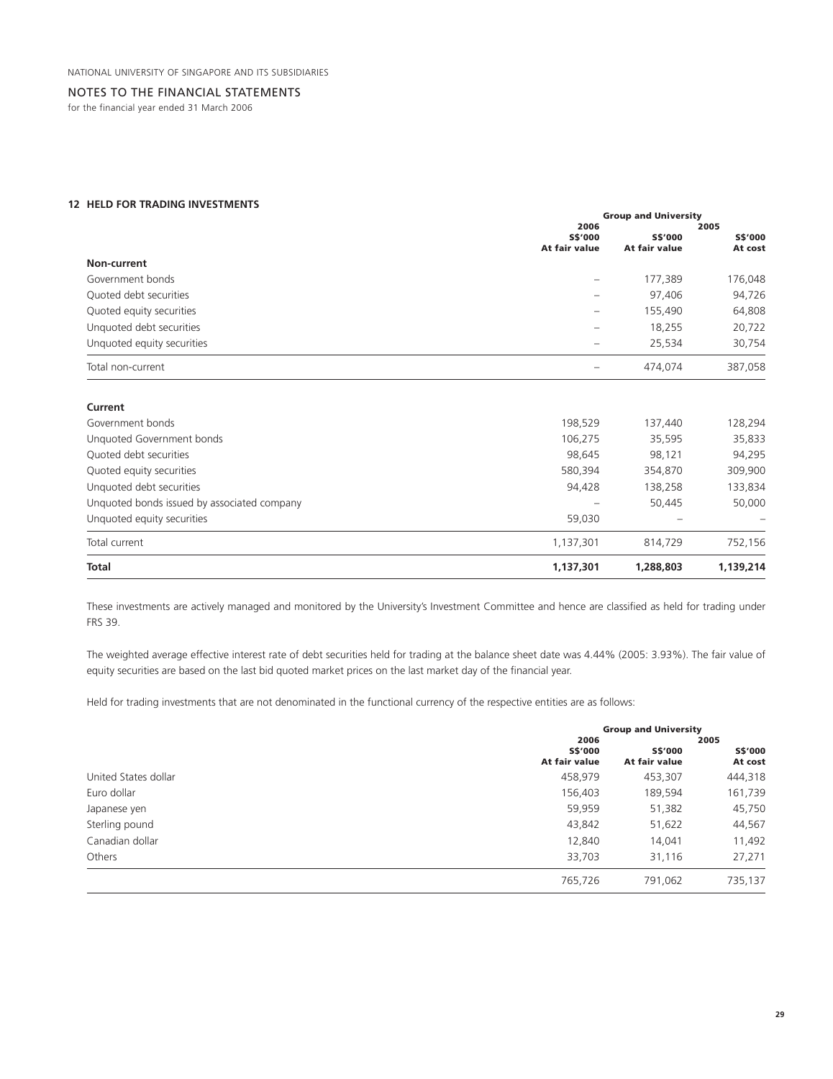for the financial year ended 31 March 2006

### **12 HELD FOR TRADING INVESTMENTS**

|                            |                | <b>Group and University</b> |                |  |  |
|----------------------------|----------------|-----------------------------|----------------|--|--|
|                            | 2006           |                             | 2005           |  |  |
|                            | <b>S\$'000</b> | S\$'000                     | <b>S\$'000</b> |  |  |
|                            | At fair value  | At fair value               | At cost        |  |  |
| Non-current                |                |                             |                |  |  |
| Government bonds           | -              | 177,389                     | 176,048        |  |  |
| Quoted debt securities     | -              | 97,406                      | 94,726         |  |  |
| Quoted equity securities   | -              | 155,490                     | 64,808         |  |  |
| Unquoted debt securities   | -              | 18,255                      | 20,722         |  |  |
| Unquoted equity securities | —              | 25,534                      | 30,754         |  |  |
| Total non-current          |                | 474,074                     | 387,058        |  |  |
|                            |                |                             |                |  |  |

| Total                                       | 1,137,301 | 1,288,803       | 1,139,214 |
|---------------------------------------------|-----------|-----------------|-----------|
| Total current                               | 1,137,301 | 814,729         | 752,156   |
| Unquoted equity securities                  | 59,030    | $\qquad \qquad$ |           |
| Unquoted bonds issued by associated company |           | 50,445          | 50,000    |
| Unquoted debt securities                    | 94,428    | 138,258         | 133,834   |
| Quoted equity securities                    | 580,394   | 354,870         | 309,900   |
| Quoted debt securities                      | 98,645    | 98,121          | 94,295    |
| Unquoted Government bonds                   | 106,275   | 35,595          | 35,833    |
| Government bonds                            | 198,529   | 137,440         | 128,294   |
| Current                                     |           |                 |           |

These investments are actively managed and monitored by the University's Investment Committee and hence are classified as held for trading under FRS 39.

The weighted average effective interest rate of debt securities held for trading at the balance sheet date was 4.44% (2005: 3.93%). The fair value of equity securities are based on the last bid quoted market prices on the last market day of the financial year.

Held for trading investments that are not denominated in the functional currency of the respective entities are as follows:

|                      | <b>Group and University</b>     |                                 |                           |  |
|----------------------|---------------------------------|---------------------------------|---------------------------|--|
|                      | 2006                            |                                 | 2005                      |  |
|                      | <b>S\$'000</b><br>At fair value | <b>S\$'000</b><br>At fair value | <b>S\$'000</b><br>At cost |  |
| United States dollar | 458,979                         | 453,307                         | 444,318                   |  |
| Euro dollar          | 156,403                         | 189,594                         | 161,739                   |  |
| Japanese yen         | 59,959                          | 51,382                          | 45,750                    |  |
| Sterling pound       | 43,842                          | 51,622                          | 44,567                    |  |
| Canadian dollar      | 12,840                          | 14,041                          | 11,492                    |  |
| Others               | 33,703                          | 31,116                          | 27,271                    |  |
|                      | 765,726                         | 791,062                         | 735,137                   |  |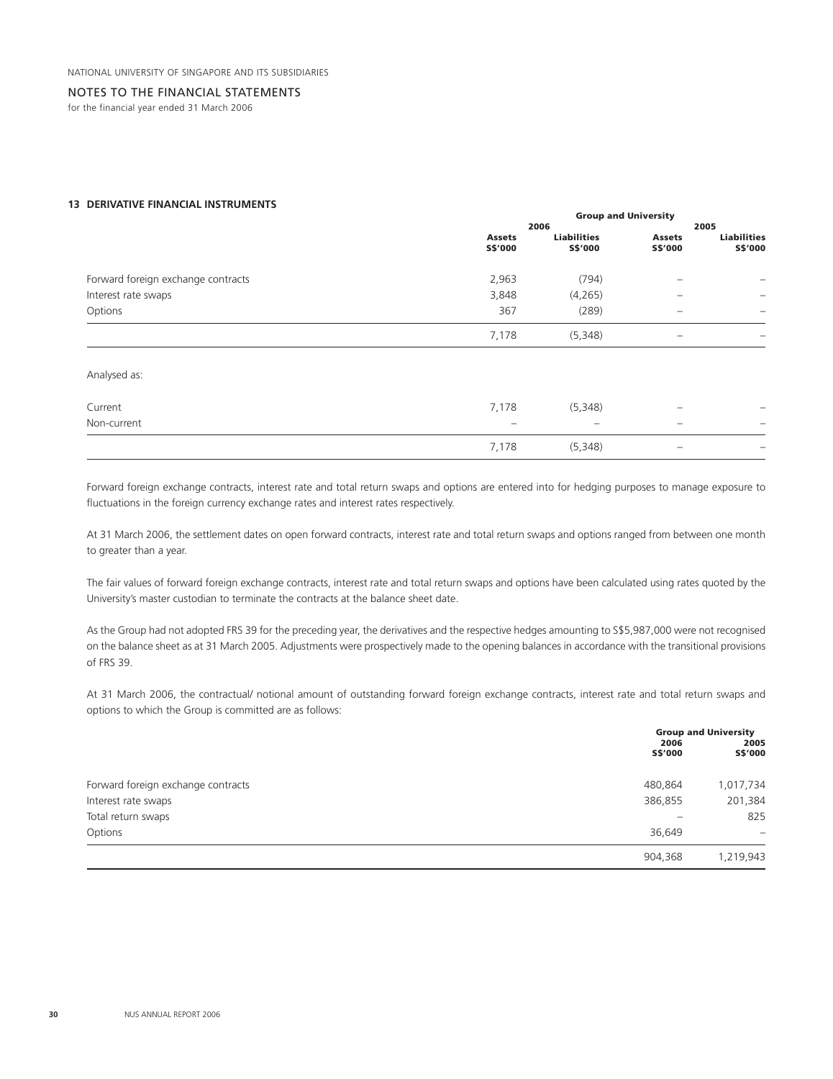for the financial year ended 31 March 2006

### **13 DERIVATIVE FINANCIAL INSTRUMENTS**

| <b>Group and University</b> |                        |                                     |                               |  |
|-----------------------------|------------------------|-------------------------------------|-------------------------------|--|
|                             |                        | 2005                                |                               |  |
| S\$'000                     | S\$'000                | S\$'000                             | <b>Liabilities</b><br>S\$'000 |  |
|                             |                        |                                     |                               |  |
| 3,848                       | (4,265)                | $\overline{\phantom{0}}$            |                               |  |
| 367                         | (289)                  | —                                   |                               |  |
| 7,178                       | (5,348)                | —                                   |                               |  |
|                             |                        |                                     |                               |  |
| 7,178                       | (5,348)                |                                     |                               |  |
| $\overline{\phantom{0}}$    | $\qquad \qquad$        | $\overline{\phantom{0}}$            |                               |  |
| 7,178                       | (5,348)                | -                                   |                               |  |
|                             | <b>Assets</b><br>2,963 | 2006<br><b>Liabilities</b><br>(794) | <b>Assets</b>                 |  |

Forward foreign exchange contracts, interest rate and total return swaps and options are entered into for hedging purposes to manage exposure to fluctuations in the foreign currency exchange rates and interest rates respectively.

At 31 March 2006, the settlement dates on open forward contracts, interest rate and total return swaps and options ranged from between one month to greater than a year.

The fair values of forward foreign exchange contracts, interest rate and total return swaps and options have been calculated using rates quoted by the University's master custodian to terminate the contracts at the balance sheet date.

As the Group had not adopted FRS 39 for the preceding year, the derivatives and the respective hedges amounting to S\$5,987,000 were not recognised on the balance sheet as at 31 March 2005. Adjustments were prospectively made to the opening balances in accordance with the transitional provisions of FRS 39.

At 31 March 2006, the contractual/ notional amount of outstanding forward foreign exchange contracts, interest rate and total return swaps and options to which the Group is committed are as follows:

|                                    | 2006<br><b>S\$'000</b> | <b>Group and University</b><br>2005<br><b>S\$'000</b> |
|------------------------------------|------------------------|-------------------------------------------------------|
| Forward foreign exchange contracts | 480,864                | 1,017,734                                             |
| Interest rate swaps                | 386,855                | 201,384                                               |
| Total return swaps                 |                        | 825                                                   |
| Options                            | 36,649                 | $\qquad \qquad -$                                     |
|                                    | 904,368                | 1,219,943                                             |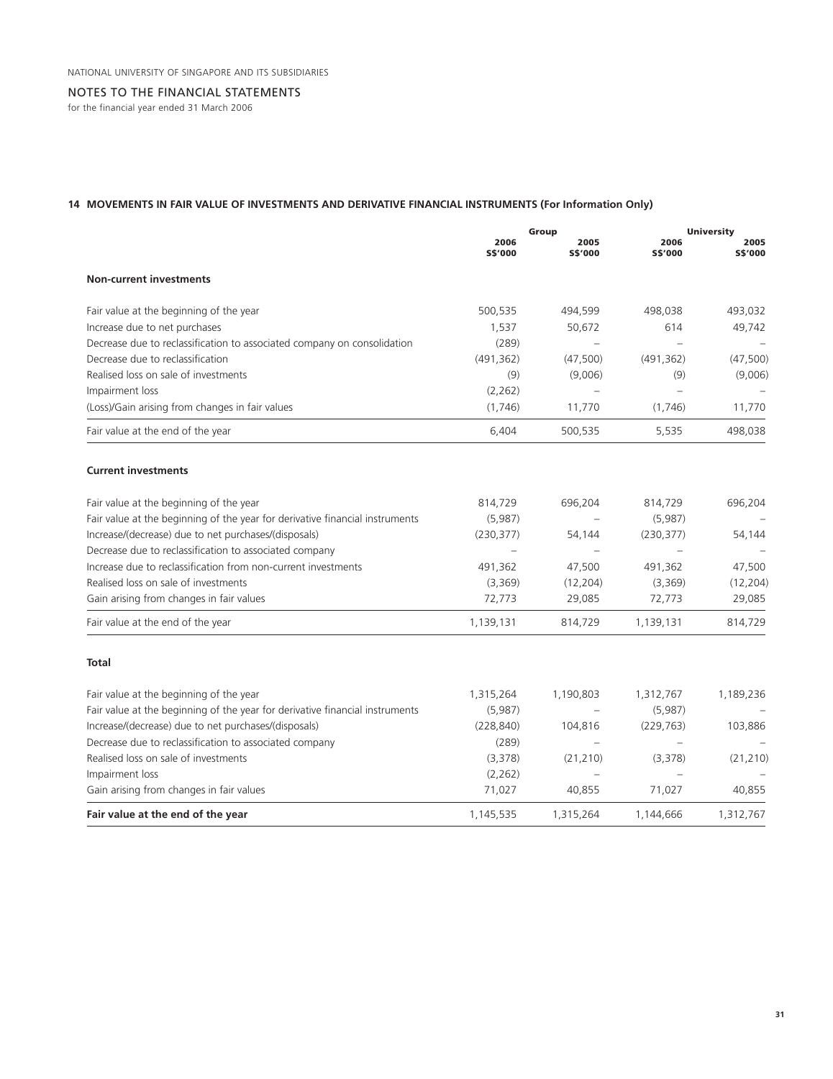for the financial year ended 31 March 2006

# **14 MOVEMENTS IN FAIR VALUE OF INVESTMENTS AND DERIVATIVE FINANCIAL INSTRUMENTS (For Information Only)**

|                                                                              |                        | Group                  |                          | <b>University</b>      |  |
|------------------------------------------------------------------------------|------------------------|------------------------|--------------------------|------------------------|--|
|                                                                              | 2006<br><b>S\$'000</b> | 2005<br><b>S\$'000</b> | 2006<br><b>S\$'000</b>   | 2005<br><b>S\$'000</b> |  |
| <b>Non-current investments</b>                                               |                        |                        |                          |                        |  |
| Fair value at the beginning of the year                                      | 500,535                | 494,599                | 498,038                  | 493,032                |  |
| Increase due to net purchases                                                | 1,537                  | 50,672                 | 614                      | 49,742                 |  |
| Decrease due to reclassification to associated company on consolidation      | (289)                  |                        |                          |                        |  |
| Decrease due to reclassification                                             | (491, 362)             | (47,500)               | (491, 362)               | (47, 500)              |  |
| Realised loss on sale of investments                                         | (9)                    | (9,006)                | (9)                      | (9,006)                |  |
| Impairment loss                                                              | (2, 262)               |                        | $\overline{\phantom{0}}$ |                        |  |
| (Loss)/Gain arising from changes in fair values                              | (1,746)                | 11,770                 | (1,746)                  | 11,770                 |  |
| Fair value at the end of the year                                            | 6,404                  | 500,535                | 5,535                    | 498,038                |  |
| <b>Current investments</b>                                                   |                        |                        |                          |                        |  |
| Fair value at the beginning of the year                                      | 814,729                | 696,204                | 814,729                  | 696,204                |  |
| Fair value at the beginning of the year for derivative financial instruments | (5,987)                |                        | (5,987)                  |                        |  |
| Increase/(decrease) due to net purchases/(disposals)                         | (230, 377)             | 54,144                 | (230, 377)               | 54,144                 |  |
| Decrease due to reclassification to associated company                       |                        |                        |                          |                        |  |
| Increase due to reclassification from non-current investments                | 491,362                | 47,500                 | 491,362                  | 47,500                 |  |
| Realised loss on sale of investments                                         | (3,369)                | (12, 204)              | (3,369)                  | (12, 204)              |  |
| Gain arising from changes in fair values                                     | 72,773                 | 29,085                 | 72,773                   | 29,085                 |  |
| Fair value at the end of the year                                            | 1,139,131              | 814,729                | 1,139,131                | 814,729                |  |
| Total                                                                        |                        |                        |                          |                        |  |
| Fair value at the beginning of the year                                      | 1,315,264              | 1,190,803              | 1,312,767                | 1,189,236              |  |
| Fair value at the beginning of the year for derivative financial instruments | (5,987)                |                        | (5,987)                  |                        |  |
| Increase/(decrease) due to net purchases/(disposals)                         | (228, 840)             | 104,816                | (229, 763)               | 103,886                |  |
| Decrease due to reclassification to associated company                       | (289)                  |                        |                          |                        |  |
| Realised loss on sale of investments                                         | (3,378)                | (21, 210)              | (3,378)                  | (21, 210)              |  |
| Impairment loss                                                              | (2,262)                |                        |                          |                        |  |
| Gain arising from changes in fair values                                     | 71,027                 | 40,855                 | 71,027                   | 40,855                 |  |
| Fair value at the end of the year                                            | 1,145,535              | 1,315,264              | 1,144,666                | 1,312,767              |  |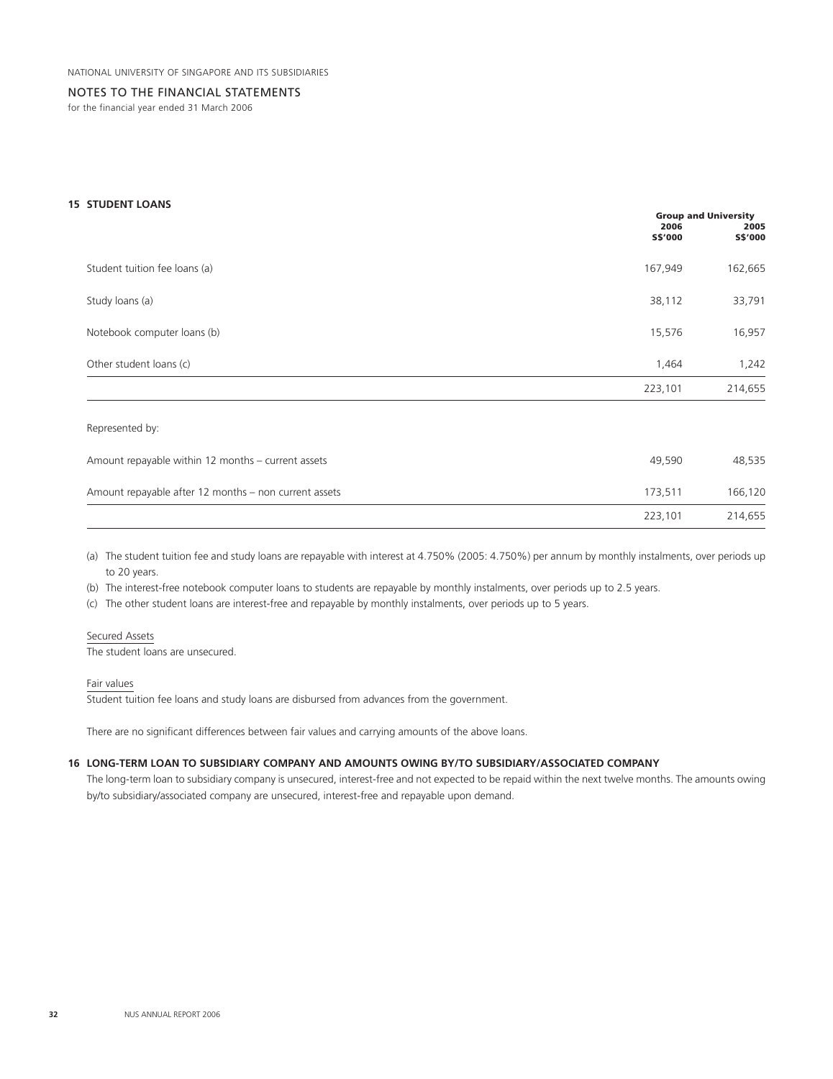for the financial year ended 31 March 2006

### **15 STUDENT LOANS**

|                                                       | 2006<br><b>S\$'000</b> | <b>Group and University</b><br>2005<br><b>S\$'000</b> |
|-------------------------------------------------------|------------------------|-------------------------------------------------------|
| Student tuition fee loans (a)                         | 167,949                | 162,665                                               |
| Study loans (a)                                       | 38,112                 | 33,791                                                |
| Notebook computer loans (b)                           | 15,576                 | 16,957                                                |
| Other student loans (c)                               | 1,464                  | 1,242                                                 |
|                                                       | 223,101                | 214,655                                               |
| Represented by:                                       |                        |                                                       |
| Amount repayable within 12 months - current assets    | 49,590                 | 48,535                                                |
| Amount repayable after 12 months - non current assets | 173,511                | 166,120                                               |
|                                                       | 223,101                | 214,655                                               |

(a) The student tuition fee and study loans are repayable with interest at 4.750% (2005: 4.750%) per annum by monthly instalments, over periods up to 20 years.

(b) The interest-free notebook computer loans to students are repayable by monthly instalments, over periods up to 2.5 years.

(c) The other student loans are interest-free and repayable by monthly instalments, over periods up to 5 years.

### Secured Assets

The student loans are unsecured.

### Fair values

Student tuition fee loans and study loans are disbursed from advances from the government.

There are no significant differences between fair values and carrying amounts of the above loans.

### **16 LONG-TERM LOAN TO SUBSIDIARY COMPANY AND AMOUNTS OWING BY/TO SUBSIDIARY/ASSOCIATED COMPANY**

The long-term loan to subsidiary company is unsecured, interest-free and not expected to be repaid within the next twelve months. The amounts owing by/to subsidiary/associated company are unsecured, interest-free and repayable upon demand.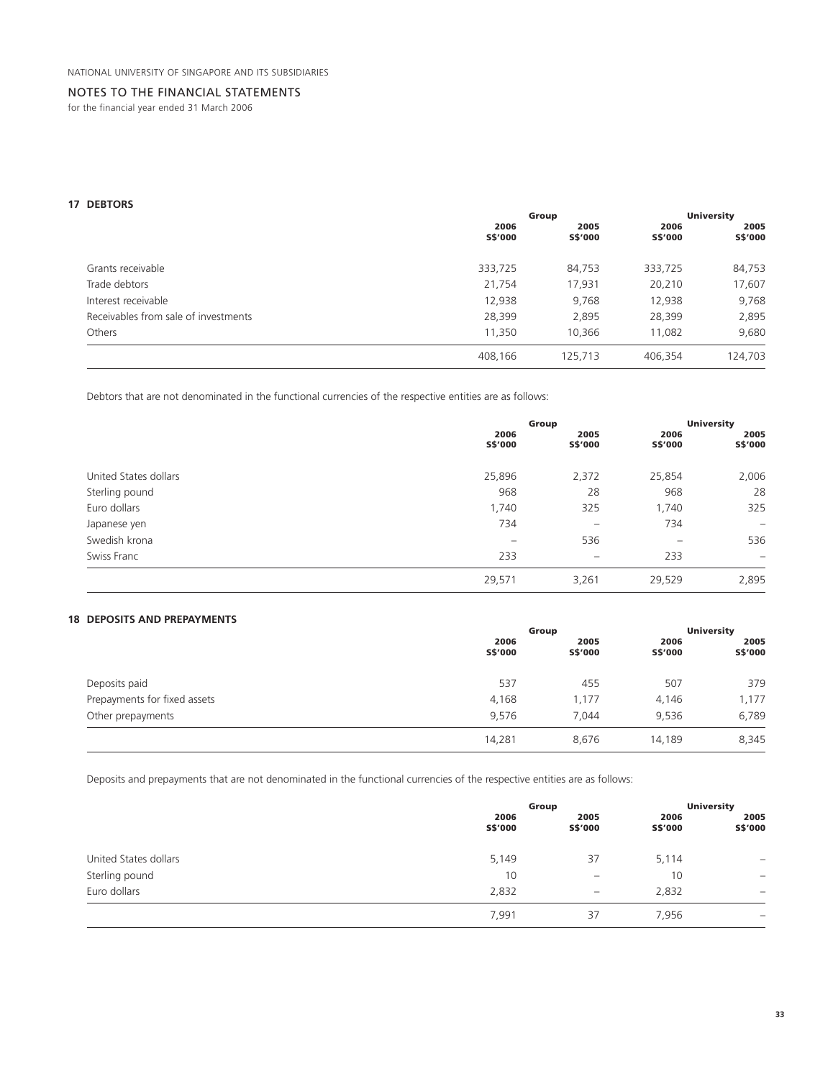for the financial year ended 31 March 2006

### **17 DEBTORS**

|                                      | Group                  |                        |                 | <b>University</b>      |  |
|--------------------------------------|------------------------|------------------------|-----------------|------------------------|--|
|                                      | 2006<br><b>S\$'000</b> | 2005<br><b>S\$'000</b> | 2006<br>S\$'000 | 2005<br><b>S\$'000</b> |  |
| Grants receivable                    | 333,725                | 84,753                 | 333,725         | 84,753                 |  |
| Trade debtors                        | 21,754                 | 17,931                 | 20,210          | 17,607                 |  |
| Interest receivable                  | 12,938                 | 9,768                  | 12,938          | 9,768                  |  |
| Receivables from sale of investments | 28,399                 | 2,895                  | 28,399          | 2,895                  |  |
| Others                               | 11,350                 | 10.366                 | 11,082          | 9,680                  |  |
|                                      | 408,166                | 125,713                | 406,354         | 124,703                |  |

Debtors that are not denominated in the functional currencies of the respective entities are as follows:

|                       | Group                  |                          |                          | <b>University</b>        |  |
|-----------------------|------------------------|--------------------------|--------------------------|--------------------------|--|
|                       | 2006<br><b>S\$'000</b> | 2005<br><b>S\$'000</b>   | 2006<br><b>S\$'000</b>   | 2005<br><b>S\$'000</b>   |  |
| United States dollars | 25,896                 | 2,372                    | 25,854                   | 2,006                    |  |
| Sterling pound        | 968                    | 28                       | 968                      | 28                       |  |
| Euro dollars          | 1,740                  | 325                      | 1,740                    | 325                      |  |
| Japanese yen          | 734                    | $\qquad \qquad -$        | 734                      | $\overline{\phantom{m}}$ |  |
| Swedish krona         |                        | 536                      | $\overline{\phantom{m}}$ | 536                      |  |
| Swiss Franc           | 233                    | $\overline{\phantom{m}}$ | 233                      | $\overline{\phantom{m}}$ |  |
|                       | 29,571                 | 3,261                    | 29,529                   | 2,895                    |  |

# **18 DEPOSITS AND PREPAYMENTS**

|                              | Group          |                | <b>University</b> |                |
|------------------------------|----------------|----------------|-------------------|----------------|
|                              | 2006           | 2005           | 2006              | 2005           |
|                              | <b>S\$'000</b> | <b>S\$'000</b> | <b>S\$'000</b>    | <b>S\$'000</b> |
| Deposits paid                | 537            | 455            | 507               | 379            |
| Prepayments for fixed assets | 4,168          | 1.177          | 4,146             | 1,177          |
| Other prepayments            | 9,576          | 7.044          | 9,536             | 6,789          |
|                              | 14,281         | 8,676          | 14,189            | 8,345          |

Deposits and prepayments that are not denominated in the functional currencies of the respective entities are as follows:

|                       |                        | Group                    |                        | <b>University</b>        |  |
|-----------------------|------------------------|--------------------------|------------------------|--------------------------|--|
|                       | 2006<br><b>S\$'000</b> | 2005<br><b>S\$'000</b>   | 2006<br><b>S\$'000</b> | 2005<br>S\$'000          |  |
| United States dollars | 5,149                  | 37                       | 5,114                  | $\overline{\phantom{0}}$ |  |
| Sterling pound        | 10                     | $\overline{\phantom{m}}$ | 10                     |                          |  |
| Euro dollars          | 2,832                  | $\overline{\phantom{m}}$ | 2,832                  | $\overline{\phantom{0}}$ |  |
|                       | 7,991                  | 37                       | 7,956                  | $\overline{\phantom{0}}$ |  |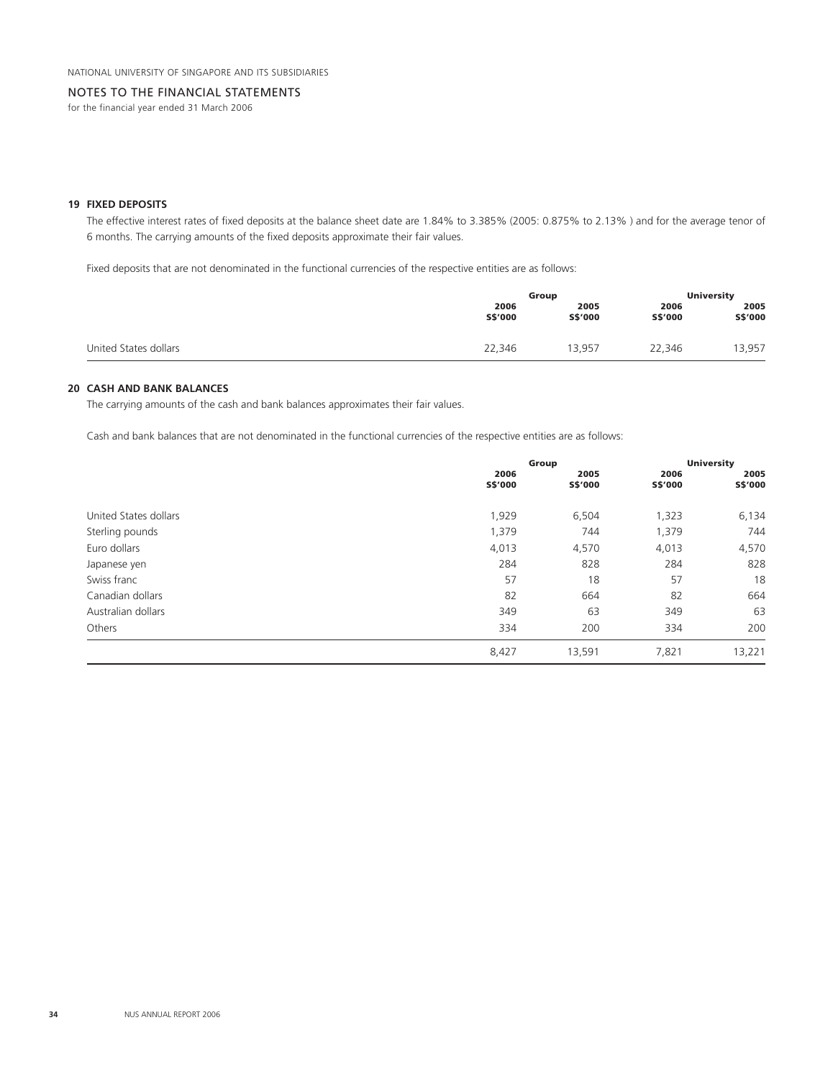for the financial year ended 31 March 2006

### **19 FIXED DEPOSITS**

The effective interest rates of fixed deposits at the balance sheet date are 1.84% to 3.385% (2005: 0.875% to 2.13%) and for the average tenor of 6 months. The carrying amounts of the fixed deposits approximate their fair values.

Fixed deposits that are not denominated in the functional currencies of the respective entities are as follows:

|                       |                        | Group                  |                        | <b>University</b>      |  |
|-----------------------|------------------------|------------------------|------------------------|------------------------|--|
|                       | 2006<br><b>S\$'000</b> | 2005<br><b>S\$'000</b> | 2006<br><b>S\$'000</b> | 2005<br><b>S\$'000</b> |  |
| United States dollars | 22,346                 | 13,957                 | 22,346                 | 3,957                  |  |

### **20 CASH AND BANK BALANCES**

The carrying amounts of the cash and bank balances approximates their fair values.

Cash and bank balances that are not denominated in the functional currencies of the respective entities are as follows:

|                       | Group          |                | <b>University</b> |                |
|-----------------------|----------------|----------------|-------------------|----------------|
|                       | 2006           | 2005           | 2006              | 2005           |
|                       | <b>S\$'000</b> | <b>S\$'000</b> | <b>S\$'000</b>    | <b>S\$'000</b> |
| United States dollars | 1,929          | 6,504          | 1,323             | 6,134          |
| Sterling pounds       | 1,379          | 744            | 1,379             | 744            |
| Euro dollars          | 4,013          | 4,570          | 4,013             | 4,570          |
| Japanese yen          | 284            | 828            | 284               | 828            |
| Swiss franc           | 57             | 18             | 57                | 18             |
| Canadian dollars      | 82             | 664            | 82                | 664            |
| Australian dollars    | 349            | 63             | 349               | 63             |
| Others                | 334            | 200            | 334               | 200            |
|                       | 8,427          | 13,591         | 7,821             | 13,221         |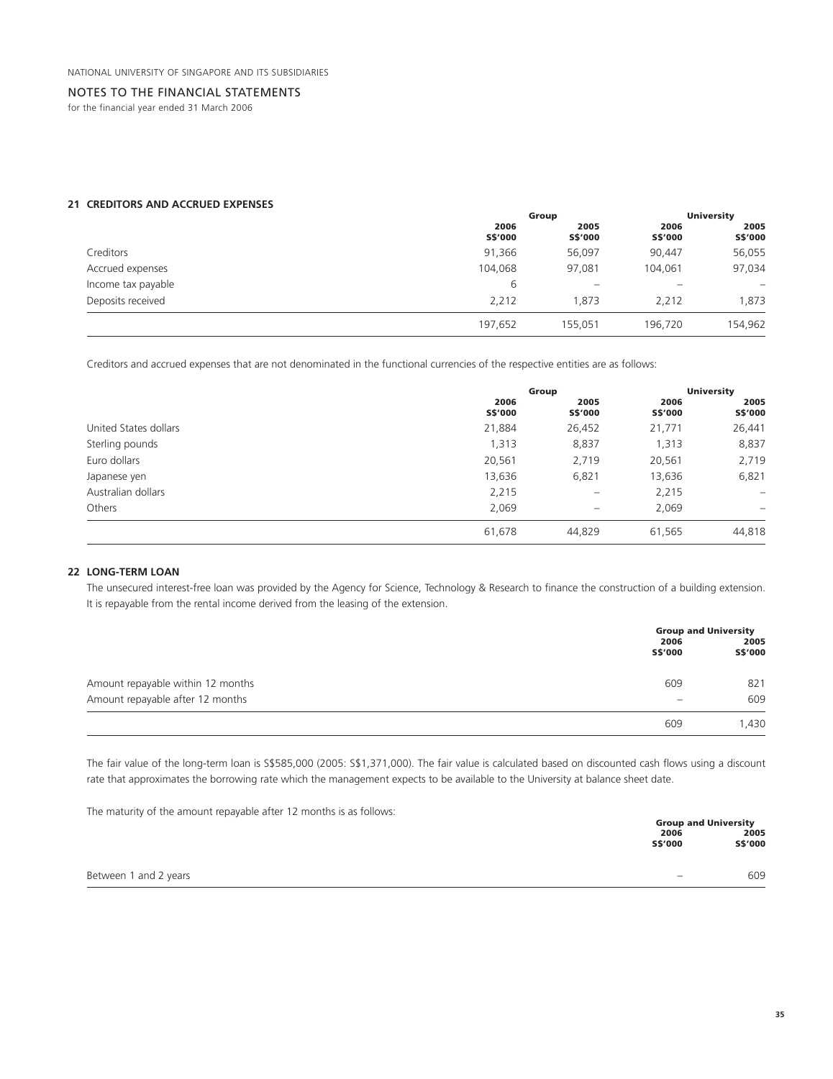for the financial year ended 31 March 2006

### **21 CREDITORS AND ACCRUED EXPENSES**

|                    |                        | Group                    |                          | <b>University</b>      |
|--------------------|------------------------|--------------------------|--------------------------|------------------------|
|                    | 2006<br><b>S\$'000</b> | 2005<br><b>S\$'000</b>   | 2006<br><b>S\$'000</b>   | 2005<br><b>S\$'000</b> |
| Creditors          | 91,366                 | 56,097                   | 90,447                   | 56,055                 |
| Accrued expenses   | 104,068                | 97,081                   | 104,061                  | 97,034                 |
| Income tax payable | 6                      | $\overline{\phantom{m}}$ | $\overline{\phantom{a}}$ | $\qquad \qquad -$      |
| Deposits received  | 2,212                  | 1.873                    | 2,212                    | 1,873                  |
|                    | 197,652                | 155,051                  | 196,720                  | 154,962                |

Creditors and accrued expenses that are not denominated in the functional currencies of the respective entities are as follows:

|                       | Group                  |                        | <b>University</b>      |                          |
|-----------------------|------------------------|------------------------|------------------------|--------------------------|
|                       | 2006<br><b>S\$'000</b> | 2005<br><b>S\$'000</b> | 2006<br><b>S\$'000</b> | 2005<br><b>S\$'000</b>   |
| United States dollars | 21,884                 | 26,452                 | 21,771                 | 26,441                   |
| Sterling pounds       | 1,313                  | 8,837                  | 1,313                  | 8,837                    |
| Euro dollars          | 20,561                 | 2,719                  | 20,561                 | 2,719                    |
| Japanese yen          | 13,636                 | 6,821                  | 13,636                 | 6,821                    |
| Australian dollars    | 2,215                  | $\qquad \qquad -$      | 2,215                  | $\overline{\phantom{m}}$ |
| Others                | 2,069                  | $\qquad \qquad -$      | 2,069                  | $\overline{\phantom{0}}$ |
|                       | 61,678                 | 44,829                 | 61,565                 | 44,818                   |

# **22 LONG-TERM LOAN**

The unsecured interest-free loan was provided by the Agency for Science, Technology & Research to finance the construction of a building extension. It is repayable from the rental income derived from the leasing of the extension.

|                                   |                          | <b>Group and University</b> |  |
|-----------------------------------|--------------------------|-----------------------------|--|
|                                   | 2006<br><b>S\$'000</b>   | 2005<br><b>S\$'000</b>      |  |
| Amount repayable within 12 months | 609                      | 821                         |  |
| Amount repayable after 12 months  | $\overline{\phantom{a}}$ | 609                         |  |
|                                   | 609                      | 1.430                       |  |

The fair value of the long-term loan is S\$585,000 (2005: S\$1,371,000). The fair value is calculated based on discounted cash flows using a discount rate that approximates the borrowing rate which the management expects to be available to the University at balance sheet date.

The maturity of the amount repayable after 12 months is as follows:

|                       |                 | <b>Group and University</b> |  |
|-----------------------|-----------------|-----------------------------|--|
|                       | 2006<br>S\$'000 | 2005<br><b>S\$'000</b>      |  |
|                       |                 |                             |  |
| Between 1 and 2 years |                 | 609                         |  |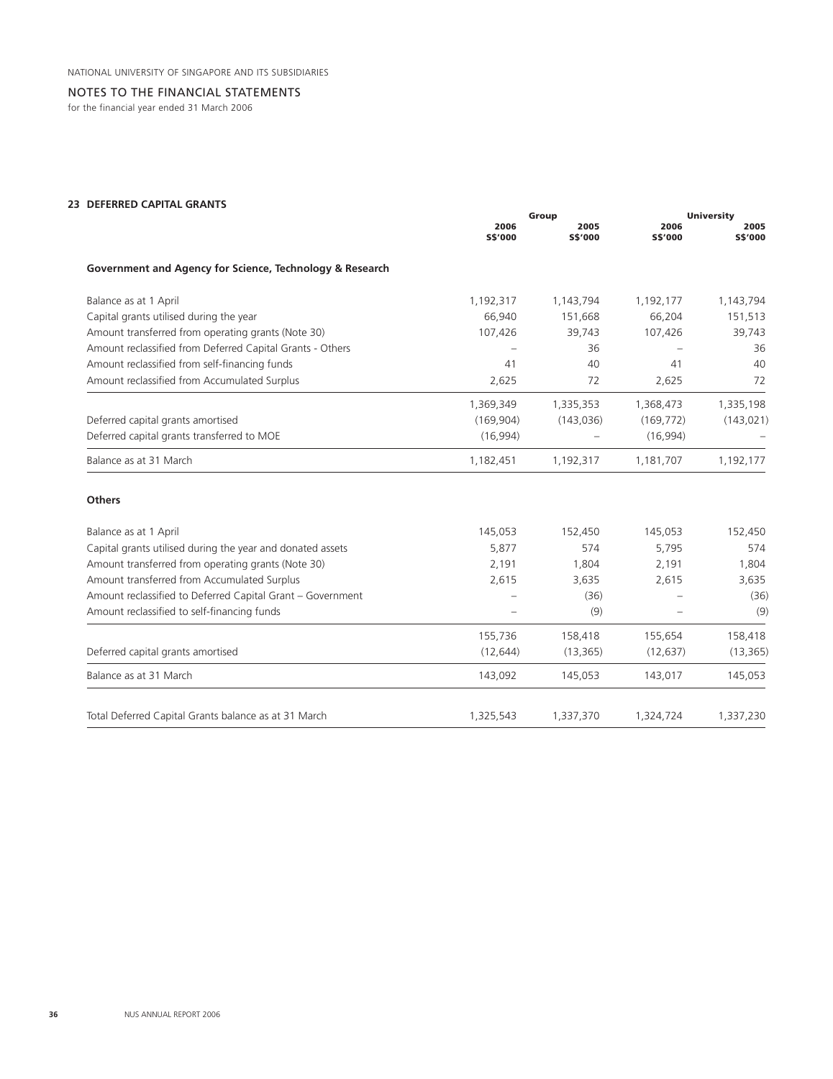for the financial year ended 31 March 2006

### **23 DEFERRED CAPITAL GRANTS**

|                                                            |                        | Group           |                        | <b>University</b>      |  |
|------------------------------------------------------------|------------------------|-----------------|------------------------|------------------------|--|
|                                                            | 2006<br><b>S\$'000</b> | 2005<br>S\$'000 | 2006<br><b>S\$'000</b> | 2005<br><b>S\$'000</b> |  |
| Government and Agency for Science, Technology & Research   |                        |                 |                        |                        |  |
| Balance as at 1 April                                      | 1,192,317              | 1,143,794       | 1,192,177              | 1,143,794              |  |
| Capital grants utilised during the year                    | 66,940                 | 151,668         | 66,204                 | 151,513                |  |
| Amount transferred from operating grants (Note 30)         | 107,426                | 39,743          | 107,426                | 39,743                 |  |
| Amount reclassified from Deferred Capital Grants - Others  |                        | 36              |                        | 36                     |  |
| Amount reclassified from self-financing funds              | 41                     | 40              | 41                     | 40                     |  |
| Amount reclassified from Accumulated Surplus               | 2,625                  | 72              | 2,625                  | 72                     |  |
|                                                            | 1,369,349              | 1,335,353       | 1,368,473              | 1,335,198              |  |
| Deferred capital grants amortised                          | (169, 904)             | (143, 036)      | (169, 772)             | (143, 021)             |  |
| Deferred capital grants transferred to MOE                 | (16,994)               |                 | (16,994)               |                        |  |
| Balance as at 31 March                                     | 1,182,451              | 1,192,317       | 1,181,707              | 1,192,177              |  |
| <b>Others</b>                                              |                        |                 |                        |                        |  |
| Balance as at 1 April                                      | 145,053                | 152,450         | 145,053                | 152,450                |  |
| Capital grants utilised during the year and donated assets | 5,877                  | 574             | 5,795                  | 574                    |  |
| Amount transferred from operating grants (Note 30)         | 2,191                  | 1,804           | 2,191                  | 1,804                  |  |
| Amount transferred from Accumulated Surplus                | 2,615                  | 3,635           | 2,615                  | 3,635                  |  |
| Amount reclassified to Deferred Capital Grant - Government |                        | (36)            |                        | (36)                   |  |
| Amount reclassified to self-financing funds                |                        | (9)             |                        | (9)                    |  |
|                                                            | 155,736                | 158,418         | 155,654                | 158,418                |  |
| Deferred capital grants amortised                          | (12, 644)              | (13, 365)       | (12, 637)              | (13, 365)              |  |
| Balance as at 31 March                                     | 143,092                | 145,053         | 143,017                | 145,053                |  |
| Total Deferred Capital Grants balance as at 31 March       | 1,325,543              | 1,337,370       | 1,324,724              | 1,337,230              |  |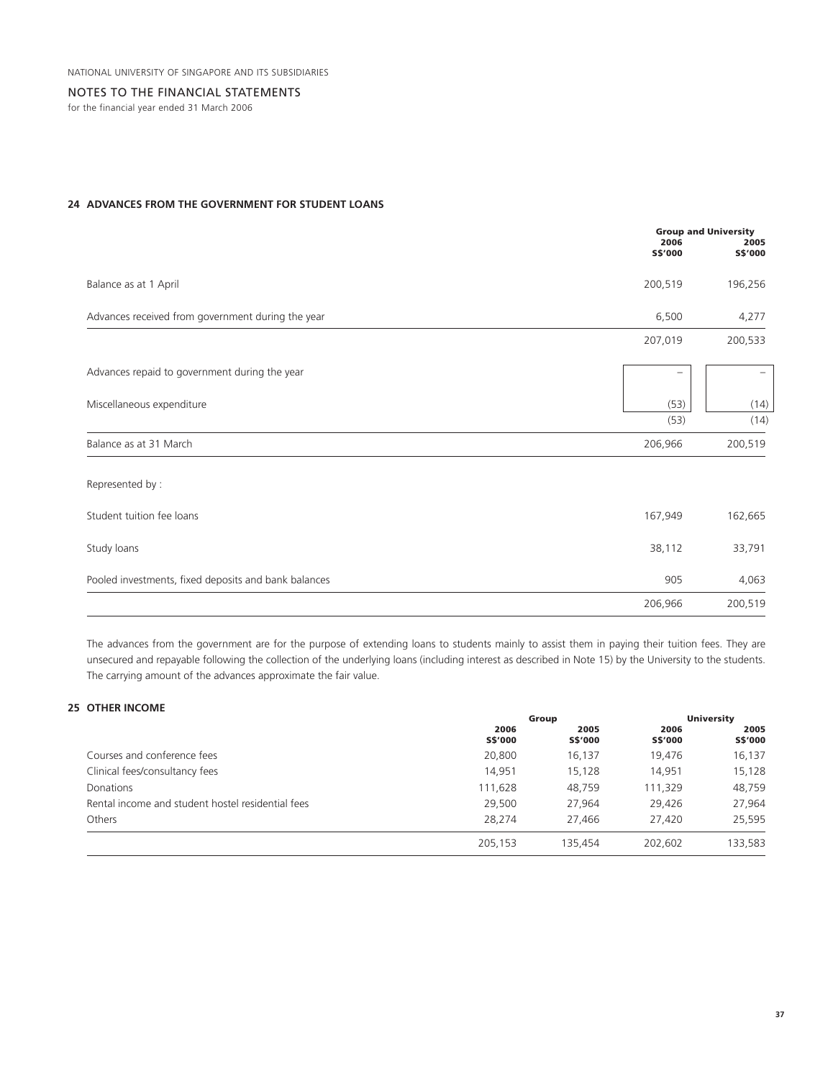for the financial year ended 31 March 2006

### **24 ADVANCES FROM THE GOVERNMENT FOR STUDENT LOANS**

|                                                      | 2006<br><b>S\$'000</b>   | <b>Group and University</b><br>2005<br><b>S\$'000</b> |  |
|------------------------------------------------------|--------------------------|-------------------------------------------------------|--|
| Balance as at 1 April                                | 200,519                  | 196,256                                               |  |
| Advances received from government during the year    | 6,500                    | 4,277                                                 |  |
|                                                      | 207,019                  | 200,533                                               |  |
| Advances repaid to government during the year        | $\overline{\phantom{0}}$ | $\overline{\phantom{0}}$                              |  |
| Miscellaneous expenditure                            | (53)                     | (14)                                                  |  |
|                                                      | (53)                     | (14)                                                  |  |
| Balance as at 31 March                               | 206,966                  | 200,519                                               |  |
| Represented by:                                      |                          |                                                       |  |
| Student tuition fee loans                            | 167,949                  | 162,665                                               |  |
| Study loans                                          | 38,112                   | 33,791                                                |  |
| Pooled investments, fixed deposits and bank balances | 905                      | 4,063                                                 |  |
|                                                      | 206,966                  | 200,519                                               |  |

The advances from the government are for the purpose of extending loans to students mainly to assist them in paying their tuition fees. They are unsecured and repayable following the collection of the underlying loans (including interest as described in Note 15) by the University to the students. The carrying amount of the advances approximate the fair value.

# **25 OTHER INCOME**

|                                                   | Group                  |                        |                        | <b>University</b>      |
|---------------------------------------------------|------------------------|------------------------|------------------------|------------------------|
|                                                   | 2006<br><b>S\$'000</b> | 2005<br><b>S\$'000</b> | 2006<br><b>S\$'000</b> | 2005<br><b>S\$'000</b> |
| Courses and conference fees                       | 20,800                 | 16,137                 | 19,476                 | 16,137                 |
| Clinical fees/consultancy fees                    | 14,951                 | 15,128                 | 14,951                 | 15,128                 |
| <b>Donations</b>                                  | 111,628                | 48,759                 | 111,329                | 48,759                 |
| Rental income and student hostel residential fees | 29,500                 | 27.964                 | 29,426                 | 27,964                 |
| Others                                            | 28.274                 | 27.466                 | 27.420                 | 25,595                 |
|                                                   | 205,153                | 135.454                | 202,602                | 133,583                |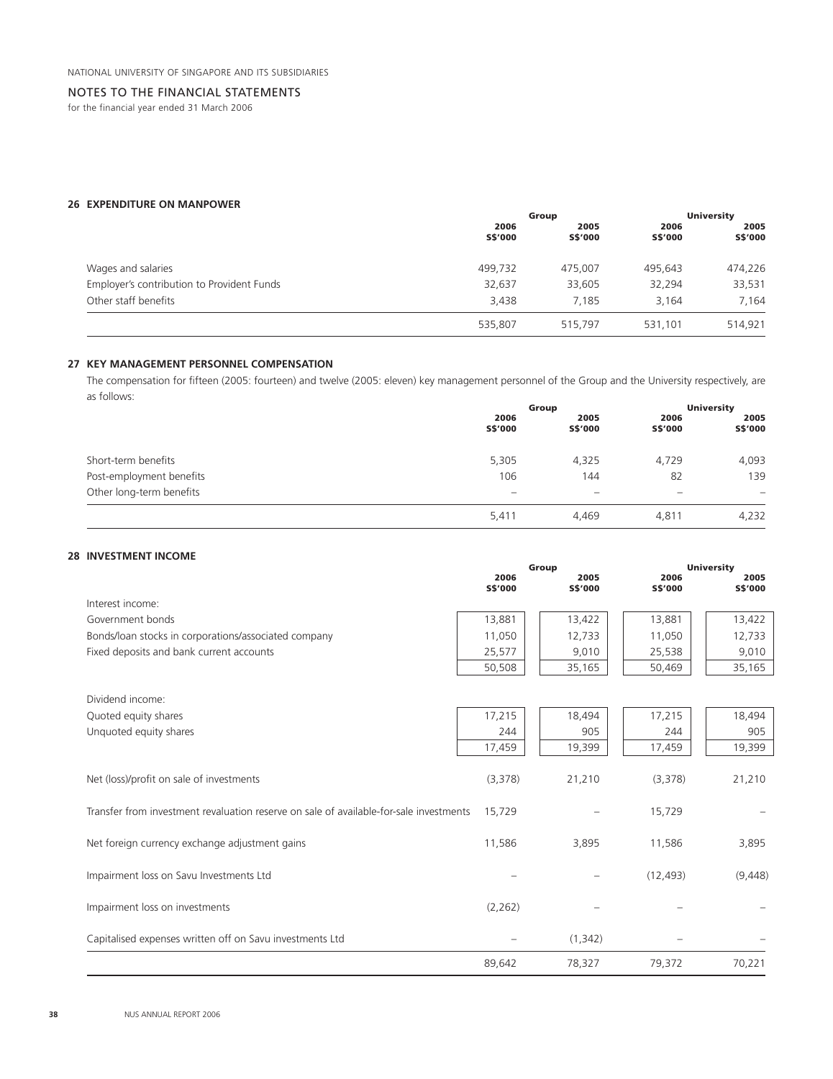for the financial year ended 31 March 2006

### **26 EXPENDITURE ON MANPOWER**

|                                            | Group           |                        | <b>University</b>      |                        |
|--------------------------------------------|-----------------|------------------------|------------------------|------------------------|
|                                            | 2006<br>S\$'000 | 2005<br><b>S\$'000</b> | 2006<br><b>S\$'000</b> | 2005<br><b>S\$'000</b> |
| Wages and salaries                         | 499.732         | 475,007                | 495.643                | 474,226                |
| Employer's contribution to Provident Funds | 32,637          | 33,605                 | 32,294                 | 33,531                 |
| Other staff benefits                       | 3.438           | 7.185                  | 3.164                  | 7,164                  |
|                                            | 535,807         | 515,797                | 531,101                | 514,921                |

# **27 KEY MANAGEMENT PERSONNEL COMPENSATION**

The compensation for fifteen (2005: fourteen) and twelve (2005: eleven) key management personnel of the Group and the University respectively, are as follows:

|                          | Group                  |                        |                          | <b>University</b>      |  |
|--------------------------|------------------------|------------------------|--------------------------|------------------------|--|
|                          | 2006<br><b>S\$'000</b> | 2005<br><b>S\$'000</b> | 2006<br><b>S\$'000</b>   | 2005<br><b>S\$'000</b> |  |
| Short-term benefits      | 5,305                  | 4,325                  | 4,729                    | 4,093                  |  |
| Post-employment benefits | 106                    | 144                    | 82                       | 139                    |  |
| Other long-term benefits |                        | $\hspace{0.05cm}$      | $\overline{\phantom{a}}$ |                        |  |
|                          | 5,411                  | 4,469                  | 4,811                    | 4,232                  |  |

# **28 INVESTMENT INCOME**

|                                                                                        | Group                  |                        | <b>University</b>      |                 |
|----------------------------------------------------------------------------------------|------------------------|------------------------|------------------------|-----------------|
|                                                                                        | 2006<br><b>S\$'000</b> | 2005<br><b>S\$'000</b> | 2006<br><b>S\$'000</b> | 2005<br>S\$'000 |
| Interest income:                                                                       |                        |                        |                        |                 |
| Government bonds                                                                       | 13,881                 | 13,422                 | 13,881                 | 13,422          |
| Bonds/loan stocks in corporations/associated company                                   | 11,050                 | 12,733                 | 11,050                 | 12,733          |
| Fixed deposits and bank current accounts                                               | 25,577                 | 9,010                  | 25,538                 | 9,010           |
|                                                                                        | 50,508                 | 35,165                 | 50,469                 | 35,165          |
| Dividend income:                                                                       |                        |                        |                        |                 |
| Quoted equity shares                                                                   | 17,215                 | 18,494                 | 17,215                 | 18,494          |
| Unquoted equity shares                                                                 | 244                    | 905                    | 244                    | 905             |
|                                                                                        | 17,459                 | 19,399                 | 17,459                 | 19,399          |
| Net (loss)/profit on sale of investments                                               | (3,378)                | 21,210                 | (3,378)                | 21,210          |
| Transfer from investment revaluation reserve on sale of available-for-sale investments | 15,729                 |                        | 15,729                 |                 |
| Net foreign currency exchange adjustment gains                                         | 11,586                 | 3,895                  | 11,586                 | 3,895           |
| Impairment loss on Savu Investments Ltd                                                |                        |                        | (12, 493)              | (9,448)         |
| Impairment loss on investments                                                         | (2,262)                |                        |                        |                 |
| Capitalised expenses written off on Savu investments Ltd                               |                        | (1, 342)               |                        |                 |
|                                                                                        | 89,642                 | 78,327                 | 79,372                 | 70,221          |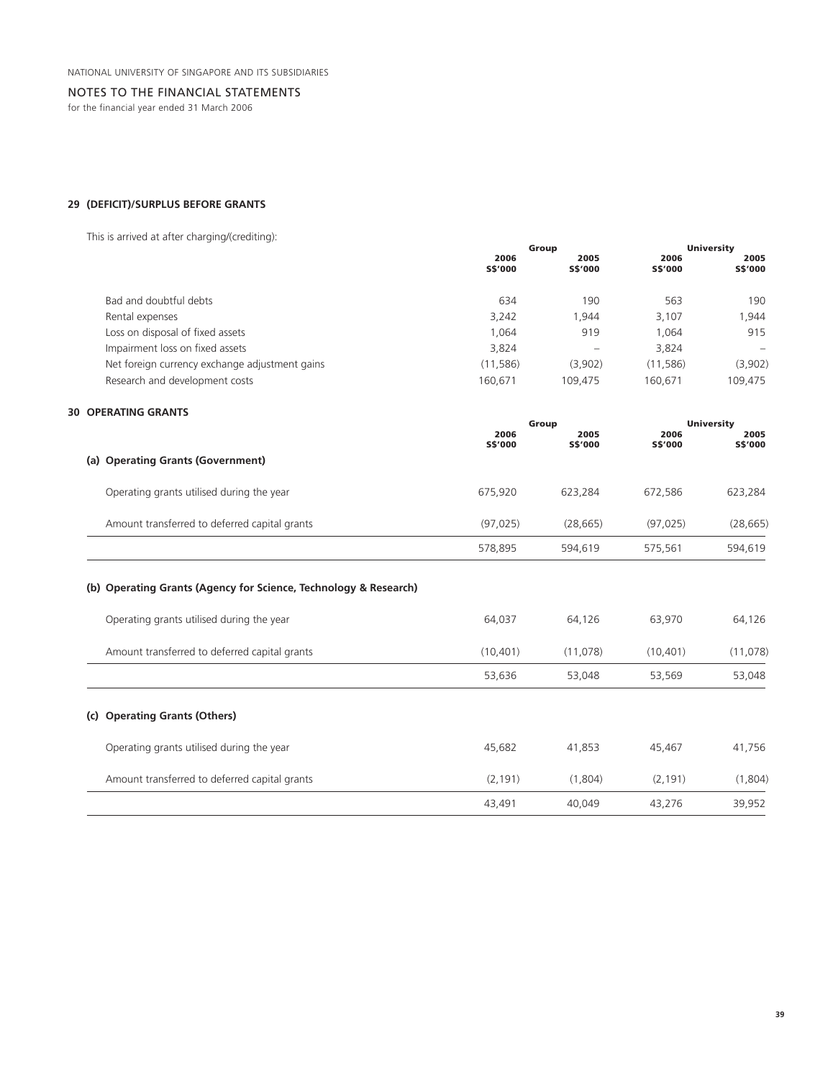for the financial year ended 31 March 2006

# **29 (DEFICIT)/SURPLUS BEFORE GRANTS**

This is arrived at after charging/(crediting):

|                                                | Group                  |                        | University             |                        |
|------------------------------------------------|------------------------|------------------------|------------------------|------------------------|
|                                                | 2006<br><b>S\$'000</b> | 2005<br><b>S\$'000</b> | 2006<br><b>S\$'000</b> | 2005<br><b>S\$'000</b> |
| Bad and doubtful debts                         | 634                    | 190                    | 563                    | 190                    |
| Rental expenses                                | 3,242                  | 1,944                  | 3.107                  | 1,944                  |
| Loss on disposal of fixed assets               | .064                   | 919                    | 1.064                  | 915                    |
| Impairment loss on fixed assets                | 3.824                  |                        | 3.824                  | $\qquad \qquad -$      |
| Net foreign currency exchange adjustment gains | (11, 586)              | (3,902)                | (11, 586)              | (3,902)                |
| Research and development costs                 | 160,671                | 109.475                | 160,671                | 109,475                |
|                                                |                        |                        |                        |                        |

# **30 OPERATING GRANTS**

|                                                                  |                        | Group                  | <b>University</b>      |                        |
|------------------------------------------------------------------|------------------------|------------------------|------------------------|------------------------|
|                                                                  | 2006<br><b>S\$'000</b> | 2005<br><b>S\$'000</b> | 2006<br><b>S\$'000</b> | 2005<br><b>S\$'000</b> |
| (a) Operating Grants (Government)                                |                        |                        |                        |                        |
| Operating grants utilised during the year                        | 675,920                | 623,284                | 672,586                | 623,284                |
| Amount transferred to deferred capital grants                    | (97, 025)              | (28, 665)              | (97, 025)              | (28, 665)              |
|                                                                  |                        | 594,619                | 575,561                | 594,619                |
|                                                                  | 578,895                |                        |                        |                        |
| (b) Operating Grants (Agency for Science, Technology & Research) |                        |                        |                        |                        |
| Operating grants utilised during the year                        | 64,037                 | 64,126                 | 63,970                 | 64,126                 |
| Amount transferred to deferred capital grants                    | (10, 401)              | (11,078)               | (10, 401)              | (11, 078)              |

|                                               | 43.491   | 40.049  | 43.276  | 39,952 |
|-----------------------------------------------|----------|---------|---------|--------|
| Amount transferred to deferred capital grants | (2, 191) | (1.804) | (2.191) | ,804)  |
| Operating grants utilised during the year     | 45.682   | 41.853  | 45,467  | 41.756 |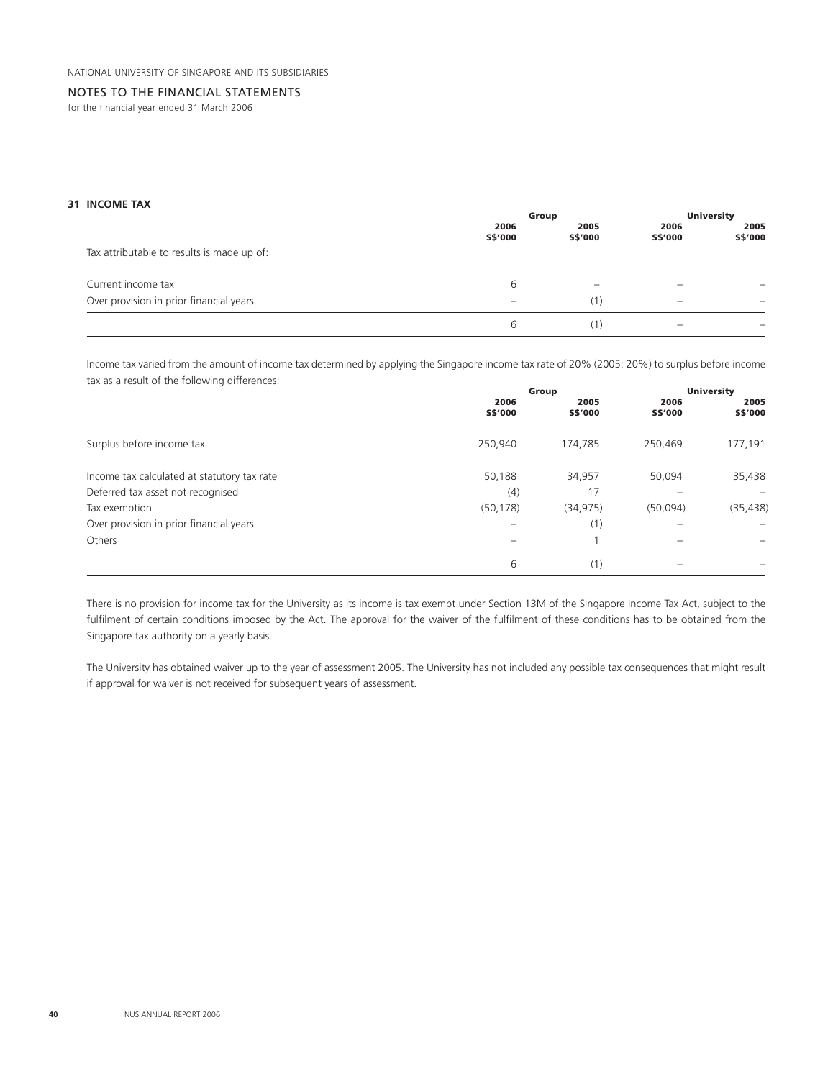for the financial year ended 31 March 2006

## **31 INCOME TAX**

|                                            | Group                  |                        | <b>University</b>        |                        |
|--------------------------------------------|------------------------|------------------------|--------------------------|------------------------|
|                                            | 2006<br><b>S\$'000</b> | 2005<br><b>S\$'000</b> | 2006<br><b>S\$'000</b>   | 2005<br><b>S\$'000</b> |
| Tax attributable to results is made up of: |                        |                        |                          |                        |
| Current income tax                         | 6                      |                        |                          |                        |
| Over provision in prior financial years    | $\hspace{0.05cm}$      | (1)                    | $\overline{\phantom{a}}$ |                        |
|                                            | 6                      | $\left( \right)$       |                          |                        |

Income tax varied from the amount of income tax determined by applying the Singapore income tax rate of 20% (2005: 20%) to surplus before income tax as a result of the following differences:

|                                             | Group                  |                        | <b>University</b>      |                        |  |
|---------------------------------------------|------------------------|------------------------|------------------------|------------------------|--|
|                                             | 2006<br><b>S\$'000</b> | 2005<br><b>S\$'000</b> | 2006<br><b>S\$'000</b> | 2005<br><b>S\$'000</b> |  |
| Surplus before income tax                   | 250,940                | 174.785                | 250.469                | 177,191                |  |
| Income tax calculated at statutory tax rate | 50,188                 | 34,957                 | 50.094                 | 35,438                 |  |
| Deferred tax asset not recognised           | (4)                    | 17                     |                        |                        |  |
| Tax exemption                               | (50, 178)              | (34, 975)              | (50,094)               | (35, 438)              |  |
| Over provision in prior financial years     |                        | (1)                    |                        |                        |  |
| Others                                      |                        |                        | -                      |                        |  |
|                                             | 6                      | (1)                    | -                      |                        |  |

There is no provision for income tax for the University as its income is tax exempt under Section 13M of the Singapore Income Tax Act, subject to the fulfilment of certain conditions imposed by the Act. The approval for the waiver of the fulfilment of these conditions has to be obtained from the Singapore tax authority on a yearly basis.

The University has obtained waiver up to the year of assessment 2005. The University has not included any possible tax consequences that might result if approval for waiver is not received for subsequent years of assessment.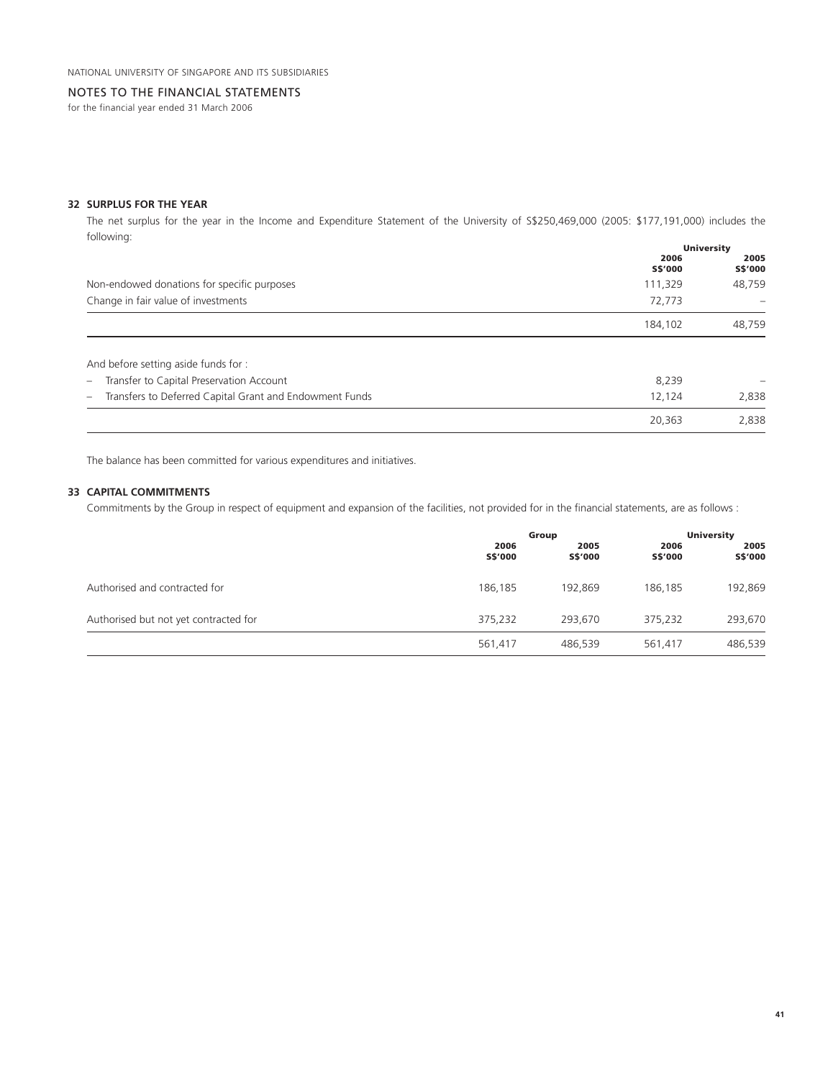for the financial year ended 31 March 2006

### **32 SURPLUS FOR THE YEAR**

The net surplus for the year in the Income and Expenditure Statement of the University of S\$250,469,000 (2005: \$177,191,000) includes the following:

|                                                                                    |                        | <b>University</b>      |
|------------------------------------------------------------------------------------|------------------------|------------------------|
|                                                                                    | 2006<br><b>S\$'000</b> | 2005<br><b>S\$'000</b> |
| Non-endowed donations for specific purposes<br>Change in fair value of investments | 111,329                | 48,759                 |
|                                                                                    | 72,773                 |                        |
|                                                                                    | 184,102                | 48,759                 |
| And before setting aside funds for:                                                |                        |                        |
| Transfer to Capital Preservation Account<br>$\overline{\phantom{a}}$               | 8,239                  |                        |
| - Transfers to Deferred Capital Grant and Endowment Funds                          | 12,124                 | 2,838                  |
|                                                                                    | 20,363                 | 2,838                  |

The balance has been committed for various expenditures and initiatives.

# **33 CAPITAL COMMITMENTS**

Commitments by the Group in respect of equipment and expansion of the facilities, not provided for in the financial statements, are as follows :

|                                       |                 | Group                  |                        | <b>University</b>      |  |
|---------------------------------------|-----------------|------------------------|------------------------|------------------------|--|
|                                       | 2006<br>S\$'000 | 2005<br><b>S\$'000</b> | 2006<br><b>S\$'000</b> | 2005<br><b>S\$'000</b> |  |
| Authorised and contracted for         | 186,185         | 192,869                | 186,185                | 192,869                |  |
| Authorised but not yet contracted for | 375,232         | 293.670                | 375,232                | 293,670                |  |
|                                       | 561,417         | 486,539                | 561,417                | 486,539                |  |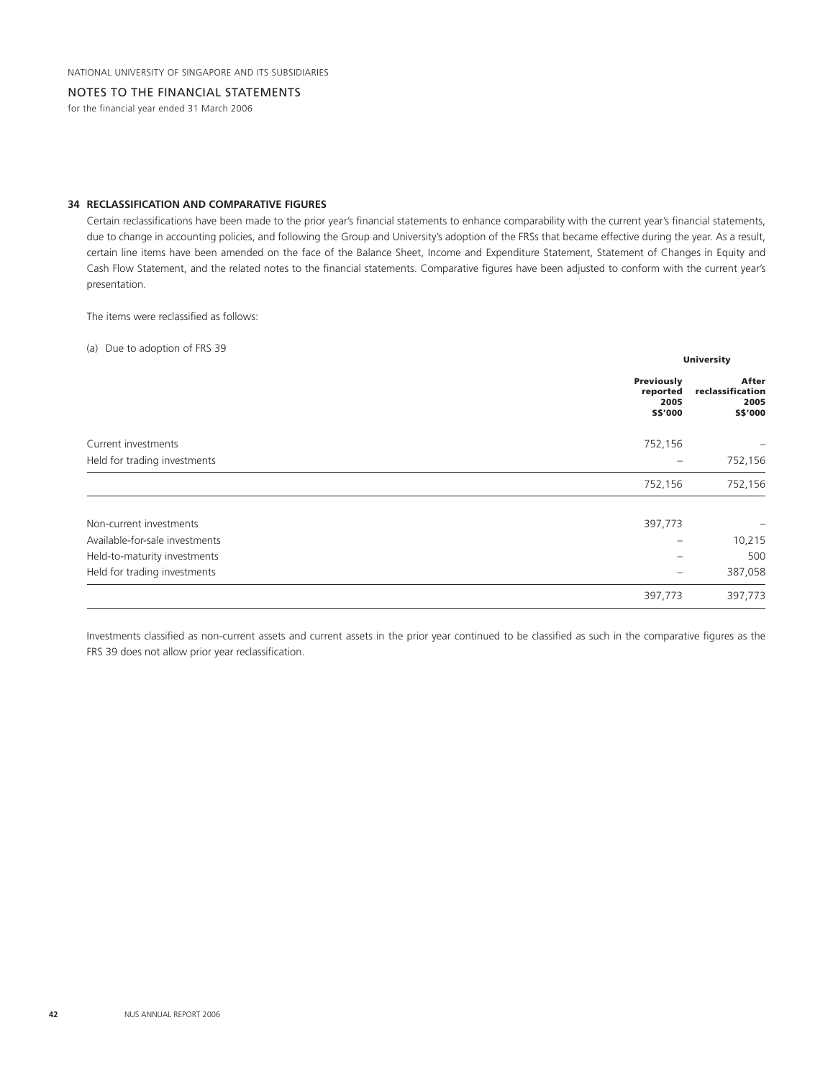for the financial year ended 31 March 2006

### **34 RECLASSIFICATION AND COMPARATIVE FIGURES**

Certain reclassifications have been made to the prior year's financial statements to enhance comparability with the current year's financial statements, due to change in accounting policies, and following the Group and University's adoption of the FRSs that became effective during the year. As a result, certain line items have been amended on the face of the Balance Sheet, Income and Expenditure Statement, Statement of Changes in Equity and Cash Flow Statement, and the related notes to the financial statements. Comparative figures have been adjusted to conform with the current year's presentation.

The items were reclassified as follows:

(a) Due to adoption of FRS 39

|                                | <b>University</b>                                |                                                     |
|--------------------------------|--------------------------------------------------|-----------------------------------------------------|
|                                | Previously<br>reported<br>2005<br><b>S\$'000</b> | After<br>reclassification<br>2005<br><b>S\$'000</b> |
| Current investments            | 752,156                                          |                                                     |
| Held for trading investments   |                                                  | 752,156                                             |
|                                | 752,156                                          | 752,156                                             |
| Non-current investments        | 397,773                                          | $\overline{\phantom{m}}$                            |
| Available-for-sale investments |                                                  | 10,215                                              |
| Held-to-maturity investments   |                                                  | 500                                                 |
| Held for trading investments   |                                                  | 387,058                                             |
|                                | 397,773                                          | 397,773                                             |

Investments classified as non-current assets and current assets in the prior year continued to be classified as such in the comparative figures as the FRS 39 does not allow prior year reclassification.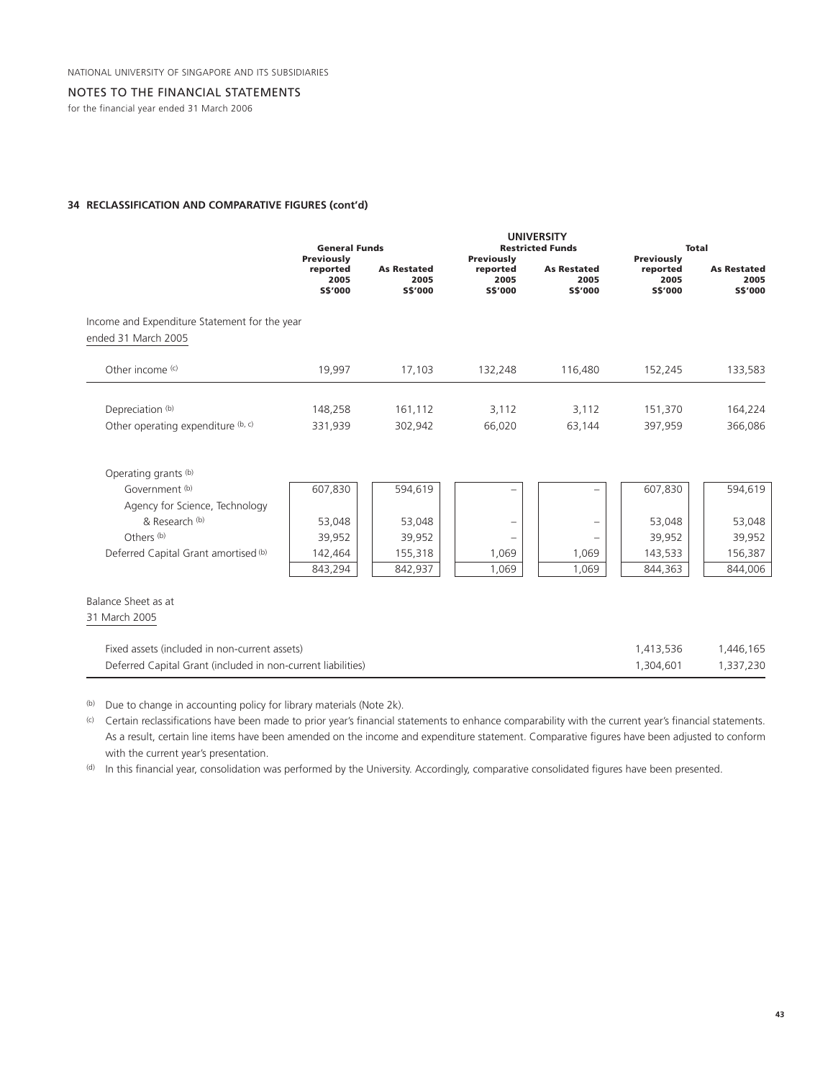for the financial year ended 31 March 2006

# **34 RECLASSIFICATION AND COMPARATIVE FIGURES (cont'd)**

|                                                                      | <b>General Funds</b>                             |                                              | <b>UNIVERSITY</b><br><b>Restricted Funds</b>     |                                              | <b>Total</b>                                     |                                              |
|----------------------------------------------------------------------|--------------------------------------------------|----------------------------------------------|--------------------------------------------------|----------------------------------------------|--------------------------------------------------|----------------------------------------------|
|                                                                      | Previously<br>reported<br>2005<br><b>S\$'000</b> | <b>As Restated</b><br>2005<br><b>S\$'000</b> | Previously<br>reported<br>2005<br><b>S\$'000</b> | <b>As Restated</b><br>2005<br><b>S\$'000</b> | Previously<br>reported<br>2005<br><b>S\$'000</b> | <b>As Restated</b><br>2005<br><b>S\$'000</b> |
| Income and Expenditure Statement for the year<br>ended 31 March 2005 |                                                  |                                              |                                                  |                                              |                                                  |                                              |
| Other income (c)                                                     | 19,997                                           | 17,103                                       | 132,248                                          | 116,480                                      | 152,245                                          | 133,583                                      |
| Depreciation (b)                                                     | 148,258                                          | 161,112                                      | 3,112                                            | 3,112                                        | 151,370                                          | 164,224                                      |
| Other operating expenditure (b, c)                                   | 331,939                                          | 302,942                                      | 66,020                                           | 63,144                                       | 397,959                                          | 366,086                                      |
| Operating grants (b)                                                 |                                                  |                                              |                                                  |                                              |                                                  |                                              |
| Government (b)                                                       | 607,830                                          | 594,619                                      |                                                  |                                              | 607,830                                          | 594,619                                      |
| Agency for Science, Technology                                       |                                                  |                                              |                                                  |                                              |                                                  |                                              |
| & Research (b)                                                       | 53,048                                           | 53,048                                       |                                                  |                                              | 53,048                                           | 53,048                                       |
| Others <sup>(b)</sup>                                                | 39,952                                           | 39,952                                       | $\overline{\phantom{m}}$                         |                                              | 39,952                                           | 39,952                                       |
| Deferred Capital Grant amortised (b)                                 | 142,464                                          | 155,318                                      | 1,069                                            | 1,069                                        | 143,533                                          | 156,387                                      |
|                                                                      | 843,294                                          | 842,937                                      | 1,069                                            | 1,069                                        | 844,363                                          | 844,006                                      |
| Balance Sheet as at<br>31 March 2005                                 |                                                  |                                              |                                                  |                                              |                                                  |                                              |
| Fixed assets (included in non-current assets)                        |                                                  |                                              |                                                  |                                              | 1,413,536                                        | 1,446,165                                    |
| Deferred Capital Grant (included in non-current liabilities)         |                                                  |                                              |                                                  |                                              | 1,304,601                                        | 1,337,230                                    |

(b) Due to change in accounting policy for library materials (Note 2k).

(c) Certain reclassifications have been made to prior year's financial statements to enhance comparability with the current year's financial statements. As a result, certain line items have been amended on the income and expenditure statement. Comparative figures have been adjusted to conform with the current year's presentation.

(d) In this financial year, consolidation was performed by the University. Accordingly, comparative consolidated figures have been presented.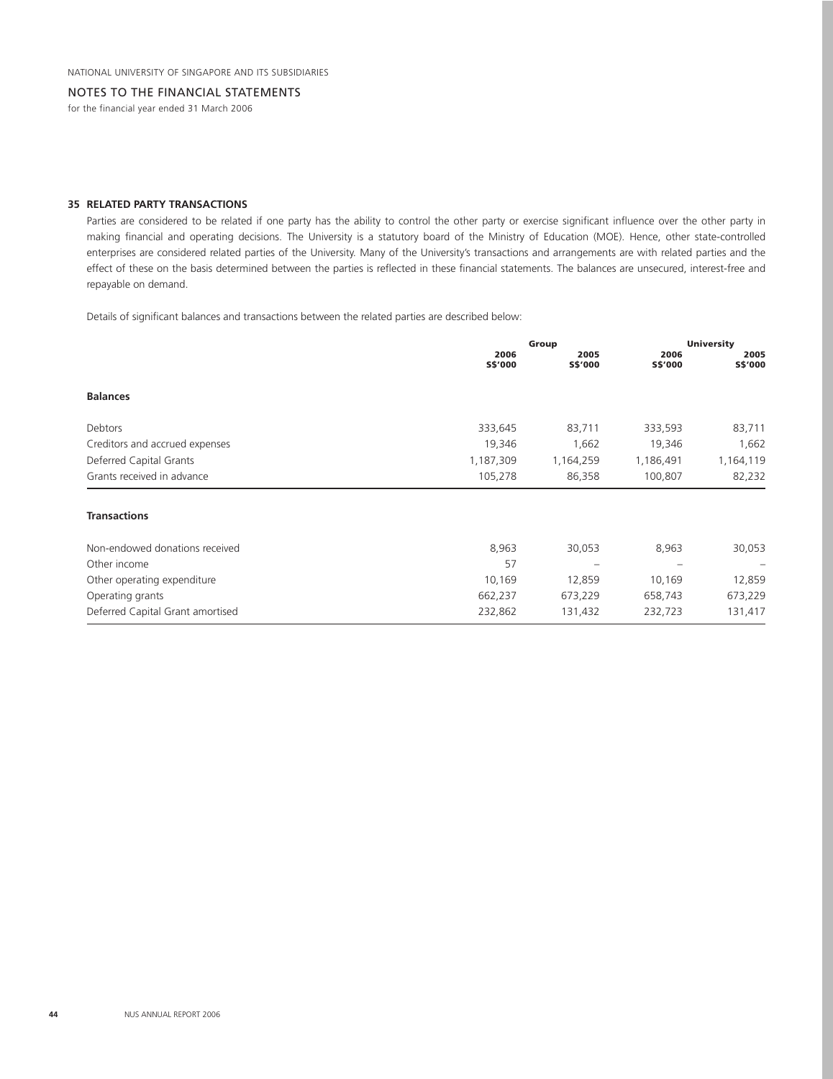for the financial year ended 31 March 2006

#### **35 RELATED PARTY TRANSACTIONS**

Parties are considered to be related if one party has the ability to control the other party or exercise significant influence over the other party in making financial and operating decisions. The University is a statutory board of the Ministry of Education (MOE). Hence, other state-controlled enterprises are considered related parties of the University. Many of the University's transactions and arrangements are with related parties and the effect of these on the basis determined between the parties is reflected in these financial statements. The balances are unsecured, interest-free and repayable on demand.

Details of significant balances and transactions between the related parties are described below:

|                                  |                        | Group                  | <b>University</b>      |                        |
|----------------------------------|------------------------|------------------------|------------------------|------------------------|
|                                  | 2006<br><b>S\$'000</b> | 2005<br><b>S\$'000</b> | 2006<br><b>S\$'000</b> | 2005<br><b>S\$'000</b> |
| <b>Balances</b>                  |                        |                        |                        |                        |
| Debtors                          | 333,645                | 83,711                 | 333,593                | 83,711                 |
| Creditors and accrued expenses   | 19,346                 | 1,662                  | 19,346                 | 1,662                  |
| Deferred Capital Grants          | 1,187,309              | 1,164,259              | 1,186,491              | 1,164,119              |
| Grants received in advance       | 105,278                | 86,358                 | 100,807                | 82,232                 |
| <b>Transactions</b>              |                        |                        |                        |                        |
| Non-endowed donations received   | 8,963                  | 30,053                 | 8,963                  | 30,053                 |
| Other income                     | 57                     | -                      |                        |                        |
| Other operating expenditure      | 10,169                 | 12,859                 | 10,169                 | 12,859                 |
| Operating grants                 | 662,237                | 673,229                | 658,743                | 673,229                |
| Deferred Capital Grant amortised | 232,862                | 131,432                | 232,723                | 131,417                |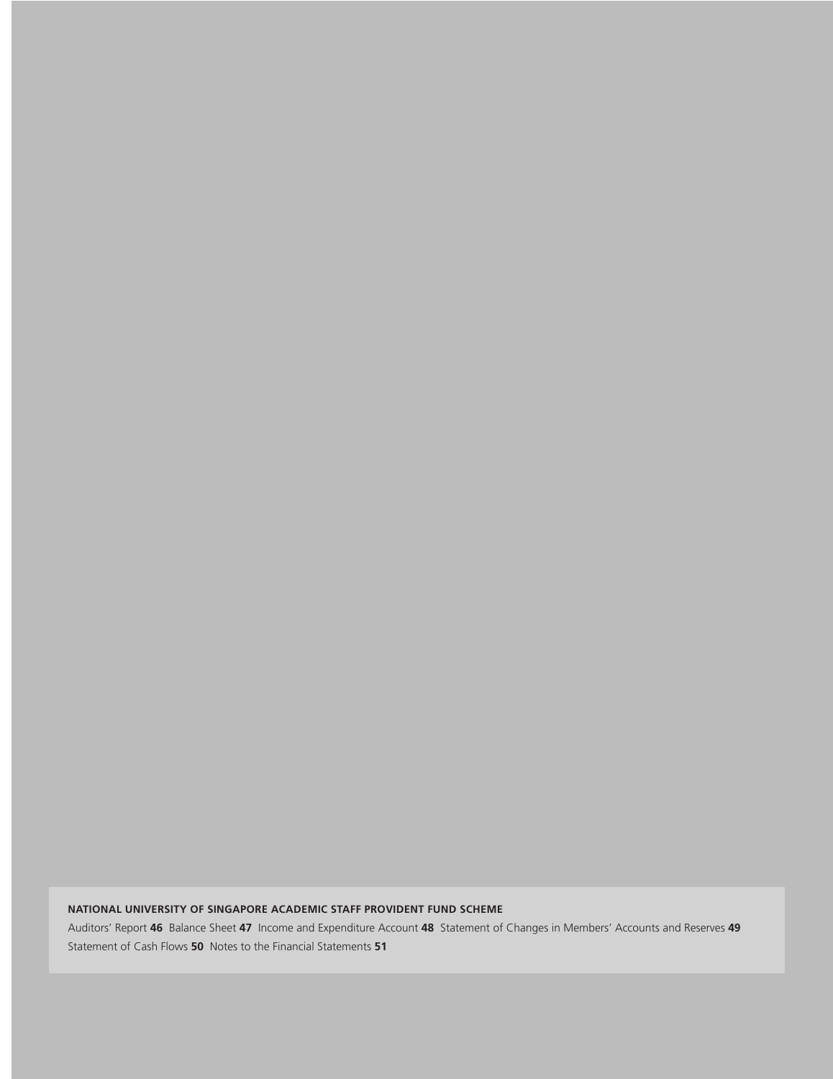# **NATIONAL UNIVERSITY OF SINGAPORE ACADEMIC STAFF PROVIDENT FUND SCHEME**

[Auditors' Report](#page-45-0) **46** [Balance Sheet](#page-46-0) **47** [Income and Expenditure Account](#page-47-0) **48** [Statement of Changes in Members' Accounts and Reserves](#page-48-0) **49** [Statement of Cash Flows](#page-49-0) **50** [Notes to the Financial Statements](#page-50-0) **51**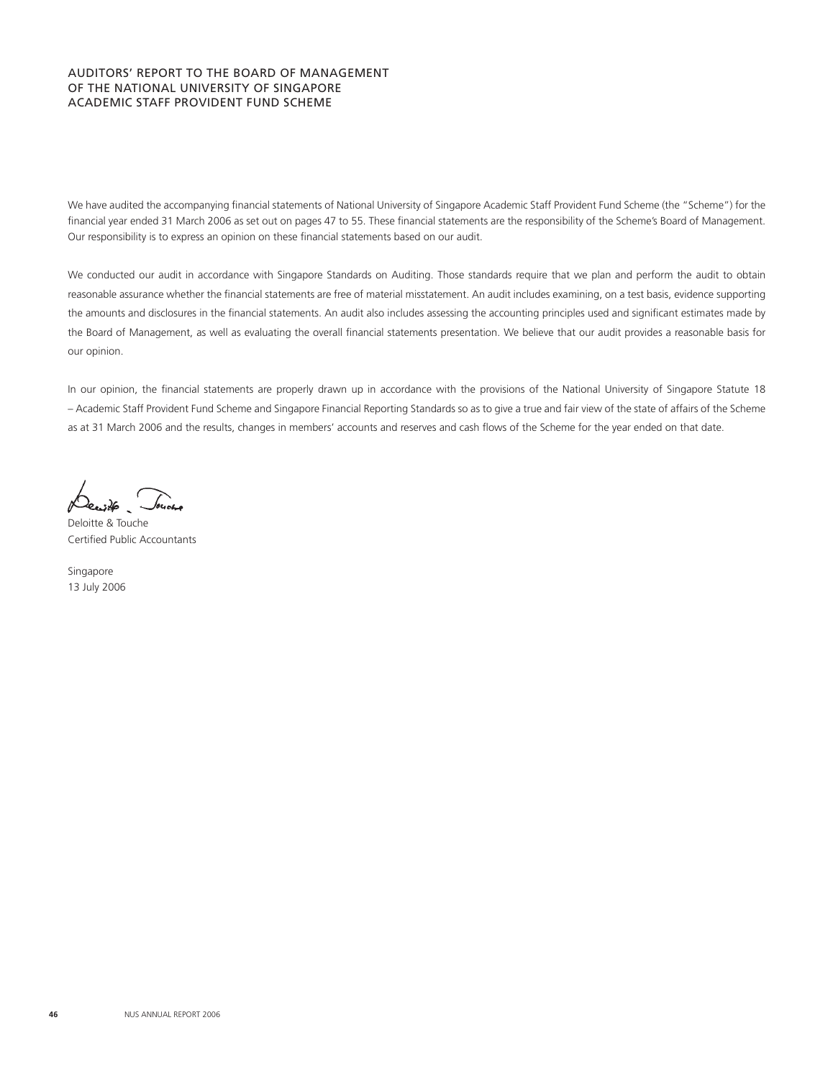# <span id="page-45-0"></span>AUDITORS' REPORT TO THE BOARD OF MANAGEMENT OF THE NATIONAL UNIVERSITY OF SINGAPORE ACADEMIC STAFF PROVIDENT FUND SCHEME

We have audited the accompanying financial statements of National University of Singapore Academic Staff Provident Fund Scheme (the "Scheme") for the financial year ended 31 March 2006 as set out on pages 47 to 55. These financial statements are the responsibility of the Scheme's Board of Management. Our responsibility is to express an opinion on these financial statements based on our audit.

We conducted our audit in accordance with Singapore Standards on Auditing. Those standards require that we plan and perform the audit to obtain reasonable assurance whether the financial statements are free of material misstatement. An audit includes examining, on a test basis, evidence supporting the amounts and disclosures in the financial statements. An audit also includes assessing the accounting principles used and significant estimates made by the Board of Management, as well as evaluating the overall financial statements presentation. We believe that our audit provides a reasonable basis for our opinion.

In our opinion, the financial statements are properly drawn up in accordance with the provisions of the National University of Singapore Statute 18 – Academic Staff Provident Fund Scheme and Singapore Financial Reporting Standards so as to give a true and fair view of the state of affairs of the Scheme as at 31 March 2006 and the results, changes in members' accounts and reserves and cash flows of the Scheme for the year ended on that date.

Deloitte & Touche Certified Public Accountants

Singapore 13 July 2006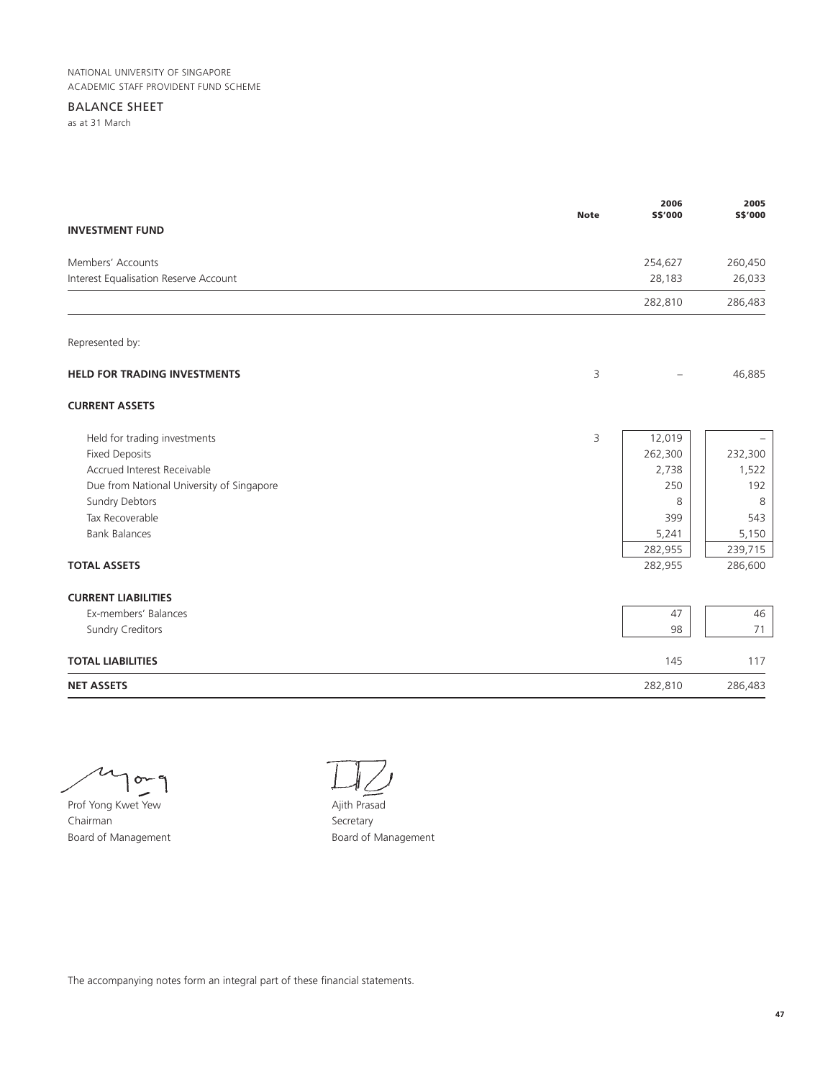<span id="page-46-0"></span>NATIONAL UNIVERSITY OF SINGAPORE ACADEMIC STAFF PROVIDENT FUND SCHEME

# BALANCE SHEET

as at 31 March

|                                           | <b>Note</b> | 2006<br><b>S\$'000</b> | 2005<br><b>S\$'000</b> |
|-------------------------------------------|-------------|------------------------|------------------------|
| <b>INVESTMENT FUND</b>                    |             |                        |                        |
| Members' Accounts                         |             | 254,627                | 260,450                |
| Interest Equalisation Reserve Account     |             | 28,183                 | 26,033                 |
|                                           |             | 282,810                | 286,483                |
| Represented by:                           |             |                        |                        |
| <b>HELD FOR TRADING INVESTMENTS</b>       | 3           |                        | 46,885                 |
| <b>CURRENT ASSETS</b>                     |             |                        |                        |
| Held for trading investments              | 3           | 12,019                 |                        |
| <b>Fixed Deposits</b>                     |             | 262,300                | 232,300                |
| Accrued Interest Receivable               |             | 2,738                  | 1,522                  |
| Due from National University of Singapore |             | 250                    | 192                    |
| Sundry Debtors                            |             | 8                      | 8                      |
| Tax Recoverable                           |             | 399                    | 543                    |
| <b>Bank Balances</b>                      |             | 5,241                  | 5,150                  |
|                                           |             | 282,955                | 239,715                |
| <b>TOTAL ASSETS</b>                       |             | 282,955                | 286,600                |
| <b>CURRENT LIABILITIES</b>                |             |                        |                        |
| Ex-members' Balances                      |             | 47                     | 46                     |
| Sundry Creditors                          |             | 98                     | 71                     |
| <b>TOTAL LIABILITIES</b>                  |             | 145                    | 117                    |
| <b>NET ASSETS</b>                         |             | 282,810                | 286,483                |

 $\sigma$ 

Prof Yong Kwet Yew **Agency Afficient Agency** Ajith Prasad Chairman Secretary Board of Management **Board of Management** 

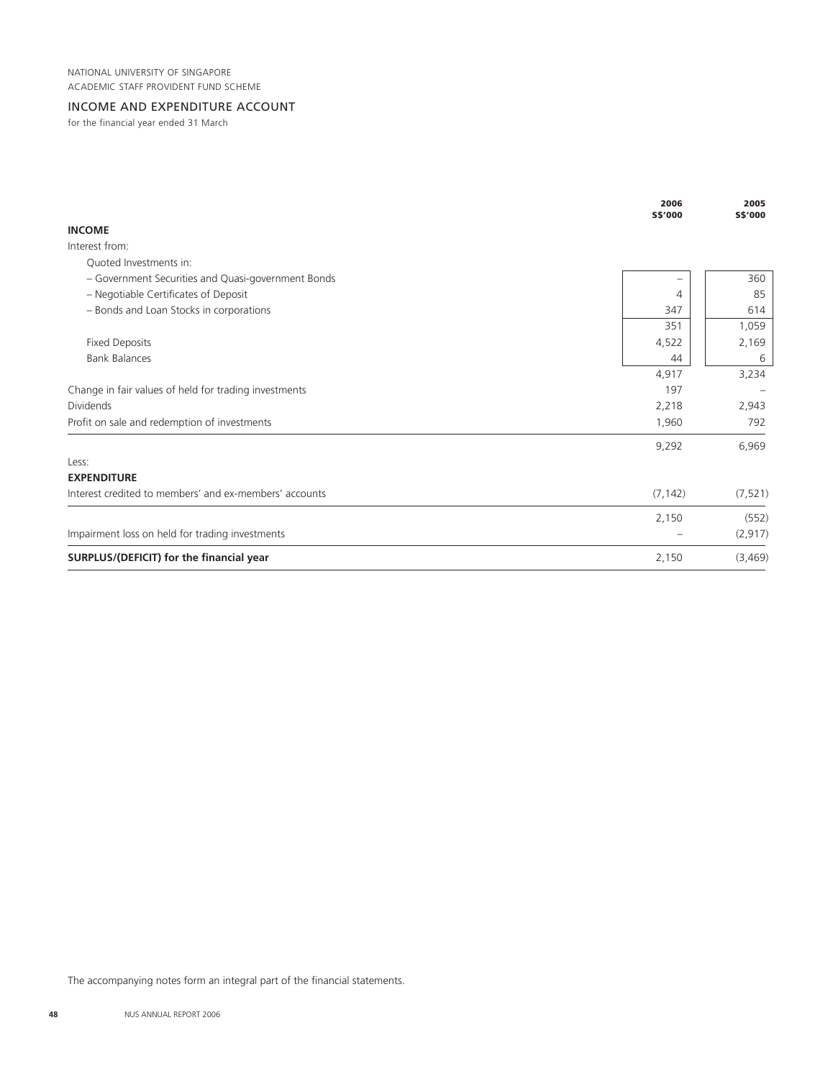# <span id="page-47-0"></span>INCOME AND EXPENDITURE ACCOUNT

for the financial year ended 31 March

|                                                        | 2006<br><b>S\$'000</b> | 2005<br><b>S\$'000</b> |
|--------------------------------------------------------|------------------------|------------------------|
| <b>INCOME</b>                                          |                        |                        |
| Interest from:                                         |                        |                        |
| Quoted Investments in:                                 |                        |                        |
| - Government Securities and Quasi-government Bonds     |                        | 360                    |
| - Negotiable Certificates of Deposit                   | 4                      | 85                     |
| - Bonds and Loan Stocks in corporations                | 347                    | 614                    |
|                                                        | 351                    | 1,059                  |
| <b>Fixed Deposits</b>                                  | 4,522                  | 2,169                  |
| <b>Bank Balances</b>                                   | 44                     | 6                      |
|                                                        | 4,917                  | 3,234                  |
| Change in fair values of held for trading investments  | 197                    |                        |
| <b>Dividends</b>                                       | 2,218                  | 2,943                  |
| Profit on sale and redemption of investments           | 1,960                  | 792                    |
|                                                        | 9,292                  | 6,969                  |
| Less:                                                  |                        |                        |
| <b>EXPENDITURE</b>                                     |                        |                        |
| Interest credited to members' and ex-members' accounts | (7, 142)               | (7, 521)               |
|                                                        | 2,150                  | (552)                  |
| Impairment loss on held for trading investments        |                        | (2, 917)               |
| SURPLUS/(DEFICIT) for the financial year               | 2,150                  | (3,469)                |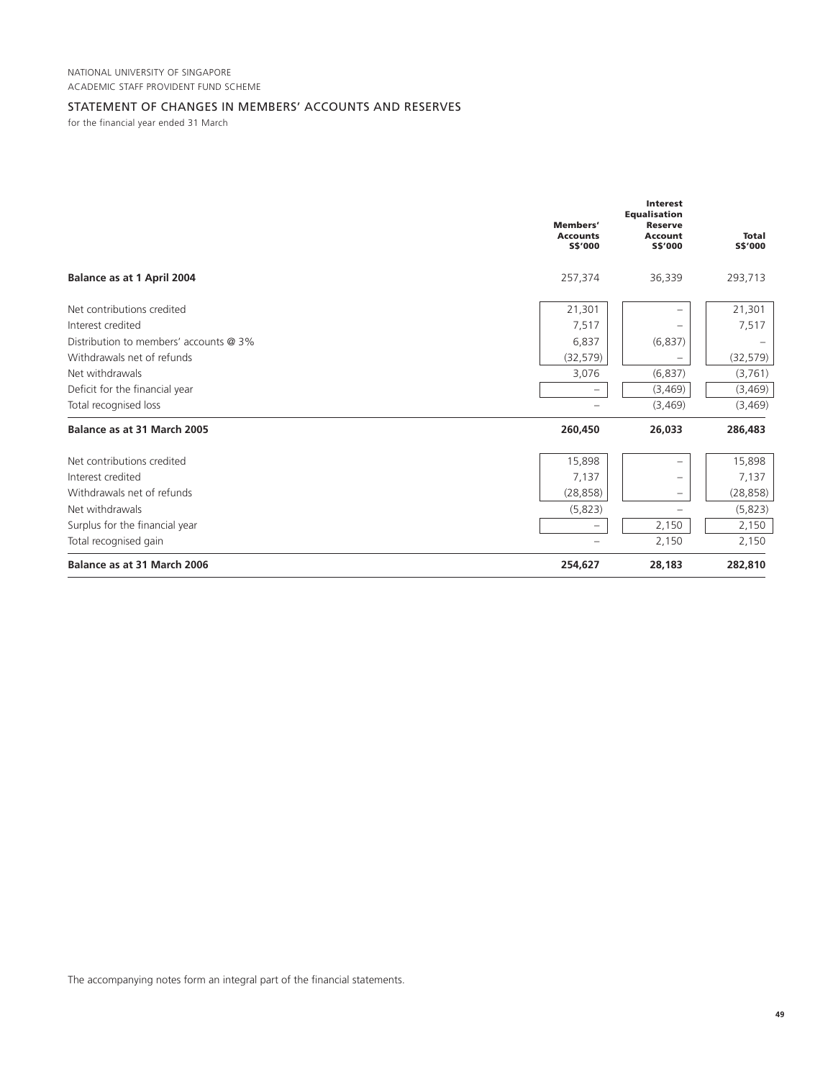# <span id="page-48-0"></span>STATEMENT OF CHANGES IN MEMBERS' ACCOUNTS AND RESERVES

for the financial year ended 31 March

|                                        | <b>Members'</b><br><b>Accounts</b><br><b>S\$'000</b> | <b>Interest</b><br><b>Equalisation</b><br><b>Reserve</b><br><b>Account</b><br><b>S\$'000</b> | <b>Total</b><br><b>S\$'000</b> |
|----------------------------------------|------------------------------------------------------|----------------------------------------------------------------------------------------------|--------------------------------|
| Balance as at 1 April 2004             | 257,374                                              | 36,339                                                                                       | 293,713                        |
| Net contributions credited             | 21,301                                               |                                                                                              | 21,301                         |
| Interest credited                      | 7,517                                                |                                                                                              | 7,517                          |
| Distribution to members' accounts @ 3% | 6,837                                                | (6, 837)                                                                                     |                                |
| Withdrawals net of refunds             | (32, 579)                                            |                                                                                              | (32, 579)                      |
| Net withdrawals                        | 3,076                                                | (6,837)                                                                                      | (3,761)                        |
| Deficit for the financial year         | -                                                    | (3,469)                                                                                      | (3, 469)                       |
| Total recognised loss                  |                                                      | (3,469)                                                                                      | (3,469)                        |
| Balance as at 31 March 2005            | 260,450                                              | 26,033                                                                                       | 286,483                        |
| Net contributions credited             | 15,898                                               |                                                                                              | 15,898                         |
| Interest credited                      | 7,137                                                | $\overline{\phantom{0}}$                                                                     | 7,137                          |
| Withdrawals net of refunds             | (28, 858)                                            | $\overline{\phantom{0}}$                                                                     | (28, 858)                      |
| Net withdrawals                        | (5,823)                                              | $\overline{\phantom{0}}$                                                                     | (5,823)                        |
| Surplus for the financial year         |                                                      | 2,150                                                                                        | 2,150                          |
| Total recognised gain                  |                                                      | 2,150                                                                                        | 2,150                          |
| Balance as at 31 March 2006            | 254,627                                              | 28,183                                                                                       | 282,810                        |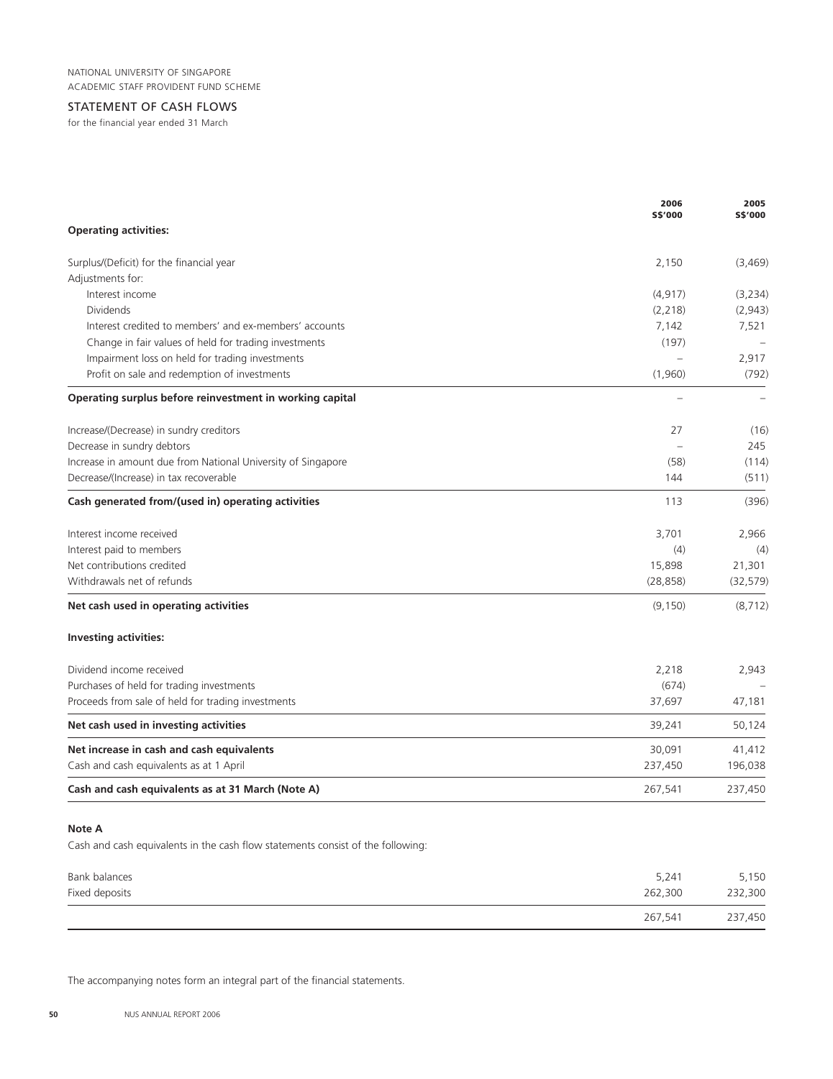# <span id="page-49-0"></span>STATEMENT OF CASH FLOWS

for the financial year ended 31 March

|                                                              | 2006<br><b>S\$'000</b> | 2005<br><b>S\$'000</b> |
|--------------------------------------------------------------|------------------------|------------------------|
| <b>Operating activities:</b>                                 |                        |                        |
| Surplus/(Deficit) for the financial year                     | 2,150                  | (3,469)                |
| Adjustments for:                                             |                        |                        |
| Interest income                                              | (4, 917)               | (3,234)                |
| <b>Dividends</b>                                             | (2, 218)               | (2,943)                |
| Interest credited to members' and ex-members' accounts       | 7,142                  | 7,521                  |
| Change in fair values of held for trading investments        | (197)                  |                        |
| Impairment loss on held for trading investments              |                        | 2,917                  |
| Profit on sale and redemption of investments                 | (1,960)                | (792)                  |
| Operating surplus before reinvestment in working capital     |                        |                        |
| Increase/(Decrease) in sundry creditors                      | 27                     | (16)                   |
| Decrease in sundry debtors                                   |                        | 245                    |
| Increase in amount due from National University of Singapore | (58)                   | (114)                  |
| Decrease/(Increase) in tax recoverable                       | 144                    | (511)                  |
| Cash generated from/(used in) operating activities           | 113                    | (396)                  |
| Interest income received                                     | 3,701                  | 2,966                  |
| Interest paid to members                                     | (4)                    | (4)                    |
| Net contributions credited                                   | 15,898                 | 21,301                 |
| Withdrawals net of refunds                                   | (28, 858)              | (32, 579)              |
| Net cash used in operating activities                        | (9, 150)               | (8, 712)               |
| <b>Investing activities:</b>                                 |                        |                        |
| Dividend income received                                     | 2,218                  | 2,943                  |
| Purchases of held for trading investments                    | (674)                  |                        |
| Proceeds from sale of held for trading investments           | 37,697                 | 47,181                 |
| Net cash used in investing activities                        | 39,241                 | 50,124                 |
| Net increase in cash and cash equivalents                    | 30,091                 | 41,412                 |
| Cash and cash equivalents as at 1 April                      | 237,450                | 196,038                |
| Cash and cash equivalents as at 31 March (Note A)            | 267,541                | 237,450                |
| Note A                                                       |                        |                        |

Cash and cash equivalents in the cash flow statements consist of the following:

| Bank balances  | 5,241   | 5,150   |
|----------------|---------|---------|
| Fixed deposits | 262,300 | 232,300 |
|                | 267.541 | 237,450 |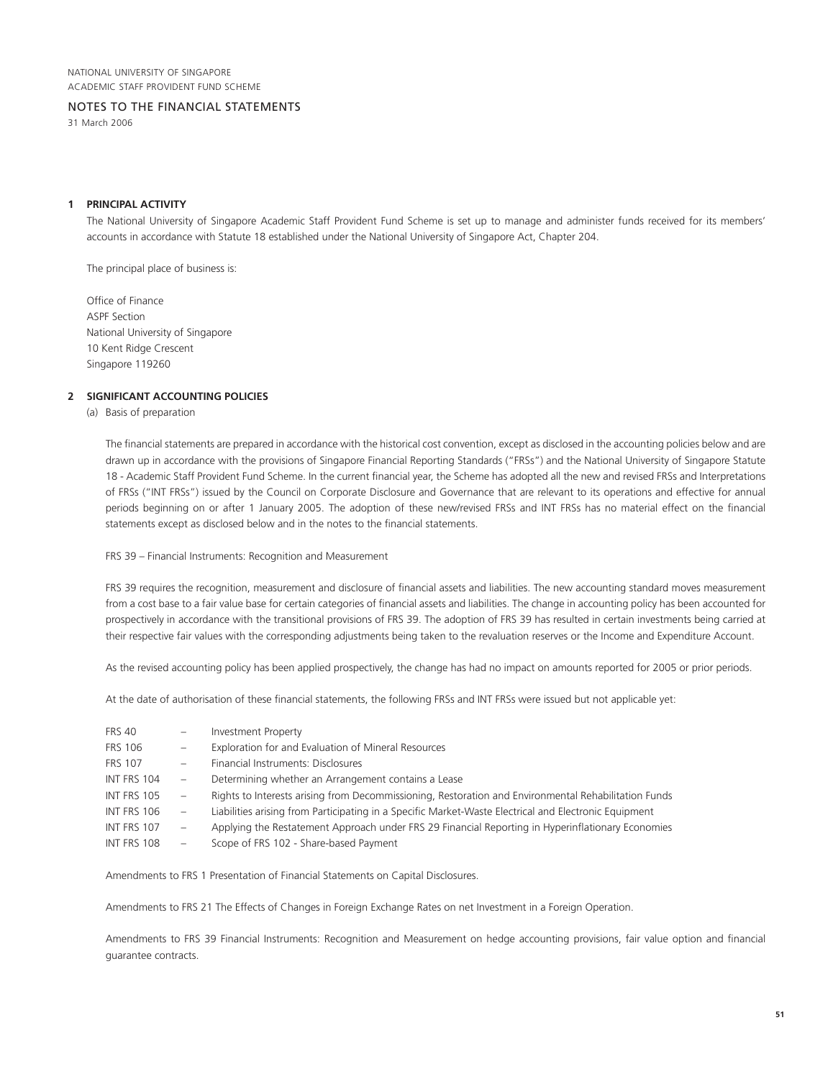<span id="page-50-0"></span>NATIONAL UNIVERSITY OF SINGAPORE ACADEMIC STAFF PROVIDENT FUND SCHEME

### NOTES TO THE FINANCIAL STATEMENTS

31 March 2006

#### **1 PRINCIPAL ACTIVITY**

The National University of Singapore Academic Staff Provident Fund Scheme is set up to manage and administer funds received for its members' accounts in accordance with Statute 18 established under the National University of Singapore Act, Chapter 204.

The principal place of business is:

Office of Finance ASPF Section National University of Singapore 10 Kent Ridge Crescent Singapore 119260

# **2 SIGNIFICANT ACCOUNTING POLICIES**

### (a) Basis of preparation

The financial statements are prepared in accordance with the historical cost convention, except as disclosed in the accounting policies below and are drawn up in accordance with the provisions of Singapore Financial Reporting Standards ("FRSs") and the National University of Singapore Statute 18 - Academic Staff Provident Fund Scheme. In the current financial year, the Scheme has adopted all the new and revised FRSs and Interpretations of FRSs ("INT FRSs") issued by the Council on Corporate Disclosure and Governance that are relevant to its operations and effective for annual periods beginning on or after 1 January 2005. The adoption of these new/revised FRSs and INT FRSs has no material effect on the financial statements except as disclosed below and in the notes to the financial statements.

FRS 39 – Financial Instruments: Recognition and Measurement

FRS 39 requires the recognition, measurement and disclosure of financial assets and liabilities. The new accounting standard moves measurement from a cost base to a fair value base for certain categories of financial assets and liabilities. The change in accounting policy has been accounted for prospectively in accordance with the transitional provisions of FRS 39. The adoption of FRS 39 has resulted in certain investments being carried at their respective fair values with the corresponding adjustments being taken to the revaluation reserves or the Income and Expenditure Account.

As the revised accounting policy has been applied prospectively, the change has had no impact on amounts reported for 2005 or prior periods.

At the date of authorisation of these financial statements, the following FRSs and INT FRSs were issued but not applicable yet:

| <b>FRS 40</b>  |                          | Investment Property                                                                                   |
|----------------|--------------------------|-------------------------------------------------------------------------------------------------------|
| <b>FRS 106</b> |                          | Exploration for and Evaluation of Mineral Resources                                                   |
| <b>FRS 107</b> | $\overline{\phantom{m}}$ | Financial Instruments: Disclosures                                                                    |
| INT FRS 104    | $\equiv$ .               | Determining whether an Arrangement contains a Lease                                                   |
| INT FRS 105    | $-$                      | Rights to Interests arising from Decommissioning, Restoration and Environmental Rehabilitation Funds  |
| INT FRS 106    | $\equiv$                 | Liabilities arising from Participating in a Specific Market-Waste Electrical and Electronic Equipment |
| INT FRS 107    | $\equiv$                 | Applying the Restatement Approach under FRS 29 Financial Reporting in Hyperinflationary Economies     |
| INT FRS 108    | $-$                      | Scope of FRS 102 - Share-based Payment                                                                |

Amendments to FRS 1 Presentation of Financial Statements on Capital Disclosures.

Amendments to FRS 21 The Effects of Changes in Foreign Exchange Rates on net Investment in a Foreign Operation.

Amendments to FRS 39 Financial Instruments: Recognition and Measurement on hedge accounting provisions, fair value option and financial guarantee contracts.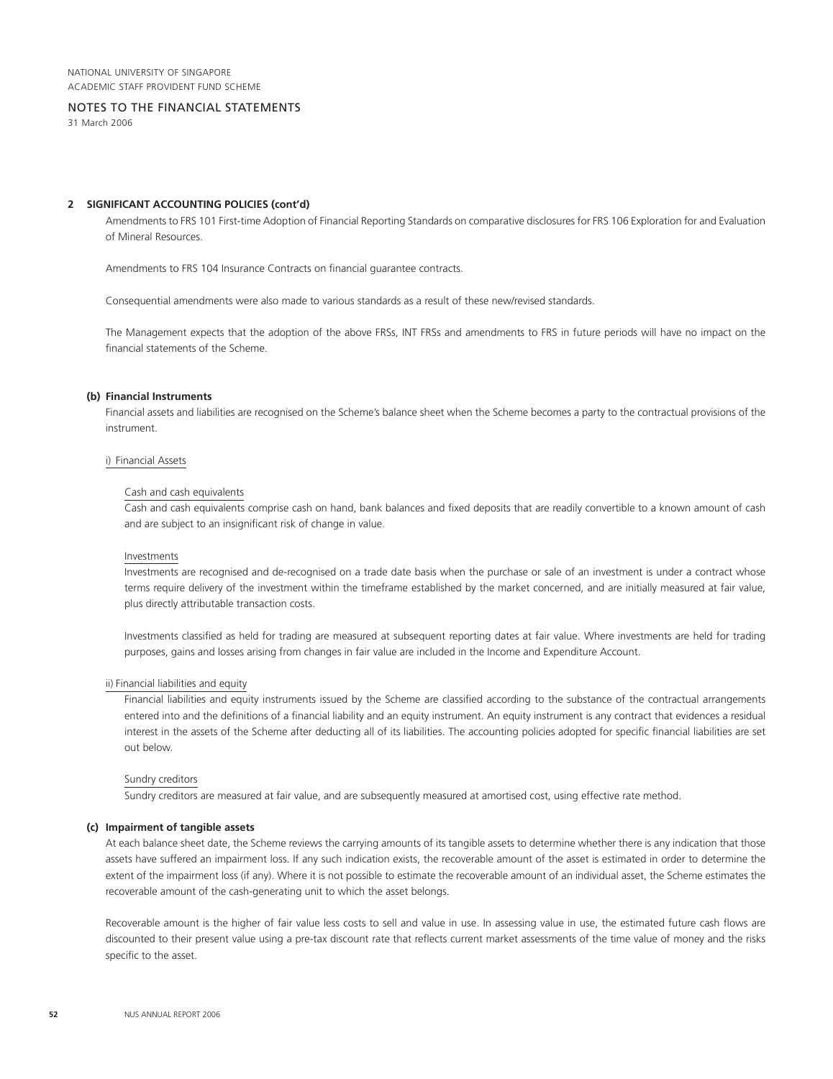31 March 2006

### **2 SIGNIFICANT ACCOUNTING POLICIES (cont'd)**

Amendments to FRS 101 First-time Adoption of Financial Reporting Standards on comparative disclosures for FRS 106 Exploration for and Evaluation of Mineral Resources.

Amendments to FRS 104 Insurance Contracts on financial guarantee contracts.

Consequential amendments were also made to various standards as a result of these new/revised standards.

The Management expects that the adoption of the above FRSs, INT FRSs and amendments to FRS in future periods will have no impact on the financial statements of the Scheme.

### **(b) Financial Instruments**

Financial assets and liabilities are recognised on the Scheme's balance sheet when the Scheme becomes a party to the contractual provisions of the instrument.

### i) Financial Assets

#### Cash and cash equivalents

Cash and cash equivalents comprise cash on hand, bank balances and fixed deposits that are readily convertible to a known amount of cash and are subject to an insignificant risk of change in value.

#### Investments

Investments are recognised and de-recognised on a trade date basis when the purchase or sale of an investment is under a contract whose terms require delivery of the investment within the timeframe established by the market concerned, and are initially measured at fair value, plus directly attributable transaction costs.

Investments classified as held for trading are measured at subsequent reporting dates at fair value. Where investments are held for trading purposes, gains and losses arising from changes in fair value are included in the Income and Expenditure Account.

#### ii) Financial liabilities and equity

Financial liabilities and equity instruments issued by the Scheme are classified according to the substance of the contractual arrangements entered into and the definitions of a financial liability and an equity instrument. An equity instrument is any contract that evidences a residual interest in the assets of the Scheme after deducting all of its liabilities. The accounting policies adopted for specific financial liabilities are set out below.

### Sundry creditors

Sundry creditors are measured at fair value, and are subsequently measured at amortised cost, using effective rate method.

#### **(c) Impairment of tangible assets**

 At each balance sheet date, the Scheme reviews the carrying amounts of its tangible assets to determine whether there is any indication that those assets have suffered an impairment loss. If any such indication exists, the recoverable amount of the asset is estimated in order to determine the extent of the impairment loss (if any). Where it is not possible to estimate the recoverable amount of an individual asset, the Scheme estimates the recoverable amount of the cash-generating unit to which the asset belongs.

Recoverable amount is the higher of fair value less costs to sell and value in use. In assessing value in use, the estimated future cash flows are discounted to their present value using a pre-tax discount rate that reflects current market assessments of the time value of money and the risks specific to the asset.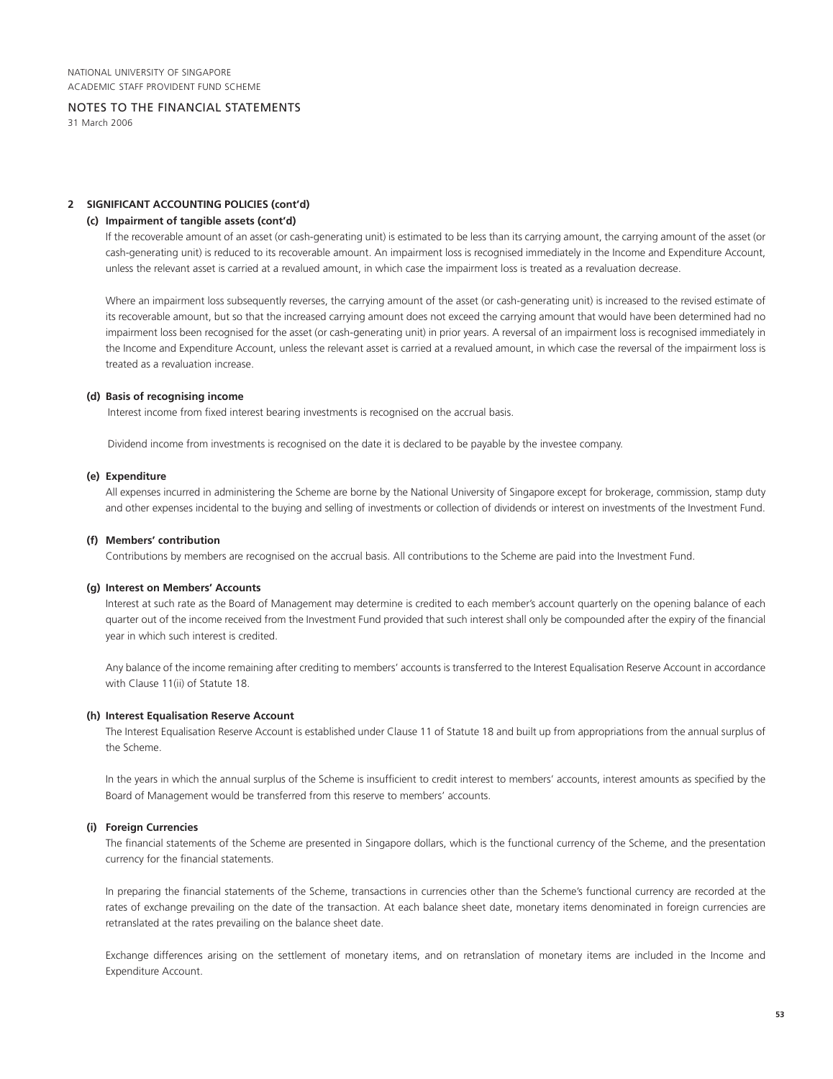31 March 2006

### **2 SIGNIFICANT ACCOUNTING POLICIES (cont'd)**

### **(c) Impairment of tangible assets (cont'd)**

If the recoverable amount of an asset (or cash-generating unit) is estimated to be less than its carrying amount, the carrying amount of the asset (or cash-generating unit) is reduced to its recoverable amount. An impairment loss is recognised immediately in the Income and Expenditure Account, unless the relevant asset is carried at a revalued amount, in which case the impairment loss is treated as a revaluation decrease.

Where an impairment loss subsequently reverses, the carrying amount of the asset (or cash-generating unit) is increased to the revised estimate of its recoverable amount, but so that the increased carrying amount does not exceed the carrying amount that would have been determined had no impairment loss been recognised for the asset (or cash-generating unit) in prior years. A reversal of an impairment loss is recognised immediately in the Income and Expenditure Account, unless the relevant asset is carried at a revalued amount, in which case the reversal of the impairment loss is treated as a revaluation increase.

#### **(d) Basis of recognising income**

Interest income from fixed interest bearing investments is recognised on the accrual basis.

Dividend income from investments is recognised on the date it is declared to be payable by the investee company.

### **(e) Expenditure**

 All expenses incurred in administering the Scheme are borne by the National University of Singapore except for brokerage, commission, stamp duty and other expenses incidental to the buying and selling of investments or collection of dividends or interest on investments of the Investment Fund.

#### **(f) Members' contribution**

Contributions by members are recognised on the accrual basis. All contributions to the Scheme are paid into the Investment Fund.

#### **(g) Interest on Members' Accounts**

 Interest at such rate as the Board of Management may determine is credited to each member's account quarterly on the opening balance of each quarter out of the income received from the Investment Fund provided that such interest shall only be compounded after the expiry of the financial year in which such interest is credited.

 Any balance of the income remaining after crediting to members' accounts is transferred to the Interest Equalisation Reserve Account in accordance with Clause 11(ii) of Statute 18.

### **(h) Interest Equalisation Reserve Account**

 The Interest Equalisation Reserve Account is established under Clause 11 of Statute 18 and built up from appropriations from the annual surplus of the Scheme.

In the years in which the annual surplus of the Scheme is insufficient to credit interest to members' accounts, interest amounts as specified by the Board of Management would be transferred from this reserve to members' accounts.

#### **(i) Foreign Currencies**

The financial statements of the Scheme are presented in Singapore dollars, which is the functional currency of the Scheme, and the presentation currency for the financial statements.

In preparing the financial statements of the Scheme, transactions in currencies other than the Scheme's functional currency are recorded at the rates of exchange prevailing on the date of the transaction. At each balance sheet date, monetary items denominated in foreign currencies are retranslated at the rates prevailing on the balance sheet date.

 Exchange differences arising on the settlement of monetary items, and on retranslation of monetary items are included in the Income and Expenditure Account.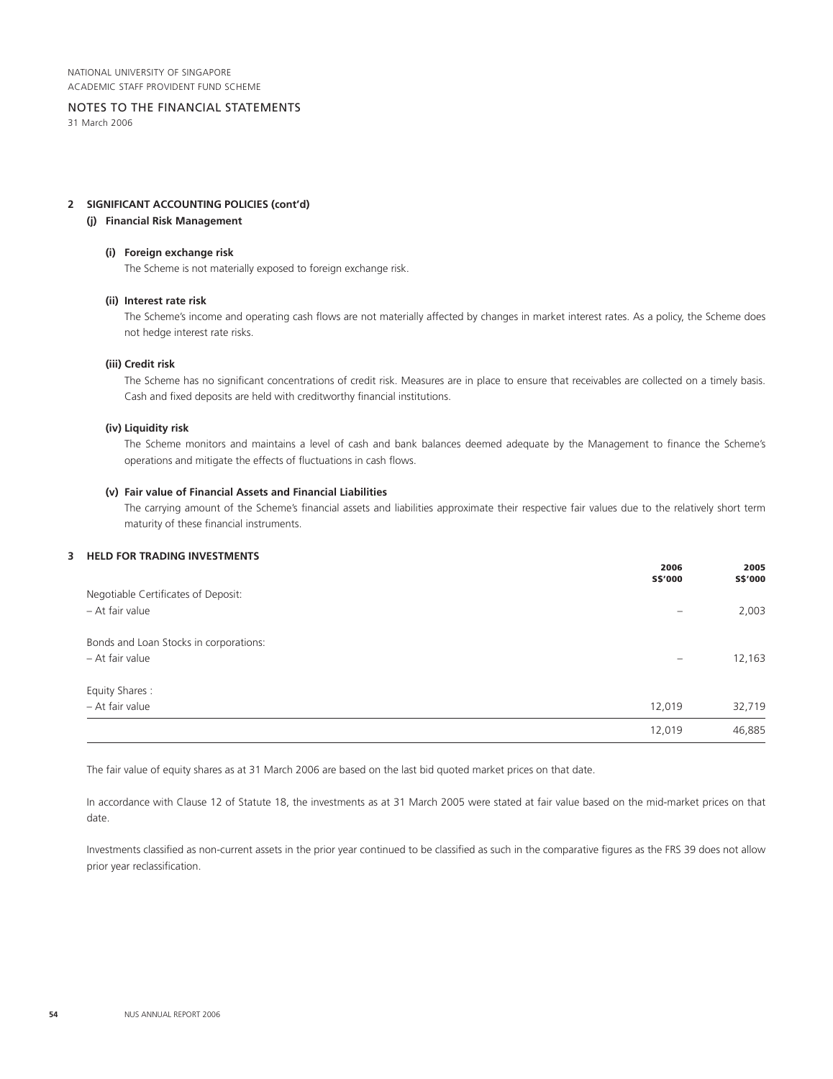NATIONAL UNIVERSITY OF SINGAPORE ACADEMIC STAFF PROVIDENT FUND SCHEME

#### NOTES TO THE FINANCIAL STATEMENTS

31 March 2006

### **2 SIGNIFICANT ACCOUNTING POLICIES (cont'd)**

### **(j) Financial Risk Management**

#### **(i) Foreign exchange risk**

The Scheme is not materially exposed to foreign exchange risk.

### **(ii) Interest rate risk**

The Scheme's income and operating cash flows are not materially affected by changes in market interest rates. As a policy, the Scheme does not hedge interest rate risks.

### **(iii) Credit risk**

The Scheme has no significant concentrations of credit risk. Measures are in place to ensure that receivables are collected on a timely basis. Cash and fixed deposits are held with creditworthy financial institutions.

#### **(iv) Liquidity risk**

The Scheme monitors and maintains a level of cash and bank balances deemed adequate by the Management to finance the Scheme's operations and mitigate the effects of fluctuations in cash flows.

### **(v) Fair value of Financial Assets and Financial Liabilities**

The carrying amount of the Scheme's financial assets and liabilities approximate their respective fair values due to the relatively short term maturity of these financial instruments.

# **3 HELD FOR TRADING INVESTMENTS**

|                                        | 2006<br><b>S\$'000</b>   | 2005<br><b>S\$'000</b> |
|----------------------------------------|--------------------------|------------------------|
| Negotiable Certificates of Deposit:    |                          |                        |
| - At fair value                        | $\qquad \qquad$          | 2,003                  |
| Bonds and Loan Stocks in corporations: |                          |                        |
| - At fair value                        | $\overline{\phantom{0}}$ | 12,163                 |
| Equity Shares:                         |                          |                        |
| - At fair value                        | 12,019                   | 32,719                 |
|                                        | 12,019                   | 46,885                 |

The fair value of equity shares as at 31 March 2006 are based on the last bid quoted market prices on that date.

In accordance with Clause 12 of Statute 18, the investments as at 31 March 2005 were stated at fair value based on the mid-market prices on that date.

Investments classified as non-current assets in the prior year continued to be classified as such in the comparative figures as the FRS 39 does not allow prior year reclassification.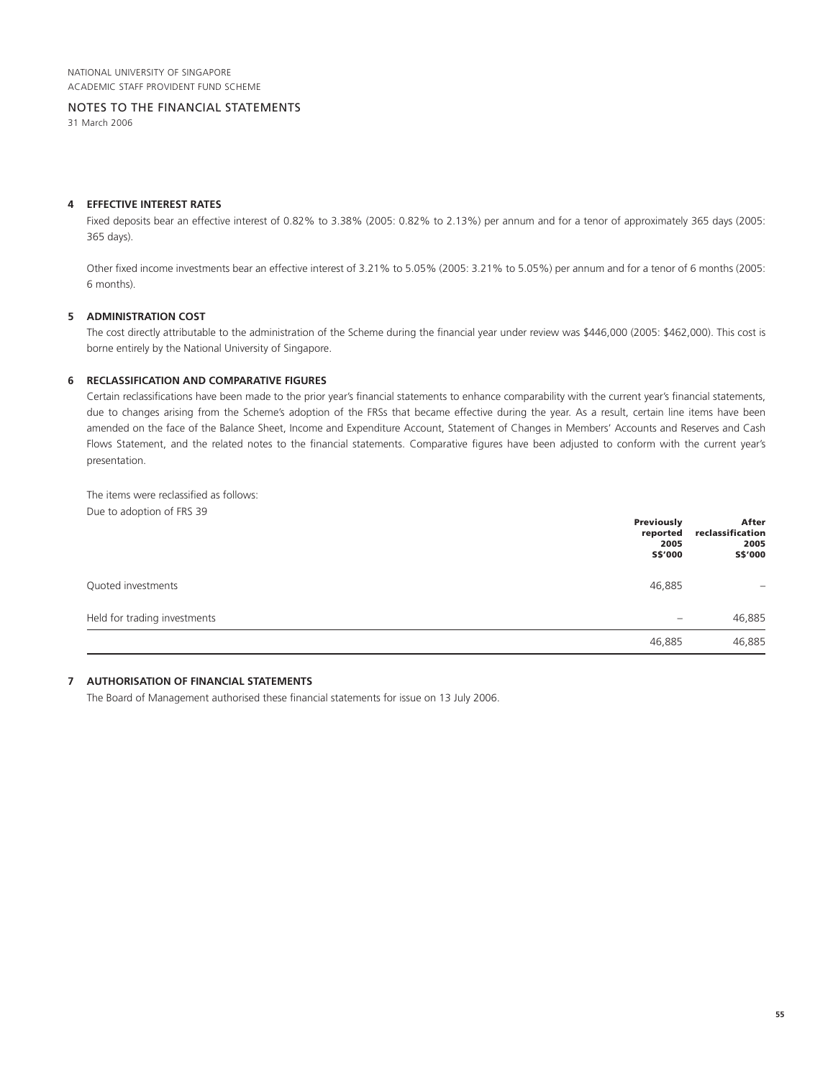31 March 2006

### **4 EFFECTIVE INTEREST RATES**

Fixed deposits bear an effective interest of 0.82% to 3.38% (2005: 0.82% to 2.13%) per annum and for a tenor of approximately 365 days (2005: 365 days).

Other fixed income investments bear an effective interest of 3.21% to 5.05% (2005: 3.21% to 5.05%) per annum and for a tenor of 6 months (2005: 6 months).

### **5 ADMINISTRATION COST**

The cost directly attributable to the administration of the Scheme during the financial year under review was \$446,000 (2005: \$462,000). This cost is borne entirely by the National University of Singapore.

### **6 RECLASSIFICATION AND COMPARATIVE FIGURES**

Certain reclassifications have been made to the prior year's financial statements to enhance comparability with the current year's financial statements, due to changes arising from the Scheme's adoption of the FRSs that became effective during the year. As a result, certain line items have been amended on the face of the Balance Sheet, Income and Expenditure Account, Statement of Changes in Members' Accounts and Reserves and Cash Flows Statement, and the related notes to the financial statements. Comparative figures have been adjusted to conform with the current year's presentation.

The items were reclassified as follows: Due to adoption of FRS 39

|                              | Previously<br>reported<br>2005<br>S\$'000 | After<br>reclassification<br>2005<br><b>S\$'000</b> |
|------------------------------|-------------------------------------------|-----------------------------------------------------|
| Quoted investments           | 46,885                                    |                                                     |
| Held for trading investments | 46,885                                    |                                                     |
|                              | 46,885                                    | 46,885                                              |

# **7 AUTHORISATION OF FINANCIAL STATEMENTS**

The Board of Management authorised these financial statements for issue on 13 July 2006.